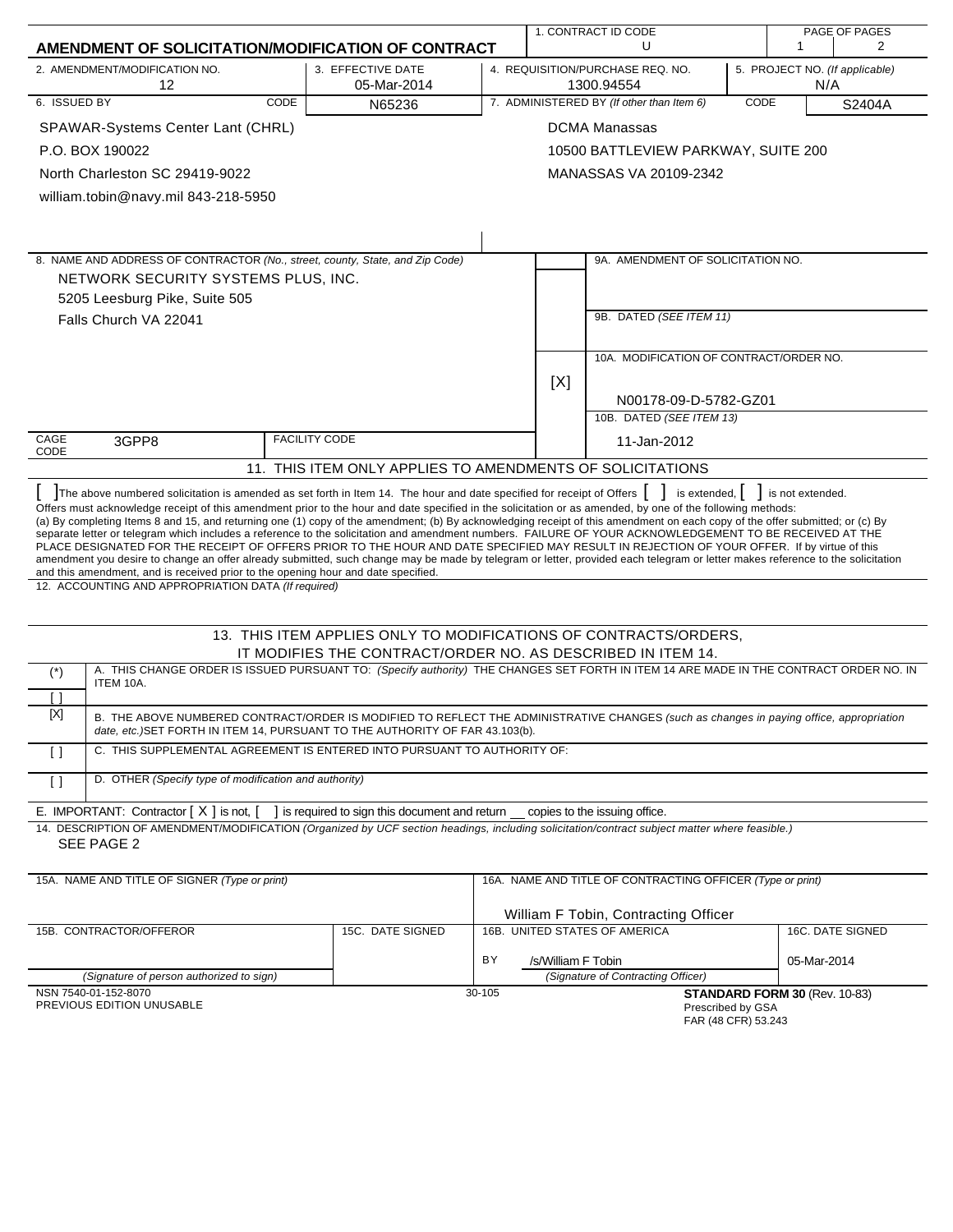|                                                                                                                                                                                                                                                                                                                                                                                                                                                                                                                                                                                                                                                                                                                                                                                                                                                                                                                                                                                    |                                                                  |        |                                                                                         | 1. CONTRACT ID CODE                                                   |      |                               | PAGE OF PAGES    |
|------------------------------------------------------------------------------------------------------------------------------------------------------------------------------------------------------------------------------------------------------------------------------------------------------------------------------------------------------------------------------------------------------------------------------------------------------------------------------------------------------------------------------------------------------------------------------------------------------------------------------------------------------------------------------------------------------------------------------------------------------------------------------------------------------------------------------------------------------------------------------------------------------------------------------------------------------------------------------------|------------------------------------------------------------------|--------|-----------------------------------------------------------------------------------------|-----------------------------------------------------------------------|------|-------------------------------|------------------|
| AMENDMENT OF SOLICITATION/MODIFICATION OF CONTRACT                                                                                                                                                                                                                                                                                                                                                                                                                                                                                                                                                                                                                                                                                                                                                                                                                                                                                                                                 |                                                                  |        |                                                                                         | U                                                                     |      | 1                             | 2                |
| 2. AMENDMENT/MODIFICATION NO.<br>12                                                                                                                                                                                                                                                                                                                                                                                                                                                                                                                                                                                                                                                                                                                                                                                                                                                                                                                                                | 3. EFFECTIVE DATE<br>05-Mar-2014                                 |        | 4. REQUISITION/PURCHASE REQ. NO.<br>5. PROJECT NO. (If applicable)<br>1300.94554<br>N/A |                                                                       |      |                               |                  |
| 6. ISSUED BY<br>CODE                                                                                                                                                                                                                                                                                                                                                                                                                                                                                                                                                                                                                                                                                                                                                                                                                                                                                                                                                               | N65236                                                           |        |                                                                                         | 7. ADMINISTERED BY (If other than Item 6)                             | CODE |                               | S2404A           |
| SPAWAR-Systems Center Lant (CHRL)                                                                                                                                                                                                                                                                                                                                                                                                                                                                                                                                                                                                                                                                                                                                                                                                                                                                                                                                                  |                                                                  |        |                                                                                         | <b>DCMA Manassas</b>                                                  |      |                               |                  |
| P.O. BOX 190022                                                                                                                                                                                                                                                                                                                                                                                                                                                                                                                                                                                                                                                                                                                                                                                                                                                                                                                                                                    |                                                                  |        |                                                                                         | 10500 BATTLEVIEW PARKWAY, SUITE 200                                   |      |                               |                  |
| North Charleston SC 29419-9022                                                                                                                                                                                                                                                                                                                                                                                                                                                                                                                                                                                                                                                                                                                                                                                                                                                                                                                                                     |                                                                  |        |                                                                                         | MANASSAS VA 20109-2342                                                |      |                               |                  |
| william.tobin@navy.mil 843-218-5950                                                                                                                                                                                                                                                                                                                                                                                                                                                                                                                                                                                                                                                                                                                                                                                                                                                                                                                                                |                                                                  |        |                                                                                         |                                                                       |      |                               |                  |
|                                                                                                                                                                                                                                                                                                                                                                                                                                                                                                                                                                                                                                                                                                                                                                                                                                                                                                                                                                                    |                                                                  |        |                                                                                         |                                                                       |      |                               |                  |
|                                                                                                                                                                                                                                                                                                                                                                                                                                                                                                                                                                                                                                                                                                                                                                                                                                                                                                                                                                                    |                                                                  |        |                                                                                         |                                                                       |      |                               |                  |
| 8. NAME AND ADDRESS OF CONTRACTOR (No., street, county, State, and Zip Code)                                                                                                                                                                                                                                                                                                                                                                                                                                                                                                                                                                                                                                                                                                                                                                                                                                                                                                       |                                                                  |        |                                                                                         | 9A. AMENDMENT OF SOLICITATION NO.                                     |      |                               |                  |
| NETWORK SECURITY SYSTEMS PLUS, INC.                                                                                                                                                                                                                                                                                                                                                                                                                                                                                                                                                                                                                                                                                                                                                                                                                                                                                                                                                |                                                                  |        |                                                                                         |                                                                       |      |                               |                  |
| 5205 Leesburg Pike, Suite 505                                                                                                                                                                                                                                                                                                                                                                                                                                                                                                                                                                                                                                                                                                                                                                                                                                                                                                                                                      |                                                                  |        |                                                                                         | 9B. DATED (SEE ITEM 11)                                               |      |                               |                  |
| Falls Church VA 22041                                                                                                                                                                                                                                                                                                                                                                                                                                                                                                                                                                                                                                                                                                                                                                                                                                                                                                                                                              |                                                                  |        |                                                                                         |                                                                       |      |                               |                  |
|                                                                                                                                                                                                                                                                                                                                                                                                                                                                                                                                                                                                                                                                                                                                                                                                                                                                                                                                                                                    |                                                                  |        |                                                                                         | 10A. MODIFICATION OF CONTRACT/ORDER NO.                               |      |                               |                  |
|                                                                                                                                                                                                                                                                                                                                                                                                                                                                                                                                                                                                                                                                                                                                                                                                                                                                                                                                                                                    |                                                                  |        | [X]                                                                                     |                                                                       |      |                               |                  |
|                                                                                                                                                                                                                                                                                                                                                                                                                                                                                                                                                                                                                                                                                                                                                                                                                                                                                                                                                                                    |                                                                  |        |                                                                                         | N00178-09-D-5782-GZ01                                                 |      |                               |                  |
|                                                                                                                                                                                                                                                                                                                                                                                                                                                                                                                                                                                                                                                                                                                                                                                                                                                                                                                                                                                    |                                                                  |        |                                                                                         | 10B. DATED (SEE ITEM 13)                                              |      |                               |                  |
| CAGE<br>3GPP8<br>CODE                                                                                                                                                                                                                                                                                                                                                                                                                                                                                                                                                                                                                                                                                                                                                                                                                                                                                                                                                              | <b>FACILITY CODE</b>                                             |        |                                                                                         | 11-Jan-2012                                                           |      |                               |                  |
|                                                                                                                                                                                                                                                                                                                                                                                                                                                                                                                                                                                                                                                                                                                                                                                                                                                                                                                                                                                    | 11. THIS ITEM ONLY APPLIES TO AMENDMENTS OF SOLICITATIONS        |        |                                                                                         |                                                                       |      |                               |                  |
| The above numbered solicitation is amended as set forth in Item 14. The hour and date specified for receipt of Offers   is extended,   is not extended.                                                                                                                                                                                                                                                                                                                                                                                                                                                                                                                                                                                                                                                                                                                                                                                                                            |                                                                  |        |                                                                                         |                                                                       |      |                               |                  |
| Offers must acknowledge receipt of this amendment prior to the hour and date specified in the solicitation or as amended, by one of the following methods:<br>(a) By completing Items 8 and 15, and returning one (1) copy of the amendment; (b) By acknowledging receipt of this amendment on each copy of the offer submitted; or (c) By<br>separate letter or telegram which includes a reference to the solicitation and amendment numbers. FAILURE OF YOUR ACKNOWLEDGEMENT TO BE RECEIVED AT THE<br>PLACE DESIGNATED FOR THE RECEIPT OF OFFERS PRIOR TO THE HOUR AND DATE SPECIFIED MAY RESULT IN REJECTION OF YOUR OFFER. If by virtue of this<br>amendment you desire to change an offer already submitted, such change may be made by telegram or letter, provided each telegram or letter makes reference to the solicitation<br>and this amendment, and is received prior to the opening hour and date specified.<br>12. ACCOUNTING AND APPROPRIATION DATA (If required) |                                                                  |        |                                                                                         |                                                                       |      |                               |                  |
|                                                                                                                                                                                                                                                                                                                                                                                                                                                                                                                                                                                                                                                                                                                                                                                                                                                                                                                                                                                    | 13. THIS ITEM APPLIES ONLY TO MODIFICATIONS OF CONTRACTS/ORDERS, |        |                                                                                         |                                                                       |      |                               |                  |
|                                                                                                                                                                                                                                                                                                                                                                                                                                                                                                                                                                                                                                                                                                                                                                                                                                                                                                                                                                                    | IT MODIFIES THE CONTRACT/ORDER NO. AS DESCRIBED IN ITEM 14.      |        |                                                                                         |                                                                       |      |                               |                  |
| A. THIS CHANGE ORDER IS ISSUED PURSUANT TO: (Specify authority) THE CHANGES SET FORTH IN ITEM 14 ARE MADE IN THE CONTRACT ORDER NO. IN<br>$(\dot{\phantom{a}})$<br>ITEM 10A.                                                                                                                                                                                                                                                                                                                                                                                                                                                                                                                                                                                                                                                                                                                                                                                                       |                                                                  |        |                                                                                         |                                                                       |      |                               |                  |
| H<br>$[{\sf X}]$<br>B. THE ABOVE NUMBERED CONTRACT/ORDER IS MODIFIED TO REFLECT THE ADMINISTRATIVE CHANGES (such as changes in paying office, appropriation<br>date, etc.) SET FORTH IN ITEM 14, PURSUANT TO THE AUTHORITY OF FAR 43.103(b).                                                                                                                                                                                                                                                                                                                                                                                                                                                                                                                                                                                                                                                                                                                                       |                                                                  |        |                                                                                         |                                                                       |      |                               |                  |
| C. THIS SUPPLEMENTAL AGREEMENT IS ENTERED INTO PURSUANT TO AUTHORITY OF:<br>$\Box$                                                                                                                                                                                                                                                                                                                                                                                                                                                                                                                                                                                                                                                                                                                                                                                                                                                                                                 |                                                                  |        |                                                                                         |                                                                       |      |                               |                  |
| D. OTHER (Specify type of modification and authority)<br>$\left[ \ \right]$                                                                                                                                                                                                                                                                                                                                                                                                                                                                                                                                                                                                                                                                                                                                                                                                                                                                                                        |                                                                  |        |                                                                                         |                                                                       |      |                               |                  |
| E. IMPORTANT: Contractor $[X]$ is not, $\begin{bmatrix} 1 \\ 1 \end{bmatrix}$ is required to sign this document and return copies to the issuing office.<br>14. DESCRIPTION OF AMENDMENT/MODIFICATION (Organized by UCF section headings, including solicitation/contract subject matter where feasible.)<br>SEE PAGE 2                                                                                                                                                                                                                                                                                                                                                                                                                                                                                                                                                                                                                                                            |                                                                  |        |                                                                                         |                                                                       |      |                               |                  |
| 15A. NAME AND TITLE OF SIGNER (Type or print)                                                                                                                                                                                                                                                                                                                                                                                                                                                                                                                                                                                                                                                                                                                                                                                                                                                                                                                                      |                                                                  |        |                                                                                         | 16A. NAME AND TITLE OF CONTRACTING OFFICER (Type or print)            |      |                               |                  |
|                                                                                                                                                                                                                                                                                                                                                                                                                                                                                                                                                                                                                                                                                                                                                                                                                                                                                                                                                                                    |                                                                  |        |                                                                                         |                                                                       |      |                               |                  |
| 15B. CONTRACTOR/OFFEROR                                                                                                                                                                                                                                                                                                                                                                                                                                                                                                                                                                                                                                                                                                                                                                                                                                                                                                                                                            | 15C. DATE SIGNED                                                 |        |                                                                                         | William F Tobin, Contracting Officer<br>16B. UNITED STATES OF AMERICA |      |                               | 16C. DATE SIGNED |
|                                                                                                                                                                                                                                                                                                                                                                                                                                                                                                                                                                                                                                                                                                                                                                                                                                                                                                                                                                                    |                                                                  |        |                                                                                         |                                                                       |      |                               |                  |
| (Signature of person authorized to sign)                                                                                                                                                                                                                                                                                                                                                                                                                                                                                                                                                                                                                                                                                                                                                                                                                                                                                                                                           |                                                                  | BY     | /s/William F Tobin                                                                      | (Signature of Contracting Officer)                                    |      | 05-Mar-2014                   |                  |
| NSN 7540-01-152-8070<br>PREVIOUS EDITION UNUSABLE                                                                                                                                                                                                                                                                                                                                                                                                                                                                                                                                                                                                                                                                                                                                                                                                                                                                                                                                  |                                                                  | 30-105 |                                                                                         | Prescribed by GSA<br>FAR (48 CFR) 53.243                              |      | STANDARD FORM 30 (Rev. 10-83) |                  |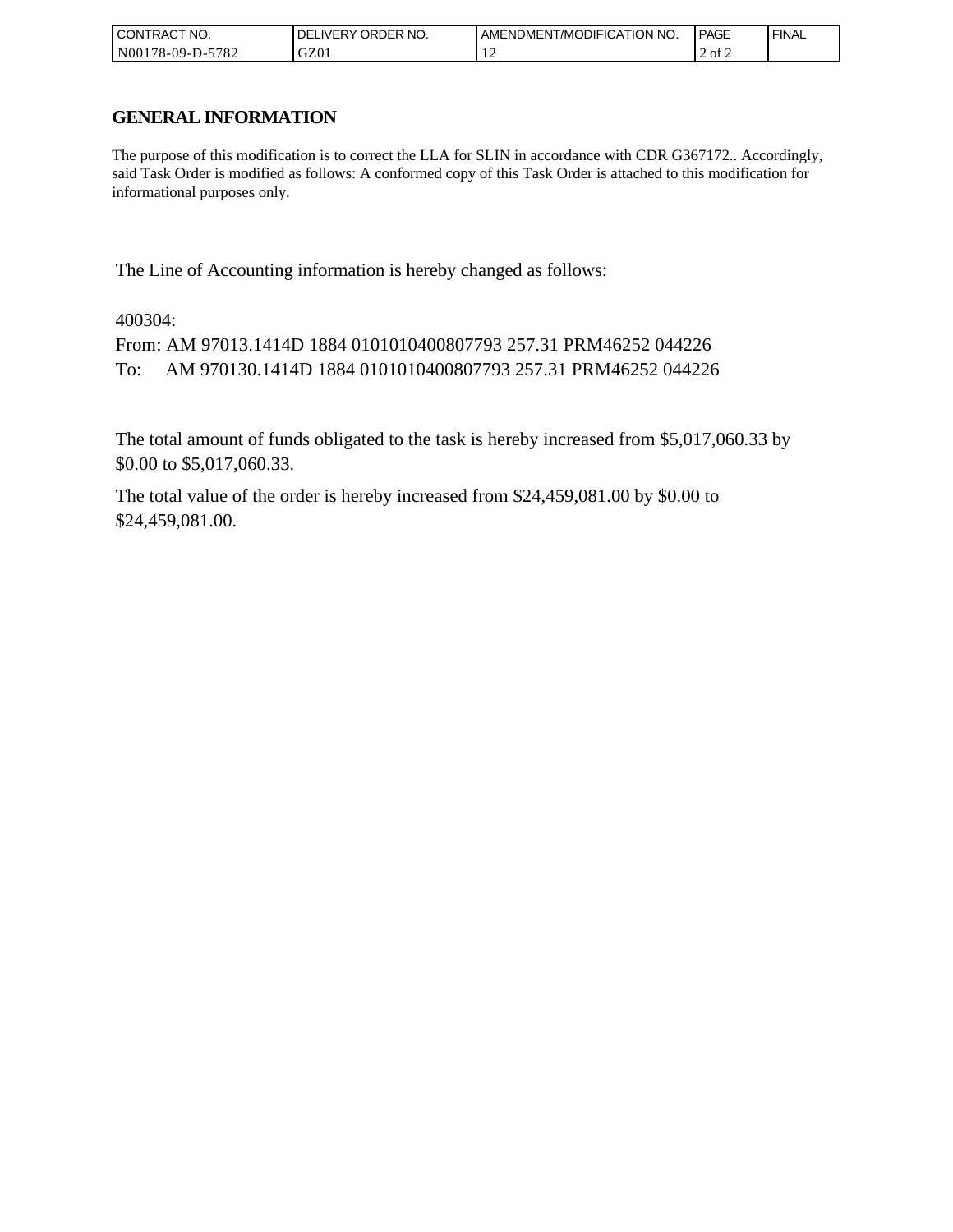| l CON <sup>-</sup><br>'TRACT NO. | ORDER NO.<br>IVERY<br>DELI | AMENDMENT/MODIFICATION NO. | <b>PAGE</b> | ' FINAL |
|----------------------------------|----------------------------|----------------------------|-------------|---------|
| N00178-09-D-:<br>5782            | GZ01                       | .                          | 2 of 2      |         |

# **GENERAL INFORMATION**

The purpose of this modification is to correct the LLA for SLIN in accordance with CDR G367172.. Accordingly, said Task Order is modified as follows: A conformed copy of this Task Order is attached to this modification for informational purposes only.

The Line of Accounting information is hereby changed as follows:

400304:

From: AM 97013.1414D 1884 0101010400807793 257.31 PRM46252 044226 To: AM 970130.1414D 1884 0101010400807793 257.31 PRM46252 044226

The total amount of funds obligated to the task is hereby increased from \$5,017,060.33 by \$0.00 to \$5,017,060.33.

The total value of the order is hereby increased from \$24,459,081.00 by \$0.00 to \$24,459,081.00.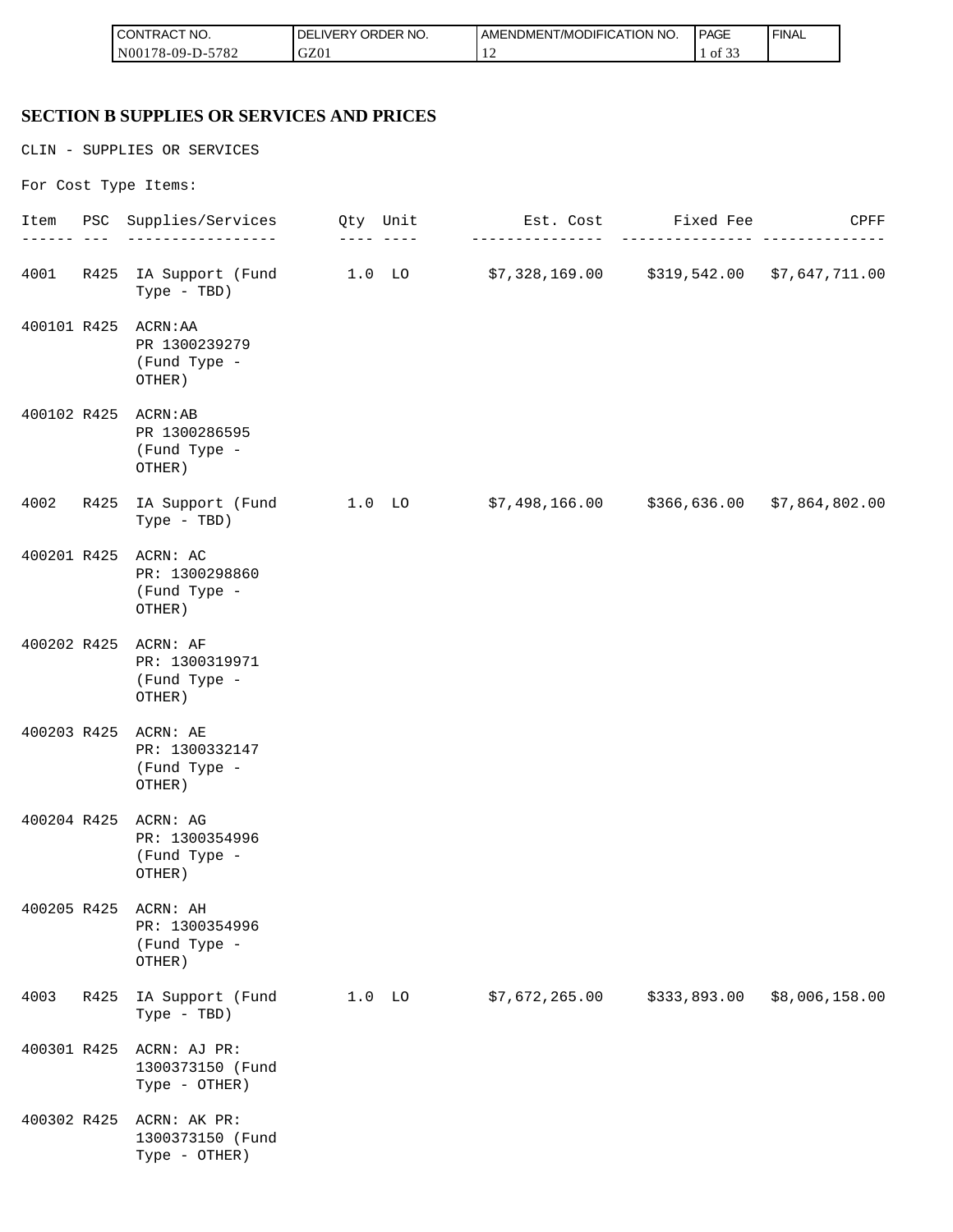| <b>CONTRACT NO.</b>  | NO.<br>ORDER<br><b>DELIVERY</b> | AMENDMENT/MODIFICATION NO. | <b>PAGE</b>                | ' FINAL |
|----------------------|---------------------------------|----------------------------|----------------------------|---------|
| N00178-09-D-<br>5782 | GZ01                            | . .                        | $\sim$ $\sim$ $\sim$<br>ΟĪ |         |

#### **SECTION B SUPPLIES OR SERVICES AND PRICES**

CLIN - SUPPLIES OR SERVICES

For Cost Type Items: Item PSC Supplies/Services Qty Unit Est. Cost Fixed Fee CPFF ------ --- ----------------- ---- ---- --------------- --------------- -------------- 4001 R425 IA Support (Fund 1.0 LO \$7,328,169.00 \$319,542.00 \$7,647,711.00 Type - TBD) 400101 R425 ACRN:AA PR 1300239279 (Fund Type - OTHER) 400102 R425 ACRN:AB PR 1300286595 (Fund Type - OTHER) 4002 R425 IA Support (Fund 1.0 LO \$7,498,166.00 \$366,636.00 \$7,864,802.00 Type - TBD) 400201 R425 ACRN: AC PR: 1300298860 (Fund Type - OTHER) 400202 R425 ACRN: AF PR: 1300319971 (Fund Type - OTHER) 400203 R425 ACRN: AE PR: 1300332147 (Fund Type - OTHER) 400204 R425 ACRN: AG PR: 1300354996 (Fund Type - OTHER) 400205 R425 ACRN: AH PR: 1300354996 (Fund Type - OTHER) 4003 R425 IA Support (Fund 1.0 LO \$7,672,265.00 \$333,893.00 \$8,006,158.00 Type - TBD) 400301 R425 ACRN: AJ PR: 1300373150 (Fund Type - OTHER) 400302 R425 ACRN: AK PR: 1300373150 (Fund Type - OTHER)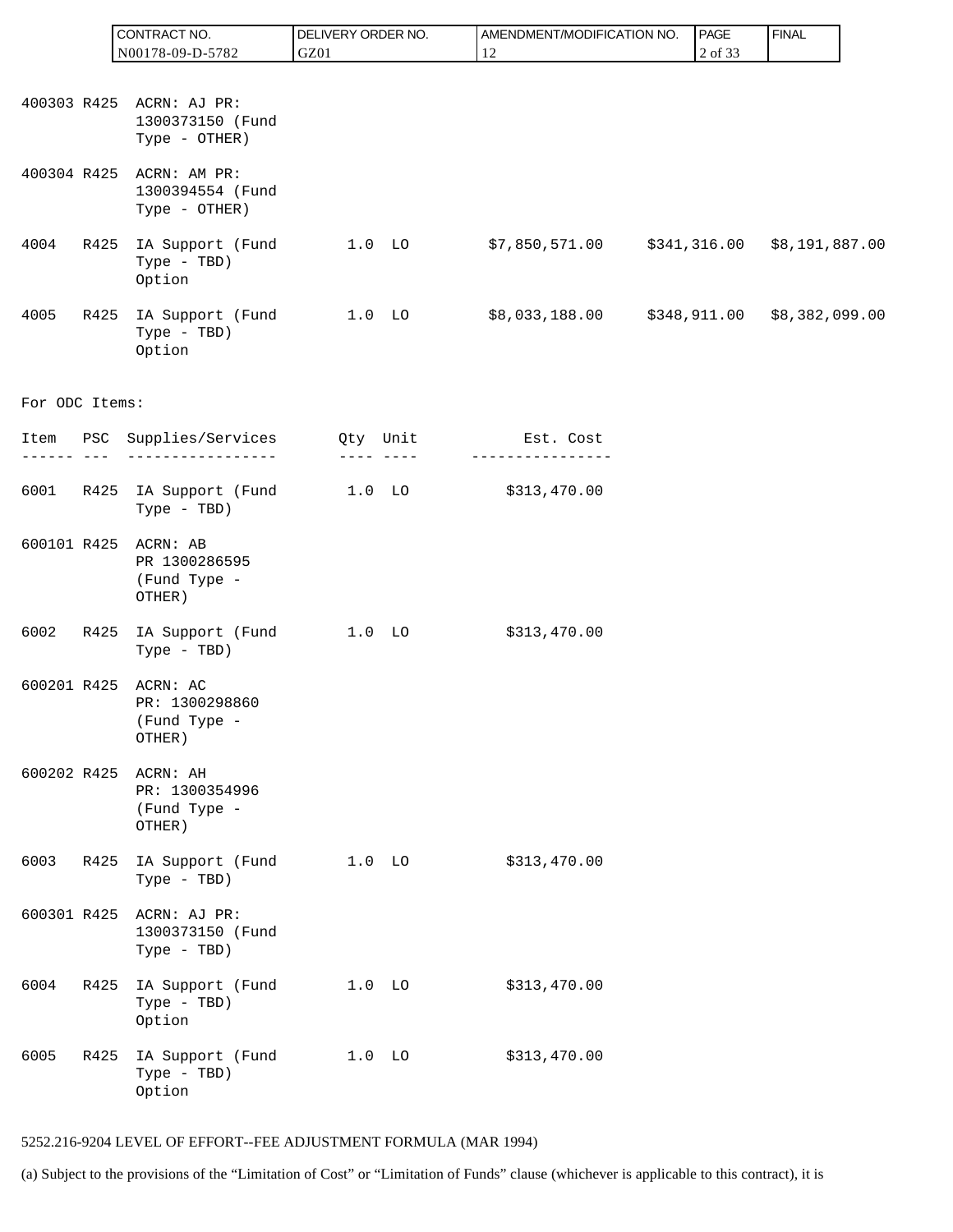|                |         | CONTRACT NO.                                                  | DELIVERY ORDER NO. | AMENDMENT/MODIFICATION NO. | PAGE         | <b>FINAL</b>                     |
|----------------|---------|---------------------------------------------------------------|--------------------|----------------------------|--------------|----------------------------------|
|                |         | N00178-09-D-5782                                              | GZ01               | 12                         | 2 of 33      |                                  |
|                |         |                                                               |                    |                            |              |                                  |
|                |         | 400303 R425 ACRN: AJ PR:<br>1300373150 (Fund<br>Type - OTHER) |                    |                            |              |                                  |
| 400304 R425    |         | ACRN: AM PR:<br>1300394554 (Fund<br>Type - OTHER)             |                    |                            |              |                                  |
| 4004           | R425    | IA Support (Fund<br>Type - TBD)<br>Option                     | $1.0$ LO           | \$7,850,571.00             |              | $$341, 316.00$ $$8, 191, 887.00$ |
| 4005           | R425    | IA Support (Fund<br>Type - TBD)<br>Option                     | $1.0$ LO           | \$8,033,188.00             | \$348,911.00 | \$8,382,099.00                   |
| For ODC Items: |         |                                                               |                    |                            |              |                                  |
|                | --- --- | Item PSC Supplies/Services Qty Unit                           | ---- ----          | Est. Cost                  |              |                                  |
| 6001           |         | R425 IA Support (Fund<br>Type - TBD)                          | $1.0$ LO           | \$313,470.00               |              |                                  |
| 600101 R425    |         | ACRN: AB<br>PR 1300286595<br>(Fund Type -<br>OTHER)           |                    |                            |              |                                  |
| 6002           | R425    | IA Support (Fund<br>Type - TBD)                               | $1.0$ LO           | \$313,470.00               |              |                                  |
| 600201 R425    |         | ACRN: AC<br>PR: 1300298860<br>(Fund Type -<br>OTHER)          |                    |                            |              |                                  |
| 600202 R425    |         | ACRN: AH<br>PR: 1300354996<br>(Fund Type -<br>OTHER)          |                    |                            |              |                                  |
| 6003           | R425    | IA Support (Fund<br>Type - TBD)                               | $1.0$ LO           | \$313,470.00               |              |                                  |
| 600301 R425    |         | ACRN: AJ PR:<br>1300373150 (Fund<br>Type - TBD)               |                    |                            |              |                                  |
| 6004           | R425    | IA Support (Fund<br>Type - TBD)<br>Option                     | 1.0 <sub>LO</sub>  | \$313,470.00               |              |                                  |
| 6005           | R425    | IA Support (Fund<br>Type - TBD)<br>Option                     | $1.0$ LO           | \$313,470.00               |              |                                  |

#### 5252.216-9204 LEVEL OF EFFORT--FEE ADJUSTMENT FORMULA (MAR 1994)

(a) Subject to the provisions of the "Limitation of Cost" or "Limitation of Funds" clause (whichever is applicable to this contract), it is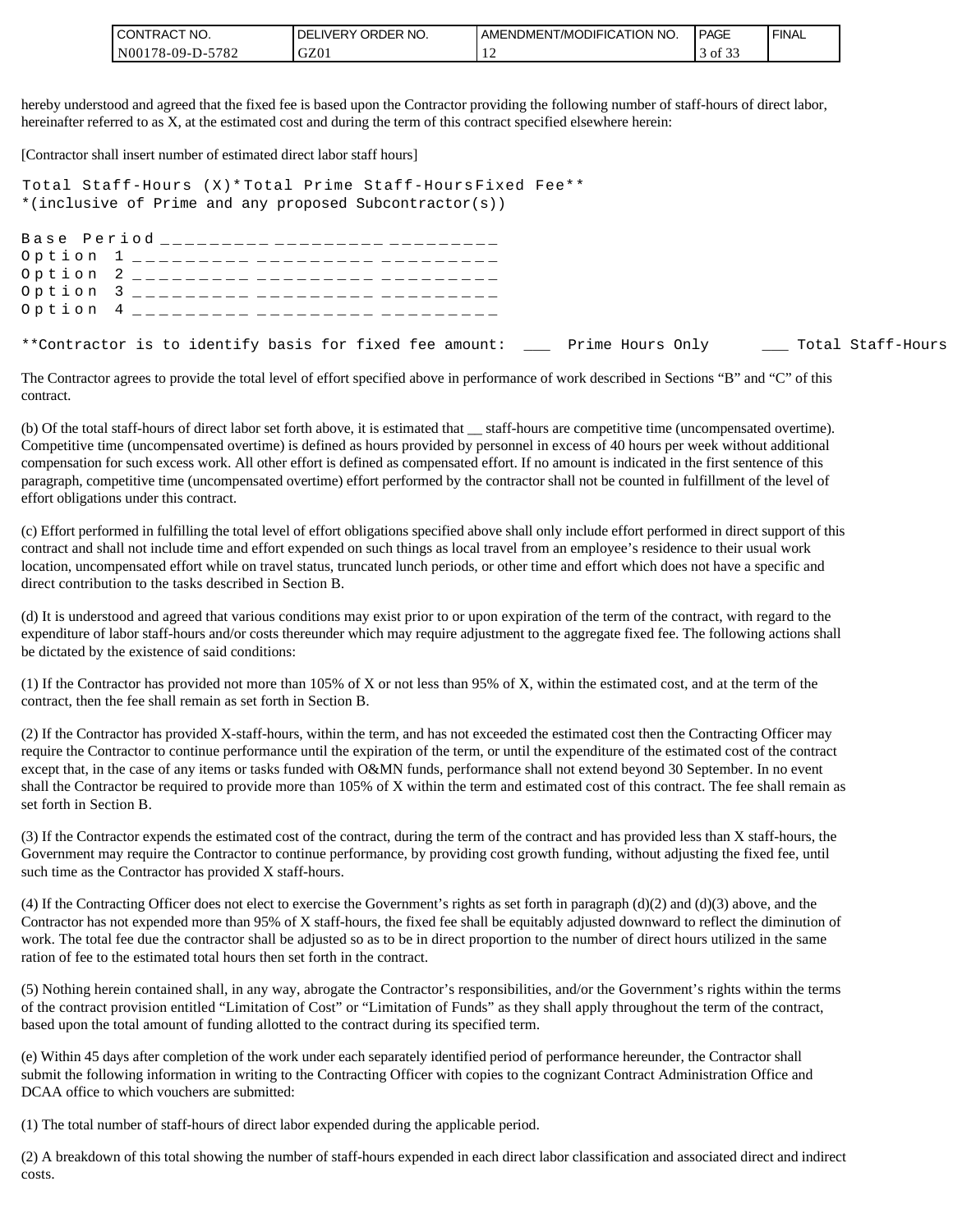| 'NO.<br><b>'CONTRAC,</b>                     | NO.<br>LIVERY ORDER<br><b>DE</b> | <b>IT/MODIFICATION NO.</b><br>I AMENDMEN I | PAGE                   | ' FINAL |
|----------------------------------------------|----------------------------------|--------------------------------------------|------------------------|---------|
| 5782<br>I N00<br>$^{\circ}178 - 09$ -L<br>D- | GZ01                             | . .                                        | $\sim$ $\sim$<br>of 3. |         |

hereby understood and agreed that the fixed fee is based upon the Contractor providing the following number of staff-hours of direct labor, hereinafter referred to as X, at the estimated cost and during the term of this contract specified elsewhere herein:

[Contractor shall insert number of estimated direct labor staff hours]

Total Staff-Hours (X)\* Total Prime Staff-Hours Fixed Fee\*\* \*(inclusive of Prime and any proposed Subcontractor(s))

Base Period \_\_\_\_\_\_\_\_\_ \_\_\_\_\_\_\_\_\_ \_\_\_\_\_\_\_ Option 1 \_\_\_\_\_\_\_\_\_ \_\_\_\_\_\_\_\_\_ \_\_\_\_\_\_\_ Option 2 \_\_\_\_\_\_\_\_\_ \_\_\_\_\_\_\_\_\_ \_\_\_\_\_\_\_ Option 3 \_\_\_\_\_\_\_\_\_ \_\_\_\_\_\_\_\_\_ \_\_\_\_\_\_\_ Option 4 \_\_\_\_\_\_\_\_\_ \_\_\_\_\_\_\_\_\_ \_\_\_\_\_\_\_ \*\*Contractor is to identify basis for fixed fee amount: \_\_\_ Prime Hours Only \_\_\_\_ Total Staff-Hours

The Contractor agrees to provide the total level of effort specified above in performance of work described in Sections "B" and "C" of this contract.

(b) Of the total staff-hours of direct labor set forth above, it is estimated that \_\_ staff-hours are competitive time (uncompensated overtime). Competitive time (uncompensated overtime) is defined as hours provided by personnel in excess of 40 hours per week without additional compensation for such excess work. All other effort is defined as compensated effort. If no amount is indicated in the first sentence of this paragraph, competitive time (uncompensated overtime) effort performed by the contractor shall not be counted in fulfillment of the level of effort obligations under this contract.

(c) Effort performed in fulfilling the total level of effort obligations specified above shall only include effort performed in direct support of this contract and shall not include time and effort expended on such things as local travel from an employee's residence to their usual work location, uncompensated effort while on travel status, truncated lunch periods, or other time and effort which does not have a specific and direct contribution to the tasks described in Section B.

(d) It is understood and agreed that various conditions may exist prior to or upon expiration of the term of the contract, with regard to the expenditure of labor staff-hours and/or costs thereunder which may require adjustment to the aggregate fixed fee. The following actions shall be dictated by the existence of said conditions:

(1) If the Contractor has provided not more than 105% of X or not less than 95% of X, within the estimated cost, and at the term of the contract, then the fee shall remain as set forth in Section B.

(2) If the Contractor has provided X-staff-hours, within the term, and has not exceeded the estimated cost then the Contracting Officer may require the Contractor to continue performance until the expiration of the term, or until the expenditure of the estimated cost of the contract except that, in the case of any items or tasks funded with O&MN funds, performance shall not extend beyond 30 September. In no event shall the Contractor be required to provide more than 105% of X within the term and estimated cost of this contract. The fee shall remain as set forth in Section B.

(3) If the Contractor expends the estimated cost of the contract, during the term of the contract and has provided less than X staff-hours, the Government may require the Contractor to continue performance, by providing cost growth funding, without adjusting the fixed fee, until such time as the Contractor has provided X staff-hours.

(4) If the Contracting Officer does not elect to exercise the Government's rights as set forth in paragraph  $(d)(2)$  and  $(d)(3)$  above, and the Contractor has not expended more than 95% of X staff-hours, the fixed fee shall be equitably adjusted downward to reflect the diminution of work. The total fee due the contractor shall be adjusted so as to be in direct proportion to the number of direct hours utilized in the same ration of fee to the estimated total hours then set forth in the contract.

(5) Nothing herein contained shall, in any way, abrogate the Contractor's responsibilities, and/or the Government's rights within the terms of the contract provision entitled "Limitation of Cost" or "Limitation of Funds" as they shall apply throughout the term of the contract, based upon the total amount of funding allotted to the contract during its specified term.

(e) Within 45 days after completion of the work under each separately identified period of performance hereunder, the Contractor shall submit the following information in writing to the Contracting Officer with copies to the cognizant Contract Administration Office and DCAA office to which vouchers are submitted:

(1) The total number of staff-hours of direct labor expended during the applicable period.

(2) A breakdown of this total showing the number of staff-hours expended in each direct labor classification and associated direct and indirect costs.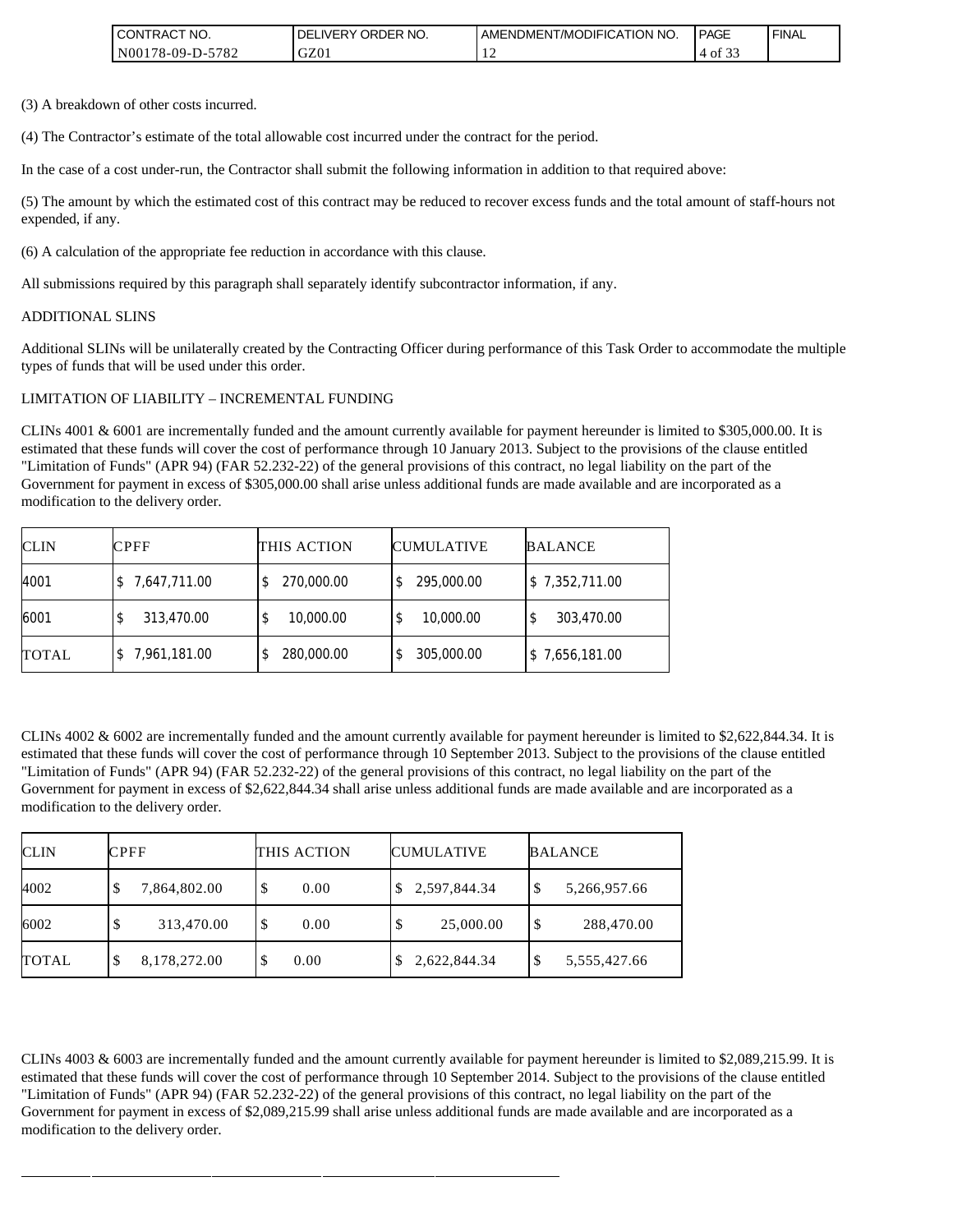| <b>I CONTRACT NO.</b> | DELIVERY ORDER NO. | AMENDMENT/MODIFICATION NO. | <b>PAGE</b>           | ' FINAL |
|-----------------------|--------------------|----------------------------|-----------------------|---------|
| IN00178-09-D-5782     | GZ01               |                            | $\sim$ $\sim$<br>4 of |         |

(3) A breakdown of other costs incurred.

(4) The Contractor's estimate of the total allowable cost incurred under the contract for the period.

In the case of a cost under-run, the Contractor shall submit the following information in addition to that required above:

(5) The amount by which the estimated cost of this contract may be reduced to recover excess funds and the total amount of staff-hours not expended, if any.

(6) A calculation of the appropriate fee reduction in accordance with this clause.

All submissions required by this paragraph shall separately identify subcontractor information, if any.

#### ADDITIONAL SLINS

Additional SLINs will be unilaterally created by the Contracting Officer during performance of this Task Order to accommodate the multiple types of funds that will be used under this order.

#### LIMITATION OF LIABILITY – INCREMENTAL FUNDING

CLINs 4001 & 6001 are incrementally funded and the amount currently available for payment hereunder is limited to \$305,000.00. It is estimated that these funds will cover the cost of performance through 10 January 2013. Subject to the provisions of the clause entitled "Limitation of Funds" (APR 94) (FAR 52.232-22) of the general provisions of this contract, no legal liability on the part of the Government for payment in excess of \$305,000.00 shall arise unless additional funds are made available and are incorporated as a modification to the delivery order.

| <b>CLIN</b>  | <b>CPFF</b>  | THIS ACTION      | <b>CUMULATIVE</b> | <b>BALANCE</b> |
|--------------|--------------|------------------|-------------------|----------------|
| 4001         | 7,647,711.00 | 270,000.00<br>S  | 295,000.00        | \$7,352,711.00 |
| 6001         | 313,470.00   | 10,000.00<br>\$  | 10,000.00         | 303,470.00     |
| <b>TOTAL</b> | 7,961,181.00 | 280,000.00<br>\$ | 305,000.00        | \$7,656,181.00 |

CLINs  $4002 \& 6002$  are incrementally funded and the amount currently available for payment hereunder is limited to \$2,622,844.34. It is estimated that these funds will cover the cost of performance through 10 September 2013. Subject to the provisions of the clause entitled "Limitation of Funds" (APR 94) (FAR 52.232-22) of the general provisions of this contract, no legal liability on the part of the Government for payment in excess of \$2,622,844.34 shall arise unless additional funds are made available and are incorporated as a modification to the delivery order.

| <b>CLIN</b>  | <b>CPFF</b>       | THIS ACTION | <b>CUMULATIVE</b> | <b>BALANCE</b>     |
|--------------|-------------------|-------------|-------------------|--------------------|
| 4002         | 7,864,802.00      | 0.00<br>S   | \$2,597,844.34    | 5,266,957.66<br>\$ |
| 6002         | 313,470.00        | 0.00<br>S   | 25,000.00<br>\$   | \$<br>288,470.00   |
| <b>TOTAL</b> | 8,178,272.00<br>Φ | 0.00        | 2,622,844.34      | 5,555,427.66<br>\$ |

CLINs 4003 & 6003 are incrementally funded and the amount currently available for payment hereunder is limited to \$2,089,215.99. It is estimated that these funds will cover the cost of performance through 10 September 2014. Subject to the provisions of the clause entitled "Limitation of Funds" (APR 94) (FAR 52.232-22) of the general provisions of this contract, no legal liability on the part of the Government for payment in excess of \$2,089,215.99 shall arise unless additional funds are made available and are incorporated as a modification to the delivery order.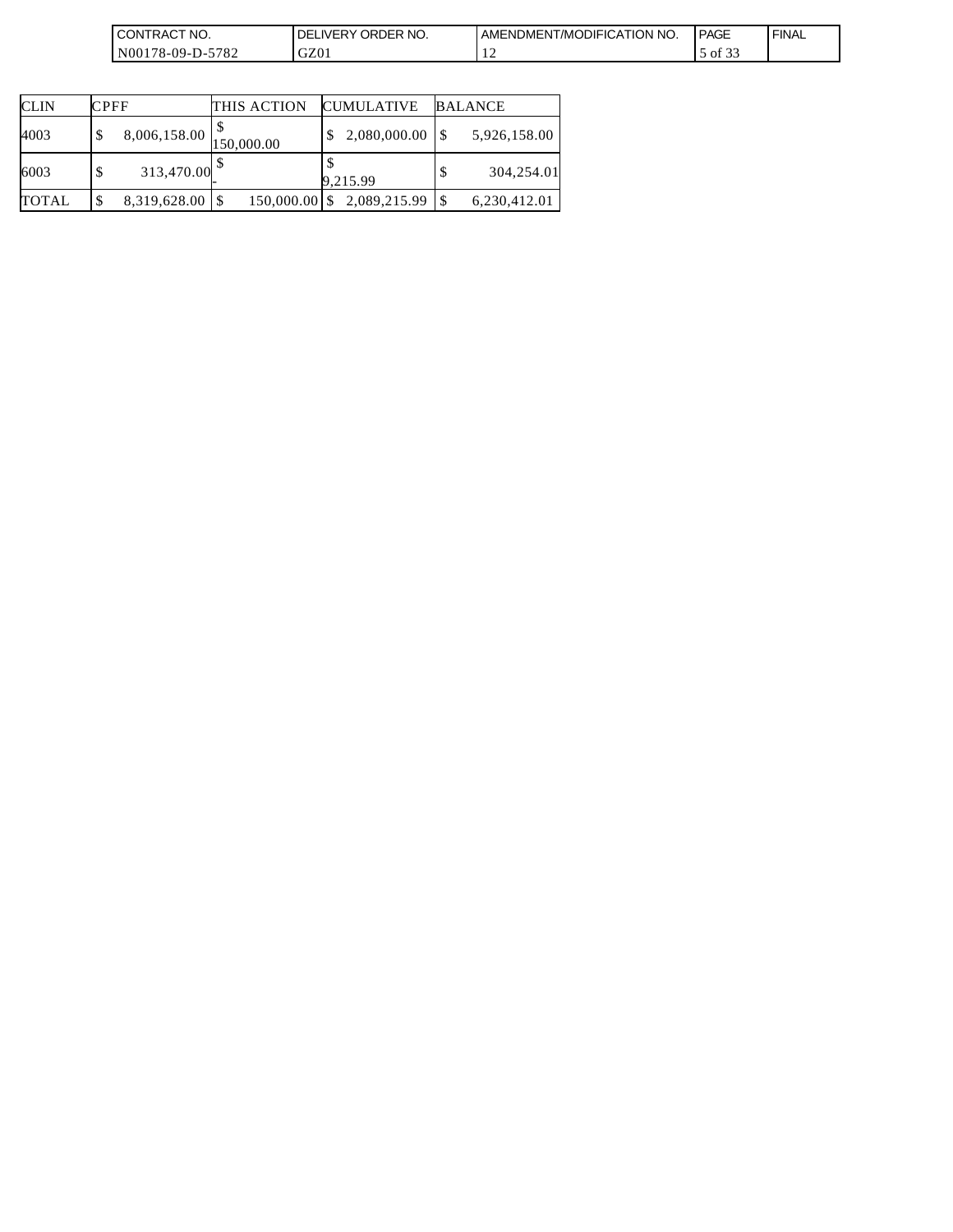| <b>CONTRACT</b><br>`NO.                                       | ORDER NO.<br>DEI<br><b>IVERY</b> | NT/MODIFICATION NO.<br><b>AMENDMENT</b> | <b>PAGE</b>                   | ' FINAL |
|---------------------------------------------------------------|----------------------------------|-----------------------------------------|-------------------------------|---------|
| 5700<br>N00178-09-D<br>ے ہ<br>$-$<br>$\overline{\phantom{a}}$ | GZ01                             | . .                                     | $\sim$ $\sim$ $\sim$<br>of 33 |         |

| <b>CLIN</b>  | <b>CPFF</b>           | THIS ACTION     | <b>CUMULATIVE</b> | <b>BALANCE</b> |
|--------------|-----------------------|-----------------|-------------------|----------------|
| 4003         | 8,006,158.00          | 150,000.00      | 2,080,000.00      | 5,926,158.00   |
| 6003         | 313,470.00 $^{\circ}$ |                 | 9.215.99          | 304,254.01     |
| <b>TOTAL</b> | 8,319,628.00 \$       | $150,000.00$ \$ | 2,089,215.99      | 6,230,412.01   |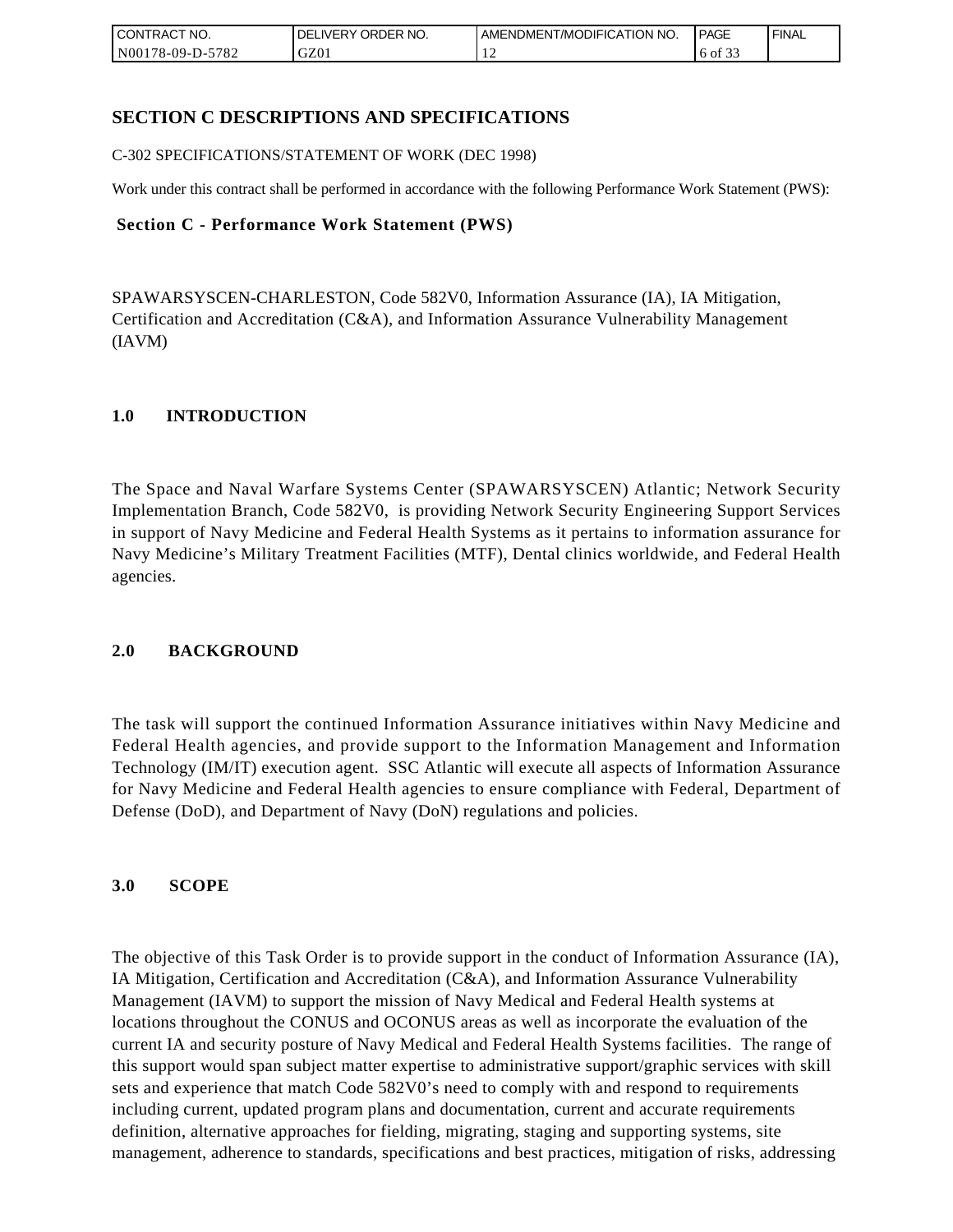| <b>CONTRACT NO.</b>    | NO.<br>' ORDER<br><b>DELIVERY</b> | AMENDMENT/MODIFICATION NO. | <b>PAGE</b>                      | ' FINAL |
|------------------------|-----------------------------------|----------------------------|----------------------------------|---------|
| N00178-09-D-5<br>-5782 | GZ01                              | . .                        | $\sim$ $\sim$<br>$\cdot$ 6 of 35 |         |

# **SECTION C DESCRIPTIONS AND SPECIFICATIONS**

C-302 SPECIFICATIONS/STATEMENT OF WORK (DEC 1998)

Work under this contract shall be performed in accordance with the following Performance Work Statement (PWS):

#### **Section C - Performance Work Statement (PWS)**

SPAWARSYSCEN-CHARLESTON, Code 582V0, Information Assurance (IA), IA Mitigation, Certification and Accreditation (C&A), and Information Assurance Vulnerability Management (IAVM)

### **1.0 INTRODUCTION**

The Space and Naval Warfare Systems Center (SPAWARSYSCEN) Atlantic; Network Security Implementation Branch, Code 582V0, is providing Network Security Engineering Support Services in support of Navy Medicine and Federal Health Systems as it pertains to information assurance for Navy Medicine's Military Treatment Facilities (MTF), Dental clinics worldwide, and Federal Health agencies.

### **2.0 BACKGROUND**

The task will support the continued Information Assurance initiatives within Navy Medicine and Federal Health agencies, and provide support to the Information Management and Information Technology (IM/IT) execution agent. SSC Atlantic will execute all aspects of Information Assurance for Navy Medicine and Federal Health agencies to ensure compliance with Federal, Department of Defense (DoD), and Department of Navy (DoN) regulations and policies.

### **3.0 SCOPE**

The objective of this Task Order is to provide support in the conduct of Information Assurance (IA), IA Mitigation, Certification and Accreditation (C&A), and Information Assurance Vulnerability Management (IAVM) to support the mission of Navy Medical and Federal Health systems at locations throughout the CONUS and OCONUS areas as well as incorporate the evaluation of the current IA and security posture of Navy Medical and Federal Health Systems facilities. The range of this support would span subject matter expertise to administrative support/graphic services with skill sets and experience that match Code 582V0's need to comply with and respond to requirements including current, updated program plans and documentation, current and accurate requirements definition, alternative approaches for fielding, migrating, staging and supporting systems, site management, adherence to standards, specifications and best practices, mitigation of risks, addressing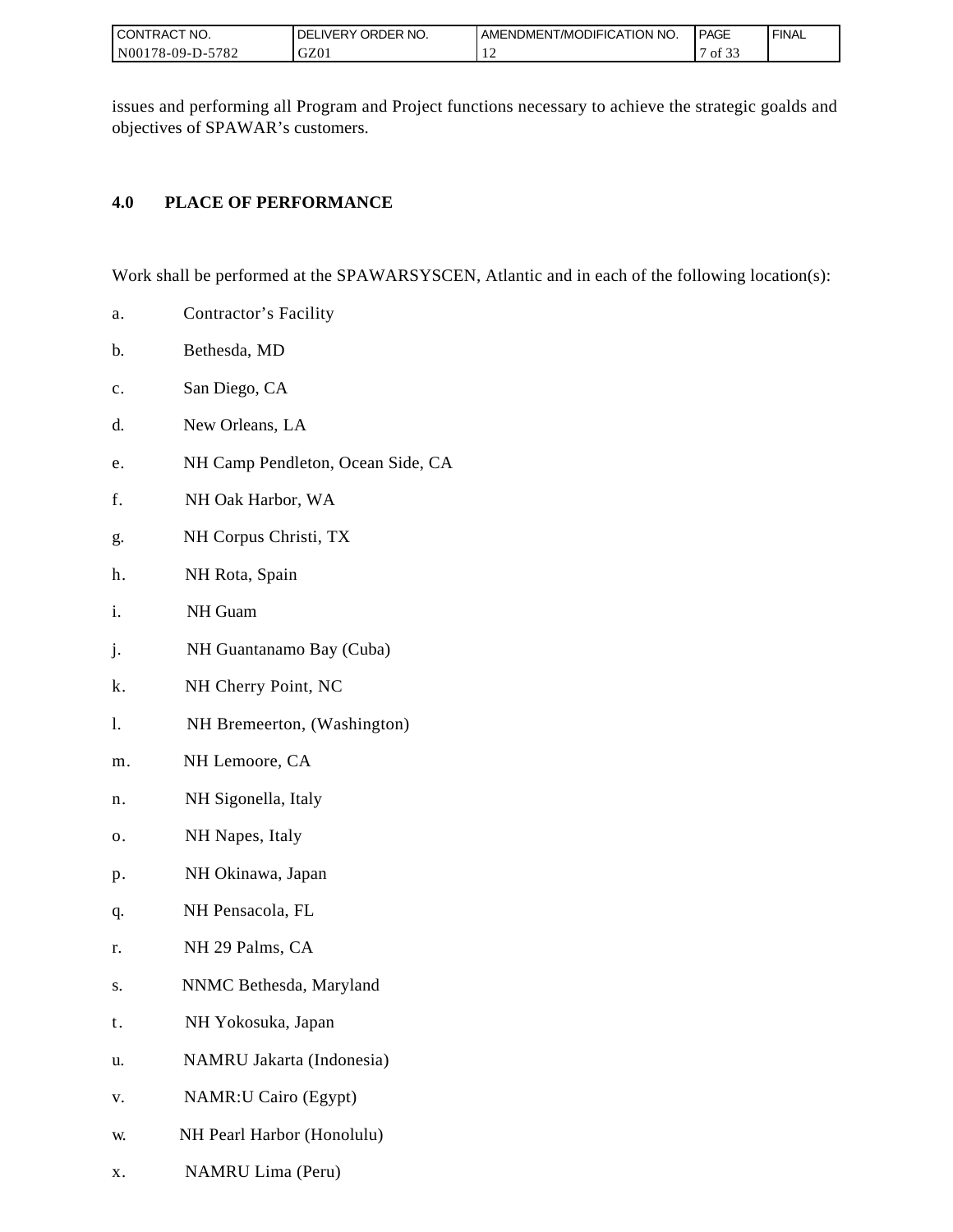| I CONTRACT NO.   | ORDER NO.<br><b>DELIVERY</b> | I AMENDMENT/MODIFICATION NO. | <b>PAGE</b>                    | ' FINAL |
|------------------|------------------------------|------------------------------|--------------------------------|---------|
| N00178-09-D-5782 | GZ01                         | $\overline{1}$               | $c \wedge c$<br>οt<br><u>.</u> |         |

issues and performing all Program and Project functions necessary to achieve the strategic goalds and objectives of SPAWAR's customers.

# **4.0 PLACE OF PERFORMANCE**

Work shall be performed at the SPAWARSYSCEN, Atlantic and in each of the following location(s):

- a. Contractor's Facility
- b. Bethesda, MD
- c. San Diego, CA
- d. New Orleans, LA
- e. NH Camp Pendleton, Ocean Side, CA
- f. NH Oak Harbor, WA
- g. NH Corpus Christi, TX
- h. NH Rota, Spain
- i. NH Guam
- j. NH Guantanamo Bay (Cuba)
- k. NH Cherry Point, NC
- l. NH Bremeerton, (Washington)
- m. NH Lemoore, CA
- n. NH Sigonella, Italy
- o. NH Napes, Italy
- p. NH Okinawa, Japan
- q. NH Pensacola, FL
- r. NH 29 Palms, CA
- s. NNMC Bethesda, Maryland
- t. NH Yokosuka, Japan
- u. NAMRU Jakarta (Indonesia)
- v. NAMR:U Cairo (Egypt)
- w. NH Pearl Harbor (Honolulu)
- x. NAMRU Lima (Peru)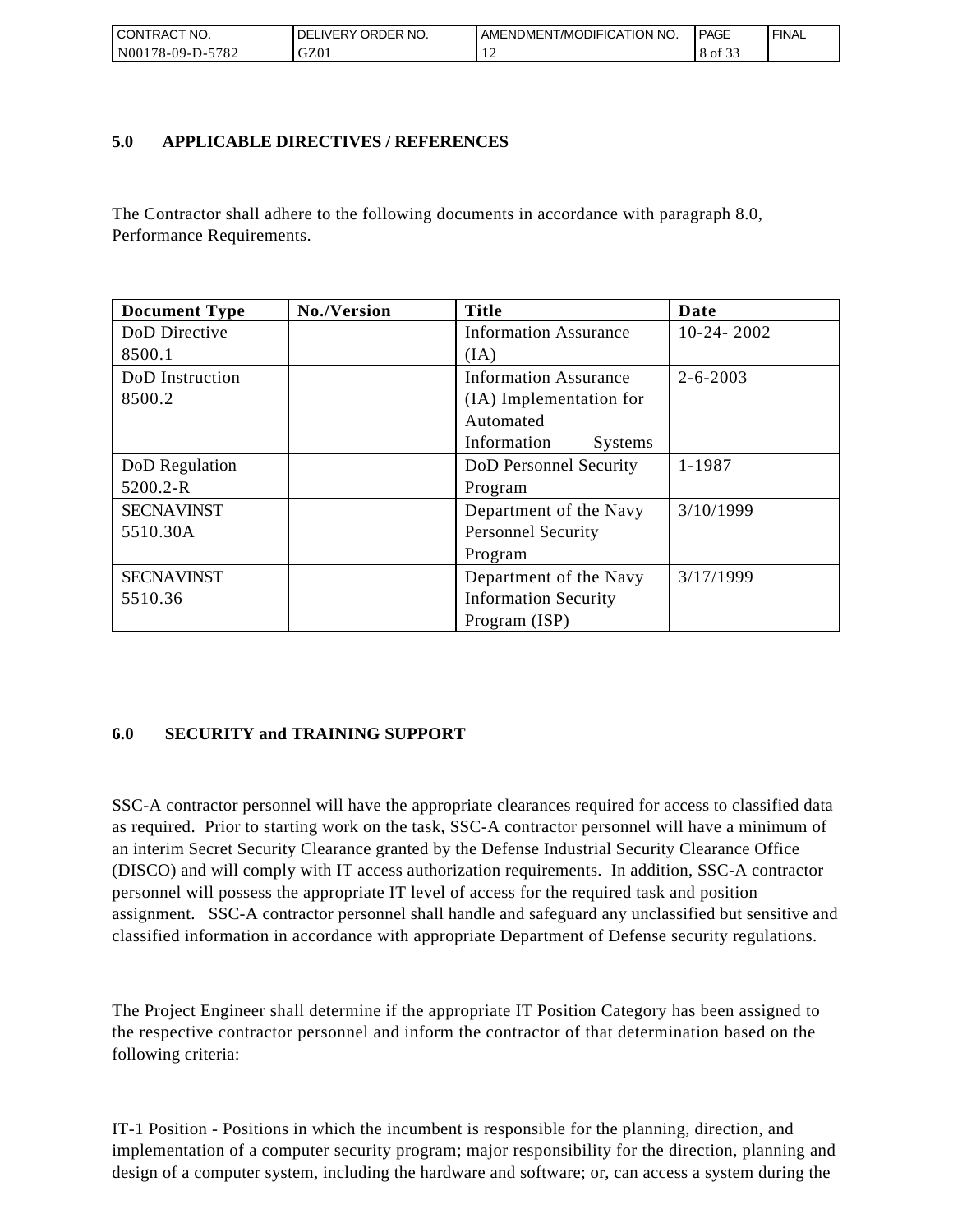| I CONTRACT NO.   | I DELIVERY ORDER NO. | AMENDMENT/MODIFICATION NO. | PAGE    | ' FINAL |
|------------------|----------------------|----------------------------|---------|---------|
| N00178-09-D-5782 | GZ01                 |                            | 8 of 33 |         |

## **5.0 APPLICABLE DIRECTIVES / REFERENCES**

The Contractor shall adhere to the following documents in accordance with paragraph 8.0, Performance Requirements.

| <b>Document Type</b> | No./Version | <b>Title</b>                 | Date           |
|----------------------|-------------|------------------------------|----------------|
| DoD Directive        |             | <b>Information Assurance</b> | $10-24-2002$   |
| 8500.1               |             | (IA)                         |                |
| DoD Instruction      |             | <b>Information Assurance</b> | $2 - 6 - 2003$ |
| 8500.2               |             | (IA) Implementation for      |                |
|                      |             | Automated                    |                |
|                      |             | Information<br>Systems       |                |
| DoD Regulation       |             | DoD Personnel Security       | 1-1987         |
| 5200.2-R             |             | Program                      |                |
| <b>SECNAVINST</b>    |             | Department of the Navy       | 3/10/1999      |
| 5510.30A             |             | <b>Personnel Security</b>    |                |
|                      |             | Program                      |                |
| <b>SECNAVINST</b>    |             | Department of the Navy       | 3/17/1999      |
| 5510.36              |             | <b>Information Security</b>  |                |
|                      |             | Program (ISP)                |                |

# **6.0 SECURITY and TRAINING SUPPORT**

SSC-A contractor personnel will have the appropriate clearances required for access to classified data as required. Prior to starting work on the task, SSC-A contractor personnel will have a minimum of an interim Secret Security Clearance granted by the Defense Industrial Security Clearance Office (DISCO) and will comply with IT access authorization requirements. In addition, SSC-A contractor personnel will possess the appropriate IT level of access for the required task and position assignment. SSC-A contractor personnel shall handle and safeguard any unclassified but sensitive and classified information in accordance with appropriate Department of Defense security regulations.

The Project Engineer shall determine if the appropriate IT Position Category has been assigned to the respective contractor personnel and inform the contractor of that determination based on the following criteria:

IT-1 Position - Positions in which the incumbent is responsible for the planning, direction, and implementation of a computer security program; major responsibility for the direction, planning and design of a computer system, including the hardware and software; or, can access a system during the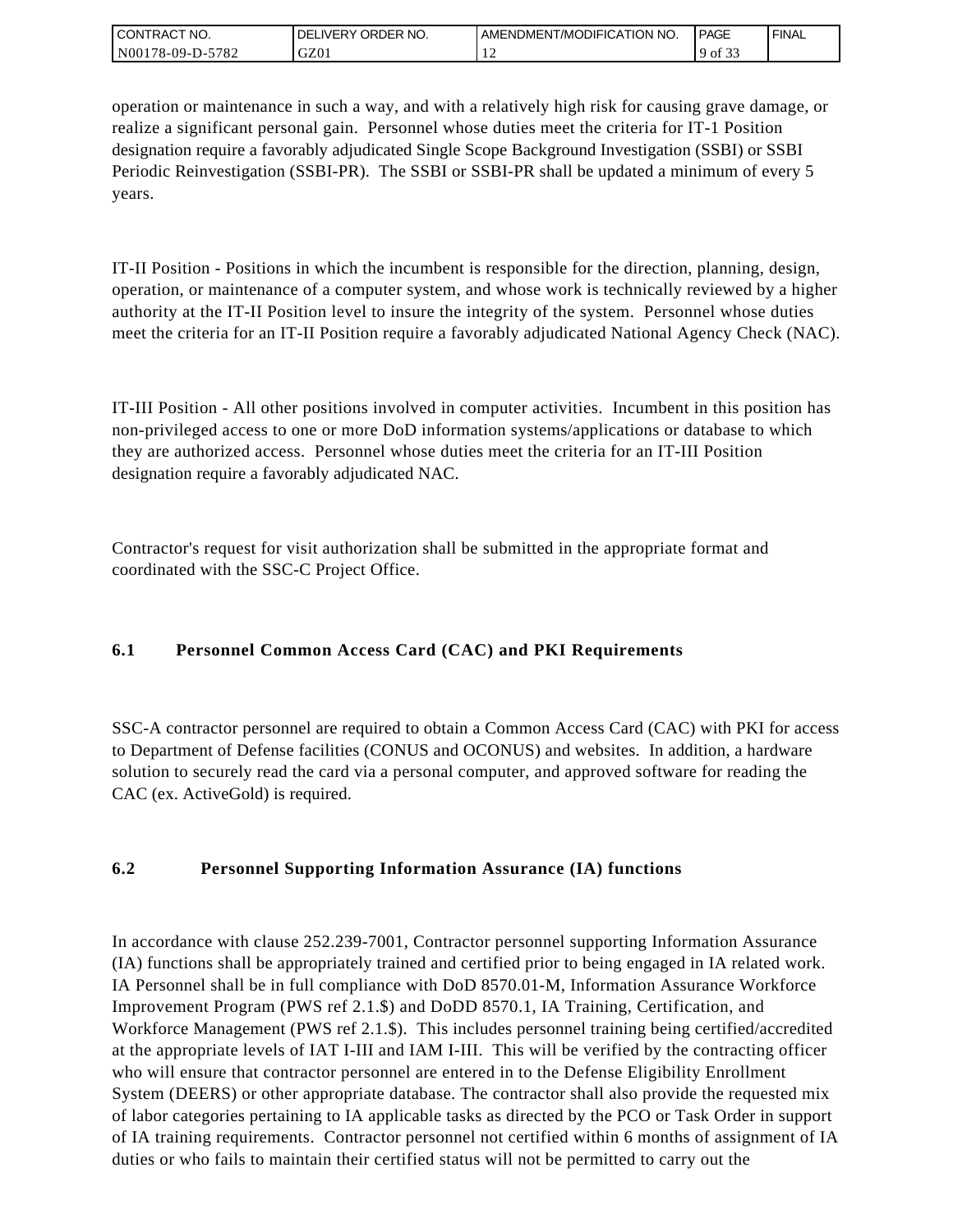| I CONTRACT NO.   | ' ORDER NO.<br>_IVERY<br>DELI | AMENDMENT/MODIFICATION NO. | <b>PAGE</b> | `FINAL |
|------------------|-------------------------------|----------------------------|-------------|--------|
| N00178-09-D-5782 | GZ01                          |                            | 9 of<br>. ٻ |        |

operation or maintenance in such a way, and with a relatively high risk for causing grave damage, or realize a significant personal gain. Personnel whose duties meet the criteria for IT-1 Position designation require a favorably adjudicated Single Scope Background Investigation (SSBI) or SSBI Periodic Reinvestigation (SSBI-PR). The SSBI or SSBI-PR shall be updated a minimum of every 5 years.

IT-II Position - Positions in which the incumbent is responsible for the direction, planning, design, operation, or maintenance of a computer system, and whose work is technically reviewed by a higher authority at the IT-II Position level to insure the integrity of the system. Personnel whose duties meet the criteria for an IT-II Position require a favorably adjudicated National Agency Check (NAC).

IT-III Position - All other positions involved in computer activities. Incumbent in this position has non-privileged access to one or more DoD information systems/applications or database to which they are authorized access. Personnel whose duties meet the criteria for an IT-III Position designation require a favorably adjudicated NAC.

Contractor's request for visit authorization shall be submitted in the appropriate format and coordinated with the SSC-C Project Office.

# **6.1 Personnel Common Access Card (CAC) and PKI Requirements**

SSC-A contractor personnel are required to obtain a Common Access Card (CAC) with PKI for access to Department of Defense facilities (CONUS and OCONUS) and websites. In addition, a hardware solution to securely read the card via a personal computer, and approved software for reading the CAC (ex. ActiveGold) is required.

# **6.2 Personnel Supporting Information Assurance (IA) functions**

In accordance with clause 252.239-7001, Contractor personnel supporting Information Assurance (IA) functions shall be appropriately trained and certified prior to being engaged in IA related work. IA Personnel shall be in full compliance with DoD 8570.01-M, Information Assurance Workforce Improvement Program (PWS ref 2.1.\$) and DoDD 8570.1, IA Training, Certification, and Workforce Management (PWS ref 2.1.\$). This includes personnel training being certified/accredited at the appropriate levels of IAT I-III and IAM I-III. This will be verified by the contracting officer who will ensure that contractor personnel are entered in to the Defense Eligibility Enrollment System (DEERS) or other appropriate database. The contractor shall also provide the requested mix of labor categories pertaining to IA applicable tasks as directed by the PCO or Task Order in support of IA training requirements. Contractor personnel not certified within 6 months of assignment of IA duties or who fails to maintain their certified status will not be permitted to carry out the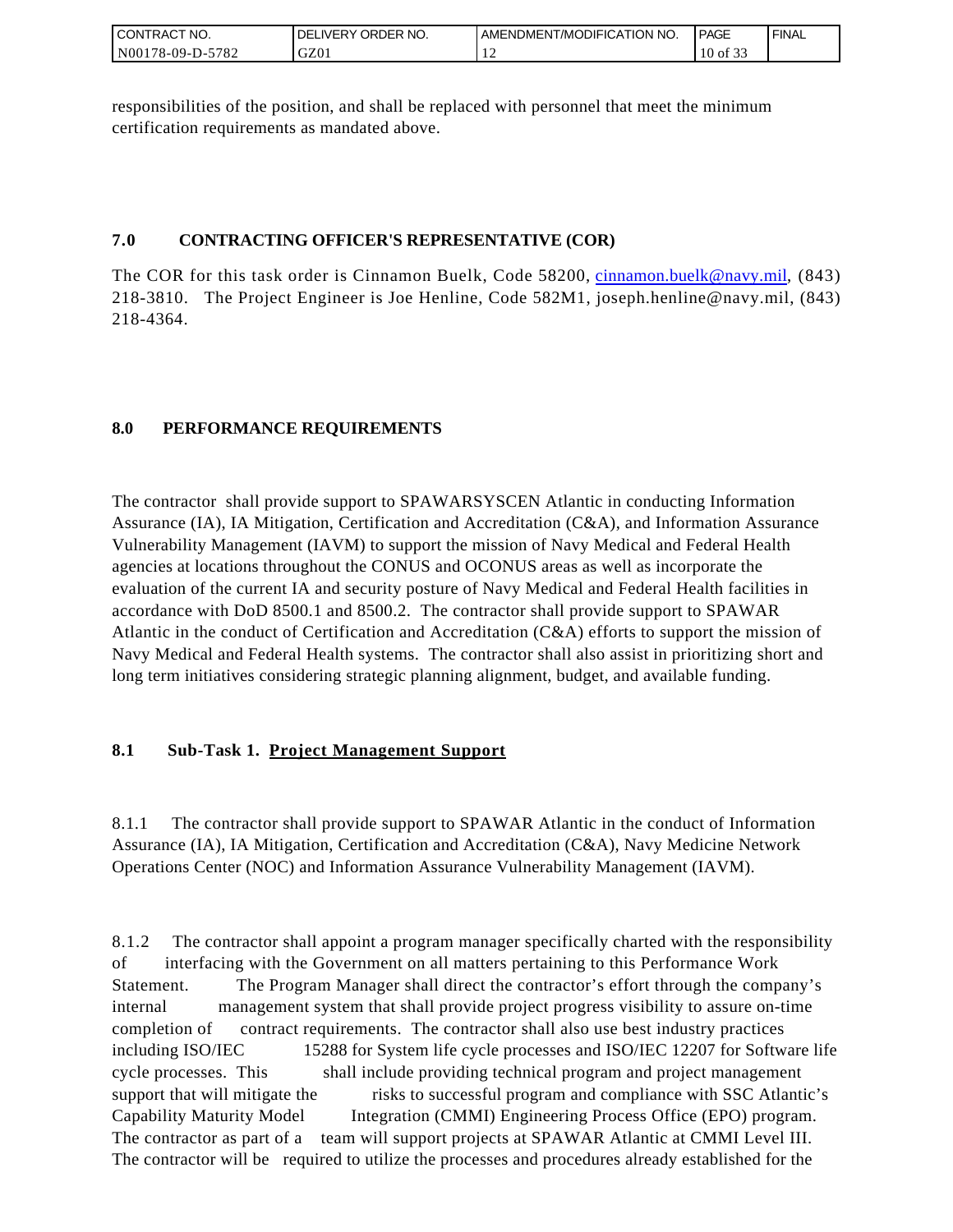| I CONTRACT NO.         | ORDER <sup>'</sup><br>NO.<br><b>DELIVERY</b> | AMENDMENT/MODIFICATION NO. | <b>PAGE</b>                   | ' FINAL |
|------------------------|----------------------------------------------|----------------------------|-------------------------------|---------|
| N00178-09-D-5<br>-5782 | GZ01                                         | . .                        | $\sim$ $\sim$ $\sim$<br>of 33 |         |

responsibilities of the position, and shall be replaced with personnel that meet the minimum certification requirements as mandated above.

## **7.0 CONTRACTING OFFICER'S REPRESENTATIVE (COR)**

The COR for this task order is Cinnamon Buelk, Code 58200, [cinnamon.buelk@navy.mil,](mailto:cinnamon.buelk@navy.mil) (843) 218-3810. The Project Engineer is Joe Henline, Code 582M1, joseph.henline@navy.mil, (843) 218-4364.

# **8.0 PERFORMANCE REQUIREMENTS**

The contractor shall provide support to SPAWARSYSCEN Atlantic in conducting Information Assurance (IA), IA Mitigation, Certification and Accreditation (C&A), and Information Assurance Vulnerability Management (IAVM) to support the mission of Navy Medical and Federal Health agencies at locations throughout the CONUS and OCONUS areas as well as incorporate the evaluation of the current IA and security posture of Navy Medical and Federal Health facilities in accordance with DoD 8500.1 and 8500.2. The contractor shall provide support to SPAWAR Atlantic in the conduct of Certification and Accreditation (C&A) efforts to support the mission of Navy Medical and Federal Health systems. The contractor shall also assist in prioritizing short and long term initiatives considering strategic planning alignment, budget, and available funding.

# **8.1 Sub-Task 1. Project Management Support**

8.1.1 The contractor shall provide support to SPAWAR Atlantic in the conduct of Information Assurance (IA), IA Mitigation, Certification and Accreditation (C&A), Navy Medicine Network Operations Center (NOC) and Information Assurance Vulnerability Management (IAVM).

8.1.2 The contractor shall appoint a program manager specifically charted with the responsibility of interfacing with the Government on all matters pertaining to this Performance Work Statement. The Program Manager shall direct the contractor's effort through the company's internal management system that shall provide project progress visibility to assure on-time completion of contract requirements. The contractor shall also use best industry practices including ISO/IEC 15288 for System life cycle processes and ISO/IEC 12207 for Software life cycle processes. This shall include providing technical program and project management support that will mitigate the risks to successful program and compliance with SSC Atlantic's Capability Maturity Model Integration (CMMI) Engineering Process Office (EPO) program. The contractor as part of a team will support projects at SPAWAR Atlantic at CMMI Level III. The contractor will be required to utilize the processes and procedures already established for the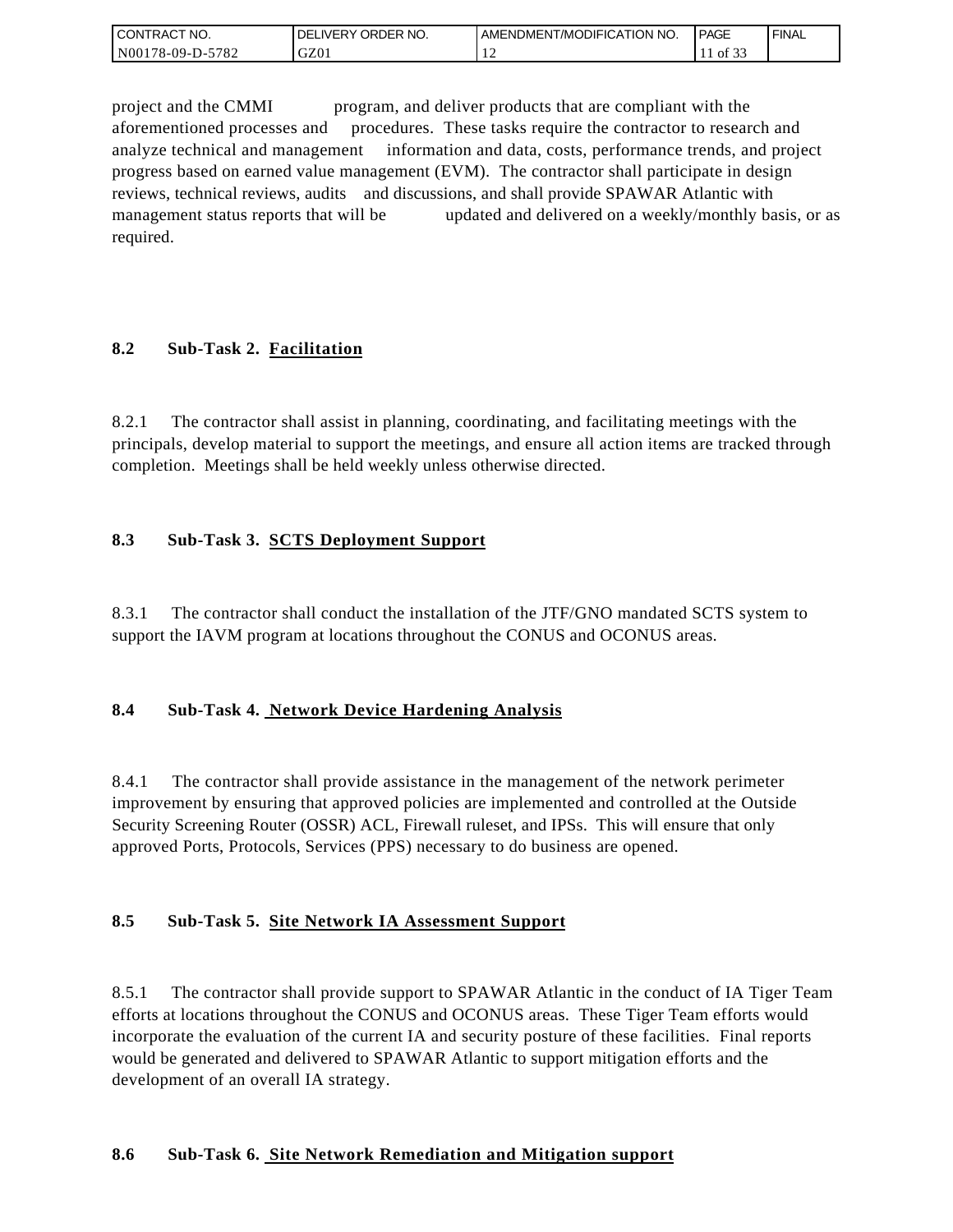| <b>CONTRACT NO.</b> | ' ORDER NO.<br><b>DELIVERY</b> | I AMENDMENT/MODIFICATION NO. | PAGE                  | ' FINAL |
|---------------------|--------------------------------|------------------------------|-----------------------|---------|
| N00178-09-D-5782    | GZ0 <sub>1</sub>               |                              | 0.22<br>$\cdot$ of 3. |         |

project and the CMMI program, and deliver products that are compliant with the aforementioned processes and procedures. These tasks require the contractor to research and analyze technical and management information and data, costs, performance trends, and project progress based on earned value management (EVM). The contractor shall participate in design reviews, technical reviews, audits and discussions, and shall provide SPAWAR Atlantic with management status reports that will be updated and delivered on a weekly/monthly basis, or as required.

## **8.2 Sub-Task 2. Facilitation**

8.2.1 The contractor shall assist in planning, coordinating, and facilitating meetings with the principals, develop material to support the meetings, and ensure all action items are tracked through completion. Meetings shall be held weekly unless otherwise directed.

## **8.3 Sub-Task 3. SCTS Deployment Support**

8.3.1 The contractor shall conduct the installation of the JTF/GNO mandated SCTS system to support the IAVM program at locations throughout the CONUS and OCONUS areas.

### **8.4 Sub-Task 4. Network Device Hardening Analysis**

8.4.1 The contractor shall provide assistance in the management of the network perimeter improvement by ensuring that approved policies are implemented and controlled at the Outside Security Screening Router (OSSR) ACL, Firewall ruleset, and IPSs. This will ensure that only approved Ports, Protocols, Services (PPS) necessary to do business are opened.

### **8.5 Sub-Task 5. Site Network IA Assessment Support**

8.5.1 The contractor shall provide support to SPAWAR Atlantic in the conduct of IA Tiger Team efforts at locations throughout the CONUS and OCONUS areas. These Tiger Team efforts would incorporate the evaluation of the current IA and security posture of these facilities. Final reports would be generated and delivered to SPAWAR Atlantic to support mitigation efforts and the development of an overall IA strategy.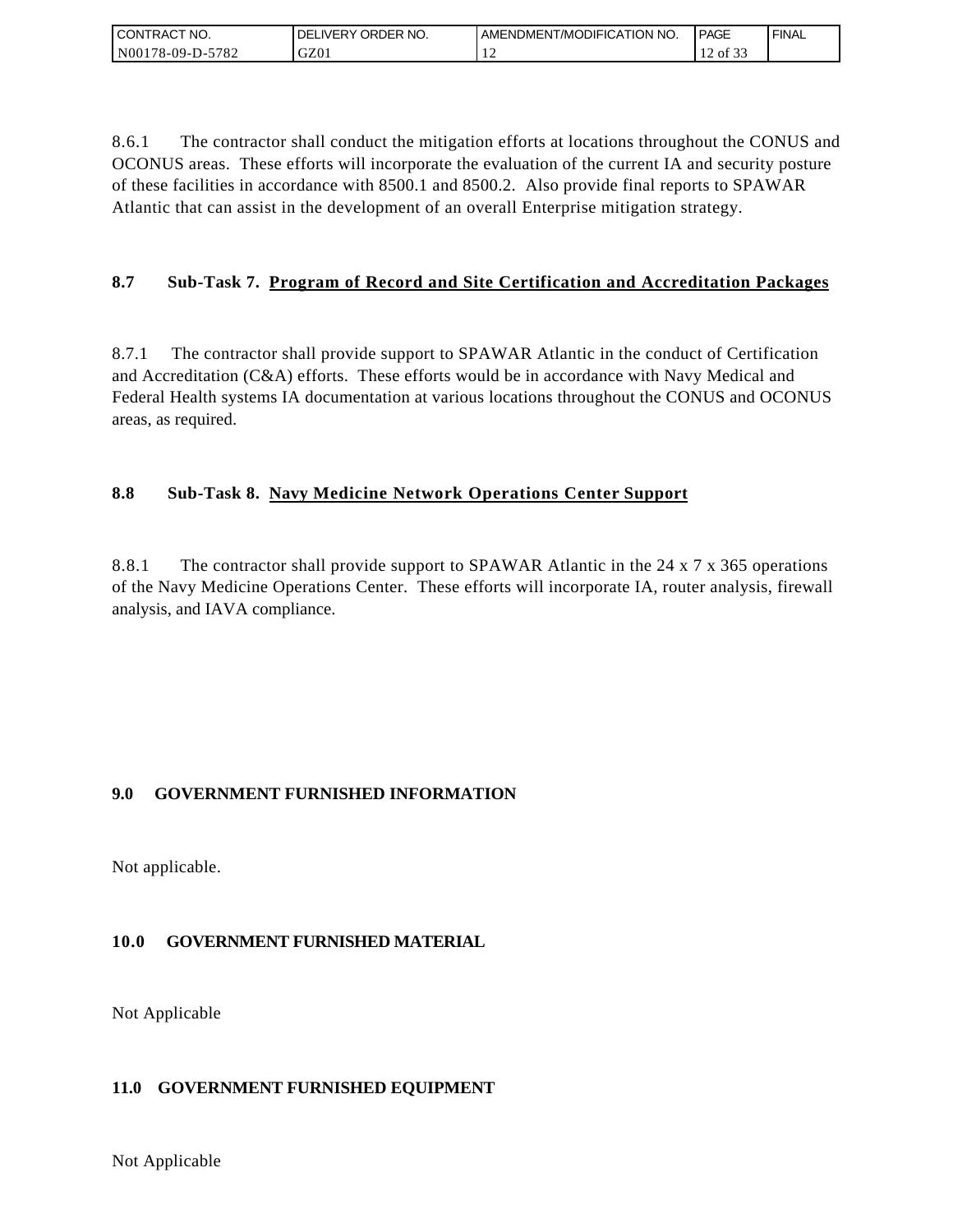| I CONTRACT NO.   | ´ORDER NO.<br><b>DELIVERY</b> | <b>JAMENDMENT/MODIFICATION NO.</b> | <b>PAGE</b> | `FINAL |
|------------------|-------------------------------|------------------------------------|-------------|--------|
| N00178-09-D-5782 | GZ01                          | . .                                | $12.01$ s.  |        |

8.6.1 The contractor shall conduct the mitigation efforts at locations throughout the CONUS and OCONUS areas. These efforts will incorporate the evaluation of the current IA and security posture of these facilities in accordance with 8500.1 and 8500.2. Also provide final reports to SPAWAR Atlantic that can assist in the development of an overall Enterprise mitigation strategy.

# **8.7 Sub-Task 7. Program of Record and Site Certification and Accreditation Packages**

8.7.1 The contractor shall provide support to SPAWAR Atlantic in the conduct of Certification and Accreditation (C&A) efforts. These efforts would be in accordance with Navy Medical and Federal Health systems IA documentation at various locations throughout the CONUS and OCONUS areas, as required.

## **8.8 Sub-Task 8. Navy Medicine Network Operations Center Support**

8.8.1 The contractor shall provide support to SPAWAR Atlantic in the 24 x 7 x 365 operations of the Navy Medicine Operations Center. These efforts will incorporate IA, router analysis, firewall analysis, and IAVA compliance.

### **9.0 GOVERNMENT FURNISHED INFORMATION**

Not applicable.

# **10.0 GOVERNMENT FURNISHED MATERIAL**

Not Applicable

### **11.0 GOVERNMENT FURNISHED EQUIPMENT**

Not Applicable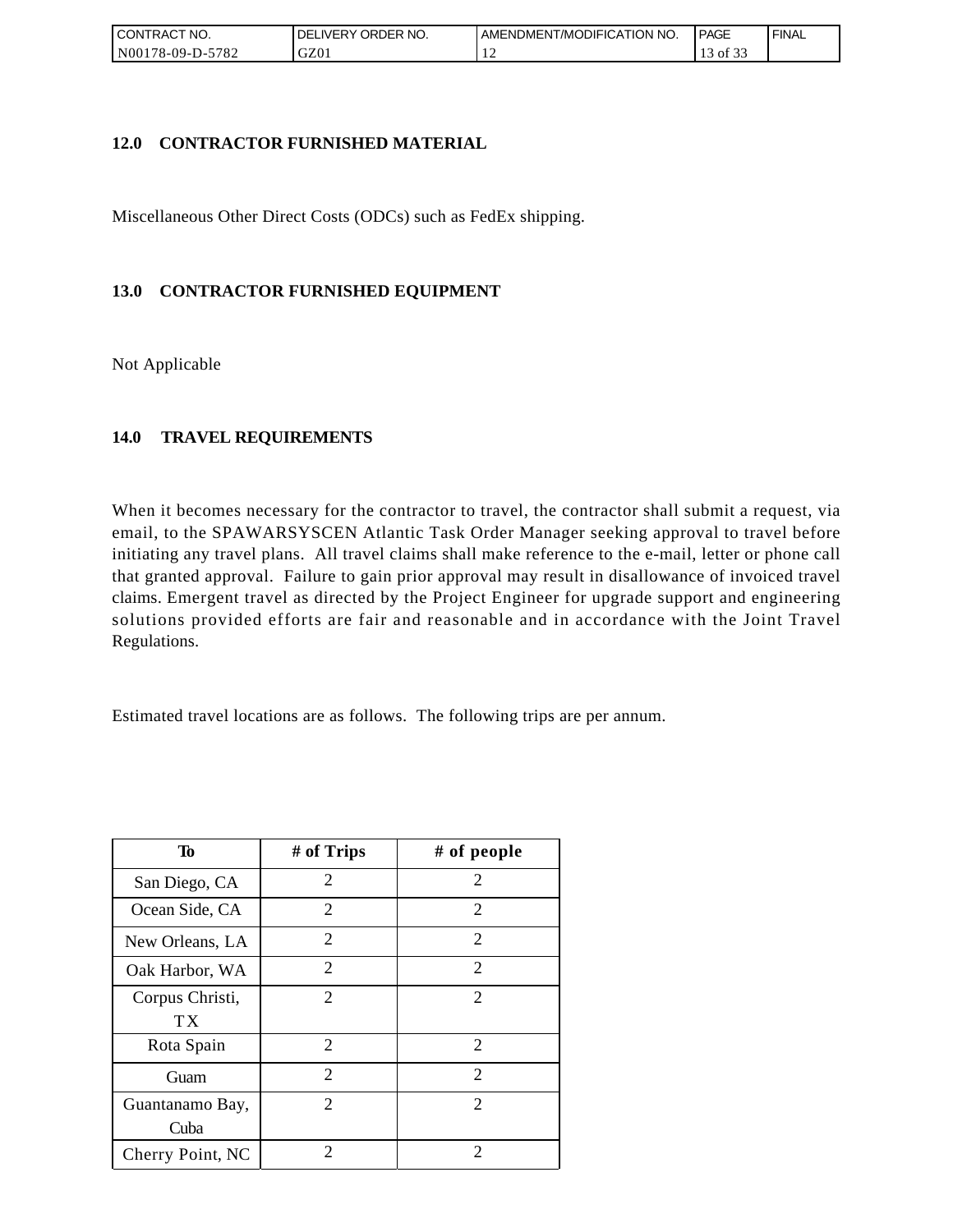| CONTRACT NO.            | ORDER NO.<br><b>DELIVERY</b> | AMENDMENT/MODIFICATION NO. | <b>PAGE</b>    | ' FINAL |
|-------------------------|------------------------------|----------------------------|----------------|---------|
| 5782<br>$NO0178-09-D-2$ | GZ01                         |                            | ΟĪ<br><u>.</u> |         |

### **12.0 CONTRACTOR FURNISHED MATERIAL**

Miscellaneous Other Direct Costs (ODCs) such as FedEx shipping.

## **13.0 CONTRACTOR FURNISHED EQUIPMENT**

Not Applicable

## **14.0 TRAVEL REQUIREMENTS**

When it becomes necessary for the contractor to travel, the contractor shall submit a request, via email, to the SPAWARSYSCEN Atlantic Task Order Manager seeking approval to travel before initiating any travel plans. All travel claims shall make reference to the e-mail, letter or phone call that granted approval. Failure to gain prior approval may result in disallowance of invoiced travel claims. Emergent travel as directed by the Project Engineer for upgrade support and engineering solutions provided efforts are fair and reasonable and in accordance with the Joint Travel Regulations.

Estimated travel locations are as follows. The following trips are per annum.

| To                      | # of Trips                  | # of people                 |
|-------------------------|-----------------------------|-----------------------------|
| San Diego, CA           | 2                           | 2                           |
| Ocean Side, CA          | 2                           | 2                           |
| New Orleans, LA         | $\overline{c}$              | 2                           |
| Oak Harbor, WA          | $\overline{2}$              | $\overline{2}$              |
| Corpus Christi,<br>ТX   | $\mathcal{D}_{\mathcal{L}}$ | $\mathcal{D}_{\mathcal{L}}$ |
| Rota Spain              | 2                           | 2                           |
| Guam                    | $\overline{2}$              | 2                           |
| Guantanamo Bay,<br>Cuba | $\mathcal{D}_{\mathcal{L}}$ | $\mathcal{D}_{\mathcal{L}}$ |
| Cherry Point, NC        | 2                           | 2                           |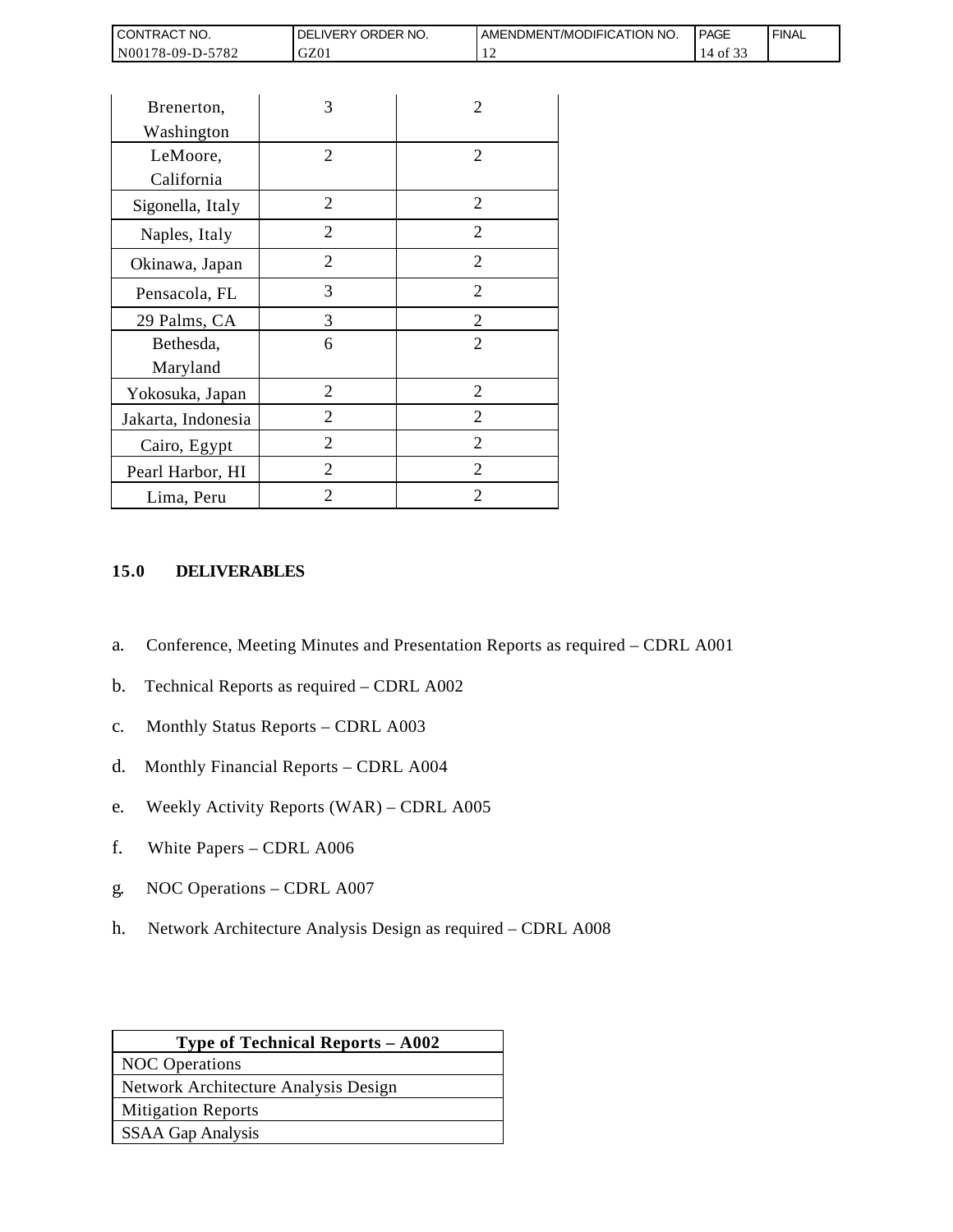| <b>CONTRACT NO.</b>               | NO.<br>ORDER<br><b>DELIVERY</b> | AMENDMENT/MODIFICATION NO. | <b>PAGE</b> | ' FINAL |
|-----------------------------------|---------------------------------|----------------------------|-------------|---------|
| N001<br>5782<br>$3178 - 09 - D -$ | GZ01                            | . .                        | ΟĪ          |         |

| CONTRACT NO.                                                                   | DELIVERY ORDER NO.                                                                                                                                                                                                                                            |                | AMENDMEN |
|--------------------------------------------------------------------------------|---------------------------------------------------------------------------------------------------------------------------------------------------------------------------------------------------------------------------------------------------------------|----------------|----------|
| N00178-09-D-5782                                                               | GZ01                                                                                                                                                                                                                                                          |                | 12       |
|                                                                                |                                                                                                                                                                                                                                                               |                |          |
| Brenerton,                                                                     | 3                                                                                                                                                                                                                                                             | 2              |          |
| Washington                                                                     |                                                                                                                                                                                                                                                               |                |          |
| LeMoore,                                                                       | 2                                                                                                                                                                                                                                                             | 2              |          |
| California                                                                     |                                                                                                                                                                                                                                                               |                |          |
| Sigonella, Italy                                                               | $\overline{2}$                                                                                                                                                                                                                                                | $\overline{2}$ |          |
| Naples, Italy                                                                  | $\mathbf{2}$                                                                                                                                                                                                                                                  | $\overline{2}$ |          |
| Okinawa, Japan                                                                 | $\overline{2}$                                                                                                                                                                                                                                                | 2              |          |
| Pensacola, FL                                                                  | 3                                                                                                                                                                                                                                                             | 2              |          |
| 29 Palms, CA                                                                   | 3                                                                                                                                                                                                                                                             | $\overline{c}$ |          |
| Bethesda,                                                                      | 6                                                                                                                                                                                                                                                             | $\overline{2}$ |          |
| Maryland                                                                       |                                                                                                                                                                                                                                                               |                |          |
| Yokosuka, Japan                                                                | $\overline{2}$                                                                                                                                                                                                                                                | $\overline{2}$ |          |
| Jakarta, Indonesia                                                             | 2                                                                                                                                                                                                                                                             | $\overline{2}$ |          |
| Cairo, Egypt                                                                   | 2                                                                                                                                                                                                                                                             | 2              |          |
| Pearl Harbor, HI                                                               | $\overline{2}$                                                                                                                                                                                                                                                | 2              |          |
| Lima, Peru                                                                     | $\overline{2}$                                                                                                                                                                                                                                                | 2              |          |
| a.<br>b.<br>$\mathbf{c}$ .<br>d.<br>e.<br>f.<br>White Papers - CDRL A006<br>g. | Conference, Meeting Minutes and Presentation Reports a<br>Technical Reports as required - CDRL A002<br>Monthly Status Reports - CDRL A003<br>Monthly Financial Reports - CDRL A004<br>Weekly Activity Reports (WAR) - CDRL A005<br>NOC Operations - CDRL A007 |                |          |
| h.                                                                             | Network Architecture Analysis Design as required – CDI                                                                                                                                                                                                        |                |          |
|                                                                                | Type of Technical Reports - A002                                                                                                                                                                                                                              |                |          |
| <b>NOC</b> Operations<br>Network Architecture Analysis Design                  |                                                                                                                                                                                                                                                               |                |          |
| <b>Mitigation Reports</b>                                                      |                                                                                                                                                                                                                                                               |                |          |
| <b>SSAA Gap Analysis</b>                                                       |                                                                                                                                                                                                                                                               |                |          |
|                                                                                |                                                                                                                                                                                                                                                               |                |          |

#### **15.0 DELIVERABLES**

- a. Conference, Meeting Minutes and Presentation Reports as required CDRL A001
- b. Technical Reports as required CDRL A002
- c. Monthly Status Reports CDRL A003
- d. Monthly Financial Reports CDRL A004
- e. Weekly Activity Reports (WAR) CDRL A005
- f. White Papers CDRL A006
- g. NOC Operations CDRL A007
- h. Network Architecture Analysis Design as required CDRL A008

| <b>Type of Technical Reports – A002</b> |
|-----------------------------------------|
| <b>NOC</b> Operations                   |
| Network Architecture Analysis Design    |
| <b>Mitigation Reports</b>               |
| <b>SSAA Gap Analysis</b>                |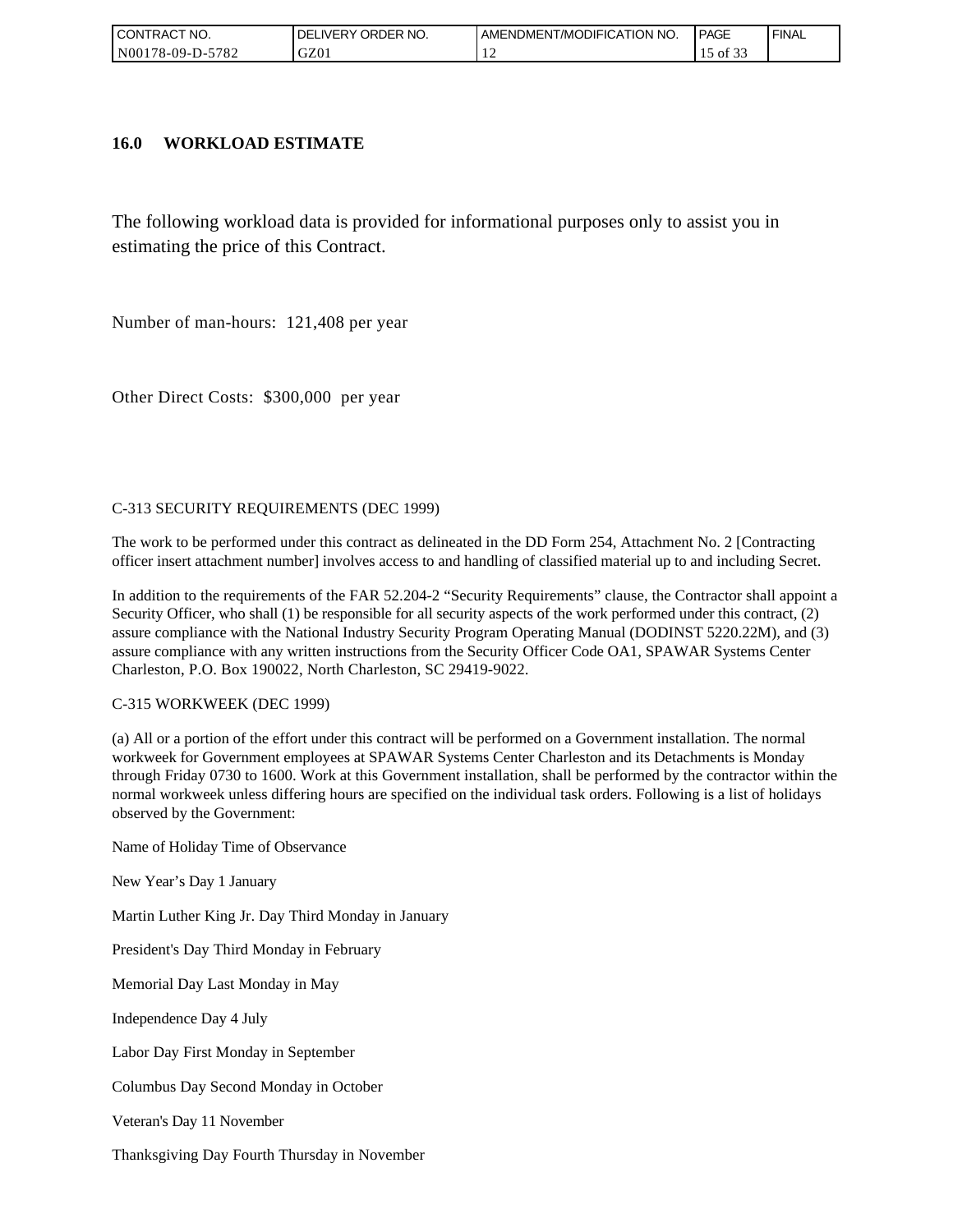| CONTRACT NO.            | ORDER NO.<br>DELI<br>_IVERY | AMENDMENT/MODIFICATION NO. | <b>PAGE</b> | ' FINAL |
|-------------------------|-----------------------------|----------------------------|-------------|---------|
| 5782<br>  N00178-09-D-5 | GZ01                        |                            | ΟĪ<br>ັ້    |         |

#### **16.0 WORKLOAD ESTIMATE**

The following workload data is provided for informational purposes only to assist you in estimating the price of this Contract.

Number of man-hours: 121,408 per year

Other Direct Costs: \$300,000 per year

#### C-313 SECURITY REQUIREMENTS (DEC 1999)

The work to be performed under this contract as delineated in the DD Form 254, Attachment No. 2 [Contracting officer insert attachment number] involves access to and handling of classified material up to and including Secret.

In addition to the requirements of the FAR 52.204-2 "Security Requirements" clause, the Contractor shall appoint a Security Officer, who shall (1) be responsible for all security aspects of the work performed under this contract, (2) assure compliance with the National Industry Security Program Operating Manual (DODINST 5220.22M), and (3) assure compliance with any written instructions from the Security Officer Code OA1, SPAWAR Systems Center Charleston, P.O. Box 190022, North Charleston, SC 29419-9022.

#### C-315 WORKWEEK (DEC 1999)

(a) All or a portion of the effort under this contract will be performed on a Government installation. The normal workweek for Government employees at SPAWAR Systems Center Charleston and its Detachments is Monday through Friday 0730 to 1600. Work at this Government installation, shall be performed by the contractor within the normal workweek unless differing hours are specified on the individual task orders. Following is a list of holidays observed by the Government:

Name of Holiday Time of Observance

New Year's Day 1 January

Martin Luther King Jr. Day Third Monday in January

President's Day Third Monday in February

Memorial Day Last Monday in May

Independence Day 4 July

Labor Day First Monday in September

Columbus Day Second Monday in October

Veteran's Day 11 November

Thanksgiving Day Fourth Thursday in November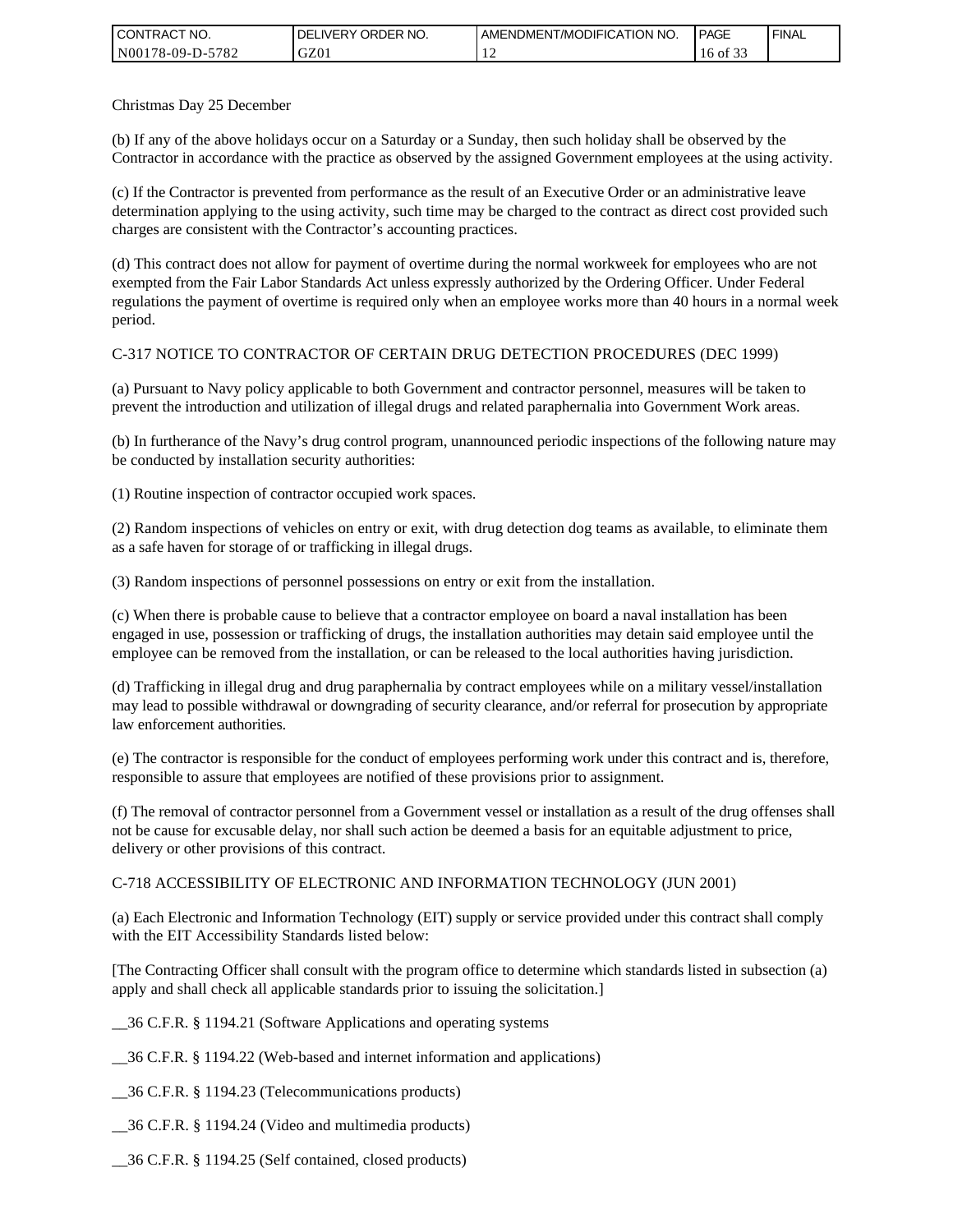| <b>CONTRACT NO.</b> | I DELIVERY ORDER NO. | AMENDMENT/MODIFICATION NO. | PAGE           | ' FINAL |
|---------------------|----------------------|----------------------------|----------------|---------|
| N00178-09-D-5782    | GZ01                 |                            | 0Ī<br>16<br>ີ່ |         |

Christmas Day 25 December

(b) If any of the above holidays occur on a Saturday or a Sunday, then such holiday shall be observed by the Contractor in accordance with the practice as observed by the assigned Government employees at the using activity.

(c) If the Contractor is prevented from performance as the result of an Executive Order or an administrative leave determination applying to the using activity, such time may be charged to the contract as direct cost provided such charges are consistent with the Contractor's accounting practices.

(d) This contract does not allow for payment of overtime during the normal workweek for employees who are not exempted from the Fair Labor Standards Act unless expressly authorized by the Ordering Officer. Under Federal regulations the payment of overtime is required only when an employee works more than 40 hours in a normal week period.

#### C-317 NOTICE TO CONTRACTOR OF CERTAIN DRUG DETECTION PROCEDURES (DEC 1999)

(a) Pursuant to Navy policy applicable to both Government and contractor personnel, measures will be taken to prevent the introduction and utilization of illegal drugs and related paraphernalia into Government Work areas.

(b) In furtherance of the Navy's drug control program, unannounced periodic inspections of the following nature may be conducted by installation security authorities:

(1) Routine inspection of contractor occupied work spaces.

(2) Random inspections of vehicles on entry or exit, with drug detection dog teams as available, to eliminate them as a safe haven for storage of or trafficking in illegal drugs.

(3) Random inspections of personnel possessions on entry or exit from the installation.

(c) When there is probable cause to believe that a contractor employee on board a naval installation has been engaged in use, possession or trafficking of drugs, the installation authorities may detain said employee until the employee can be removed from the installation, or can be released to the local authorities having jurisdiction.

(d) Trafficking in illegal drug and drug paraphernalia by contract employees while on a military vessel/installation may lead to possible withdrawal or downgrading of security clearance, and/or referral for prosecution by appropriate law enforcement authorities.

(e) The contractor is responsible for the conduct of employees performing work under this contract and is, therefore, responsible to assure that employees are notified of these provisions prior to assignment.

(f) The removal of contractor personnel from a Government vessel or installation as a result of the drug offenses shall not be cause for excusable delay, nor shall such action be deemed a basis for an equitable adjustment to price, delivery or other provisions of this contract.

#### C-718 ACCESSIBILITY OF ELECTRONIC AND INFORMATION TECHNOLOGY (JUN 2001)

(a) Each Electronic and Information Technology (EIT) supply or service provided under this contract shall comply with the EIT Accessibility Standards listed below:

[The Contracting Officer shall consult with the program office to determine which standards listed in subsection (a) apply and shall check all applicable standards prior to issuing the solicitation.]

\_\_36 C.F.R. § 1194.21 (Software Applications and operating systems

\_\_36 C.F.R. § 1194.22 (Web-based and internet information and applications)

\_\_36 C.F.R. § 1194.23 (Telecommunications products)

\_\_36 C.F.R. § 1194.24 (Video and multimedia products)

\_\_36 C.F.R. § 1194.25 (Self contained, closed products)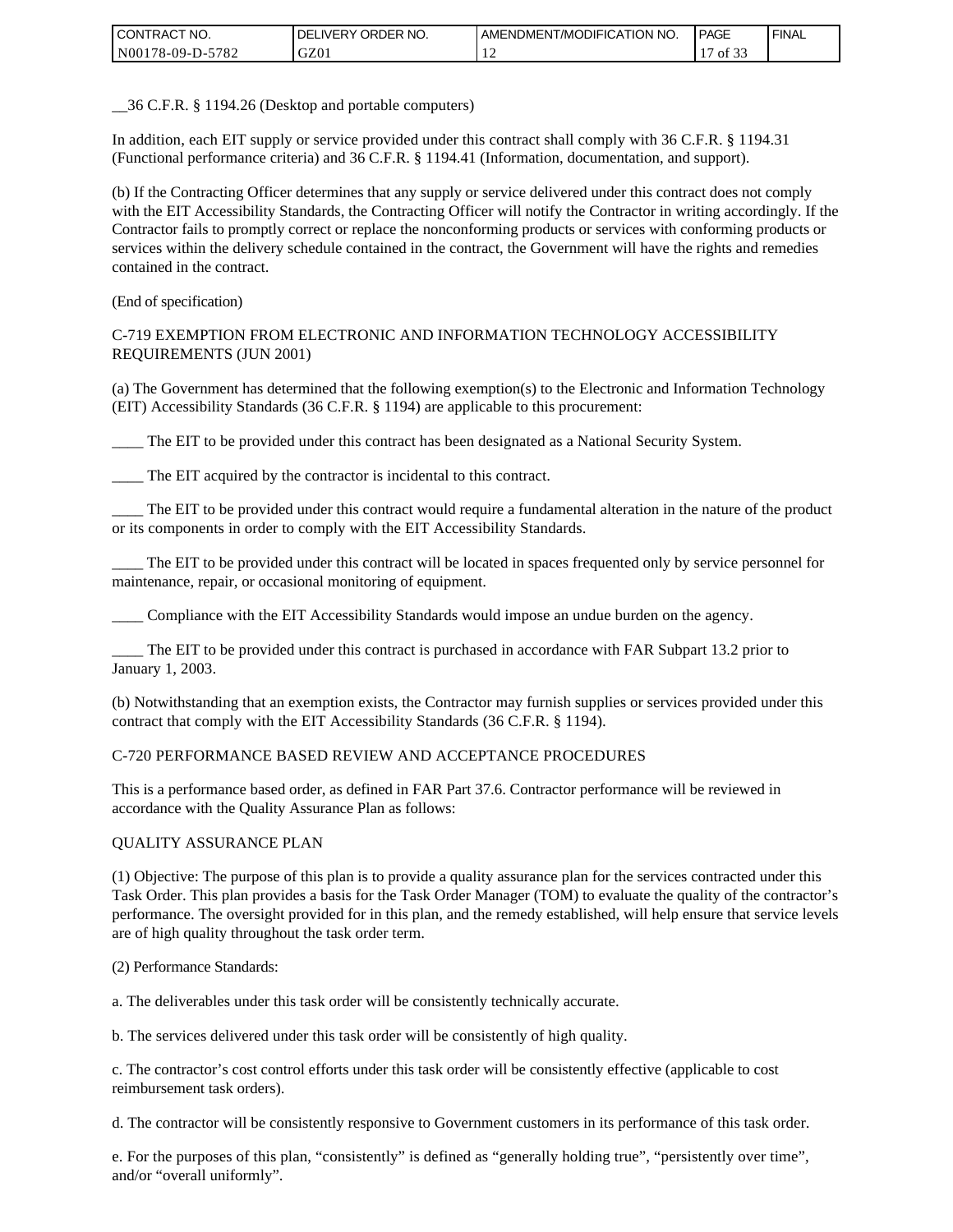| <b>CONTRACT NO.</b> | ' ORDER NO.<br><b>DELIVERY</b> | AMENDMENT/MODIFICATION NO. | <b>PAGE</b>      | ' FINAL |
|---------------------|--------------------------------|----------------------------|------------------|---------|
| N00178-09-D-5782    | GZ01                           |                            | 0.22<br>Οİ<br>ັ້ |         |

\_\_36 C.F.R. § 1194.26 (Desktop and portable computers)

In addition, each EIT supply or service provided under this contract shall comply with 36 C.F.R. § 1194.31 (Functional performance criteria) and 36 C.F.R. § 1194.41 (Information, documentation, and support).

(b) If the Contracting Officer determines that any supply or service delivered under this contract does not comply with the EIT Accessibility Standards, the Contracting Officer will notify the Contractor in writing accordingly. If the Contractor fails to promptly correct or replace the nonconforming products or services with conforming products or services within the delivery schedule contained in the contract, the Government will have the rights and remedies contained in the contract.

(End of specification)

#### C-719 EXEMPTION FROM ELECTRONIC AND INFORMATION TECHNOLOGY ACCESSIBILITY REQUIREMENTS (JUN 2001)

(a) The Government has determined that the following exemption(s) to the Electronic and Information Technology (EIT) Accessibility Standards (36 C.F.R. § 1194) are applicable to this procurement:

\_\_\_\_ The EIT to be provided under this contract has been designated as a National Security System.

The EIT acquired by the contractor is incidental to this contract.

\_\_\_\_ The EIT to be provided under this contract would require a fundamental alteration in the nature of the product or its components in order to comply with the EIT Accessibility Standards.

\_\_\_\_ The EIT to be provided under this contract will be located in spaces frequented only by service personnel for maintenance, repair, or occasional monitoring of equipment.

\_\_\_\_ Compliance with the EIT Accessibility Standards would impose an undue burden on the agency.

The EIT to be provided under this contract is purchased in accordance with FAR Subpart 13.2 prior to January 1, 2003.

(b) Notwithstanding that an exemption exists, the Contractor may furnish supplies or services provided under this contract that comply with the EIT Accessibility Standards (36 C.F.R. § 1194).

#### C-720 PERFORMANCE BASED REVIEW AND ACCEPTANCE PROCEDURES

This is a performance based order, as defined in FAR Part 37.6. Contractor performance will be reviewed in accordance with the Quality Assurance Plan as follows:

#### QUALITY ASSURANCE PLAN

(1) Objective: The purpose of this plan is to provide a quality assurance plan for the services contracted under this Task Order. This plan provides a basis for the Task Order Manager (TOM) to evaluate the quality of the contractor's performance. The oversight provided for in this plan, and the remedy established, will help ensure that service levels are of high quality throughout the task order term.

(2) Performance Standards:

a. The deliverables under this task order will be consistently technically accurate.

b. The services delivered under this task order will be consistently of high quality.

c. The contractor's cost control efforts under this task order will be consistently effective (applicable to cost reimbursement task orders).

d. The contractor will be consistently responsive to Government customers in its performance of this task order.

e. For the purposes of this plan, "consistently" is defined as "generally holding true", "persistently over time", and/or "overall uniformly".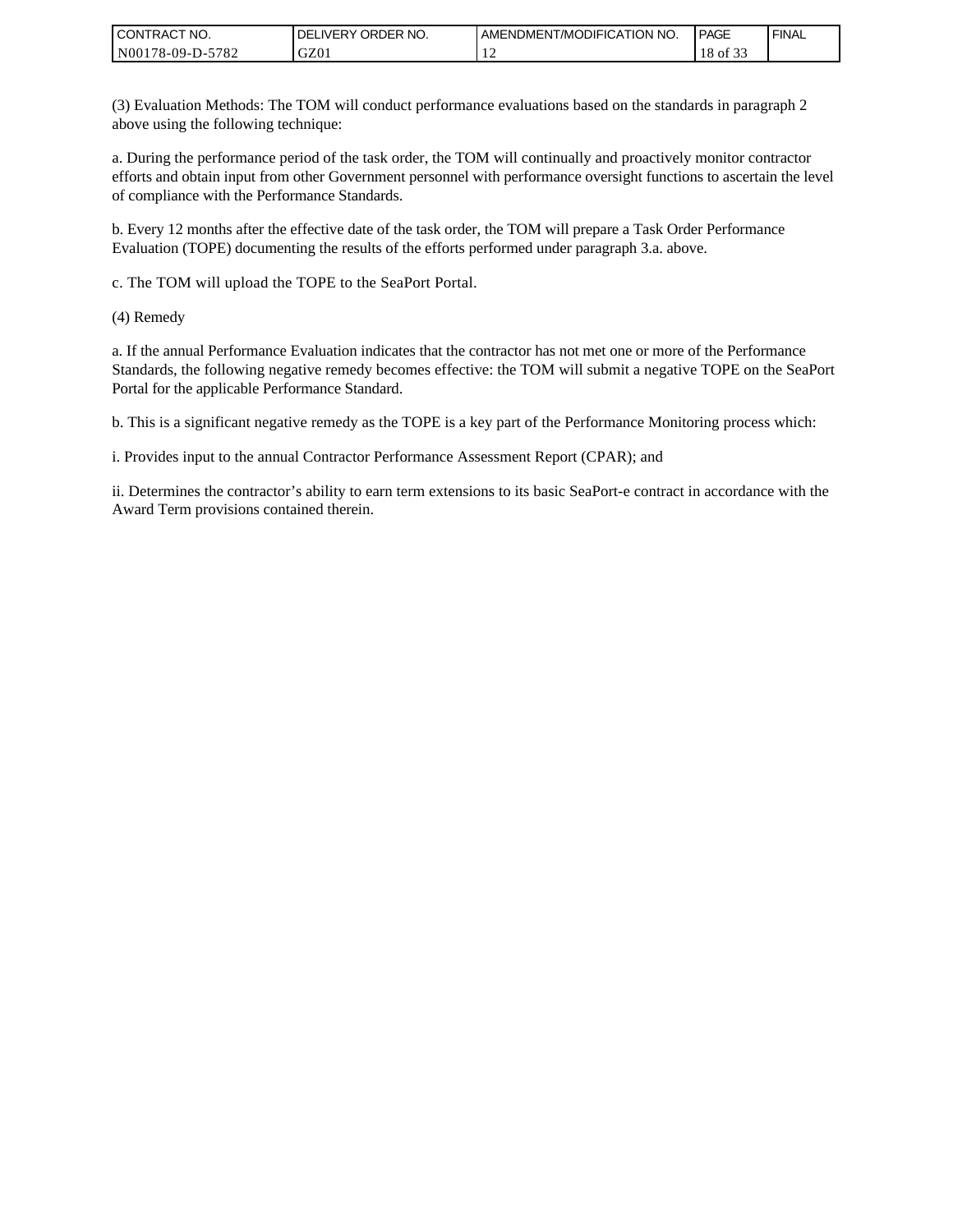| I CONTRACT NO.   | ORDER NO.<br><b>DELIVERY</b> | AMENDMENT/MODIFICATION NO. | <b>PAGE</b>                   | ' FINAL |
|------------------|------------------------------|----------------------------|-------------------------------|---------|
| N00178-09-D-5782 | GZ0 <sub>1</sub>             |                            | $\sim$ $\sim$ $\sim$<br>of 33 |         |

(3) Evaluation Methods: The TOM will conduct performance evaluations based on the standards in paragraph 2 above using the following technique:

a. During the performance period of the task order, the TOM will continually and proactively monitor contractor efforts and obtain input from other Government personnel with performance oversight functions to ascertain the level of compliance with the Performance Standards.

b. Every 12 months after the effective date of the task order, the TOM will prepare a Task Order Performance Evaluation (TOPE) documenting the results of the efforts performed under paragraph 3.a. above.

c. The TOM will upload the TOPE to the SeaPort Portal.

(4) Remedy

a. If the annual Performance Evaluation indicates that the contractor has not met one or more of the Performance Standards, the following negative remedy becomes effective: the TOM will submit a negative TOPE on the SeaPort Portal for the applicable Performance Standard.

b. This is a significant negative remedy as the TOPE is a key part of the Performance Monitoring process which:

i. Provides input to the annual Contractor Performance Assessment Report (CPAR); and

ii. Determines the contractor's ability to earn term extensions to its basic SeaPort-e contract in accordance with the Award Term provisions contained therein.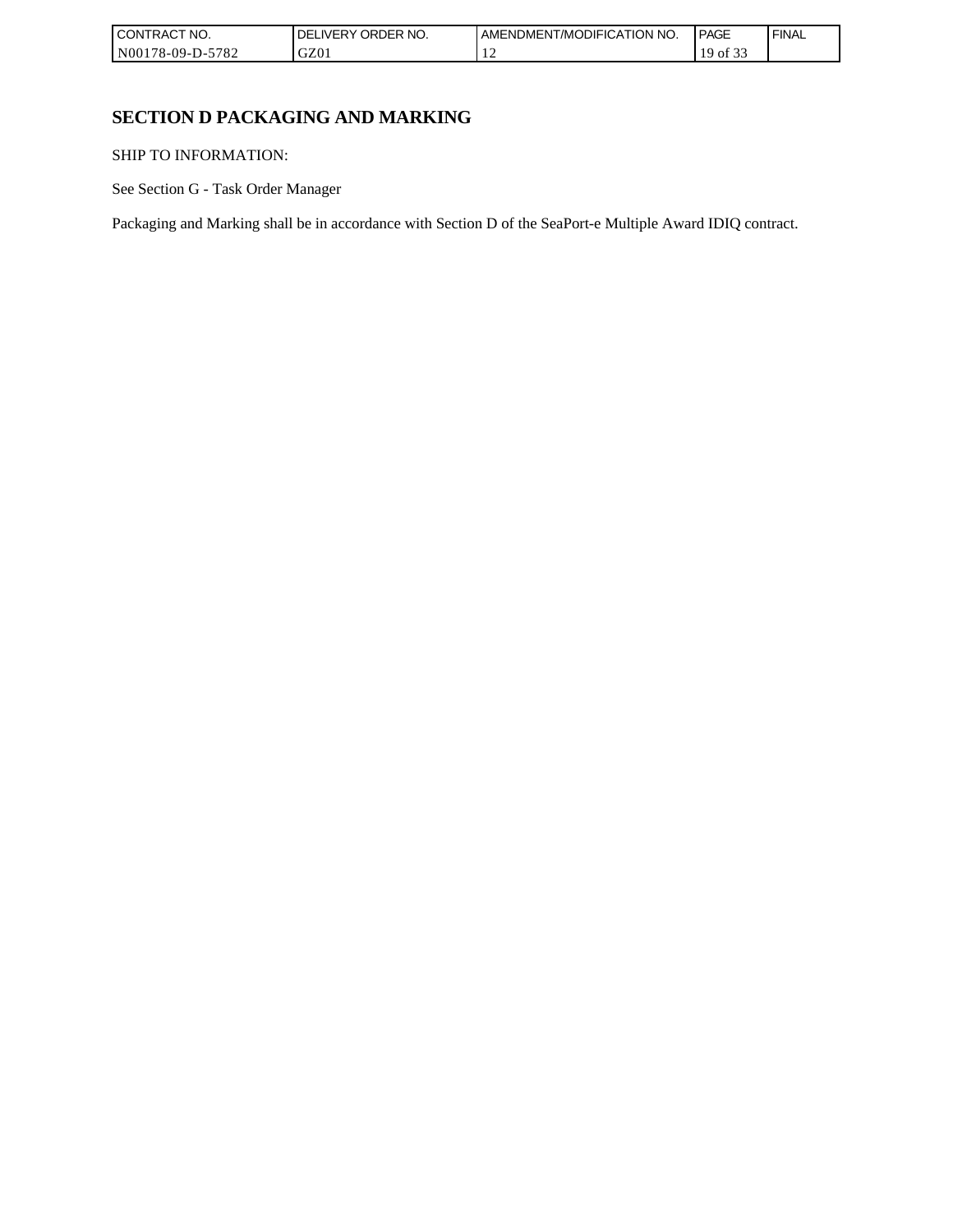| I CONT'<br>'TRACT NO.        | ORDER NO.<br>, IVFRY | I AMENDMENT/MODIFICATION NO. | <b>PAGE</b>                      | <b>FINAL</b> |
|------------------------------|----------------------|------------------------------|----------------------------------|--------------|
| N00178-09-D-5<br>5700<br>ے ہ | GZ01                 | . .                          | $\sim$ $\sim$ $\sim$<br>١C<br>ΟĪ |              |

# **SECTION D PACKAGING AND MARKING**

SHIP TO INFORMATION:

See Section G - Task Order Manager

Packaging and Marking shall be in accordance with Section D of the SeaPort-e Multiple Award IDIQ contract.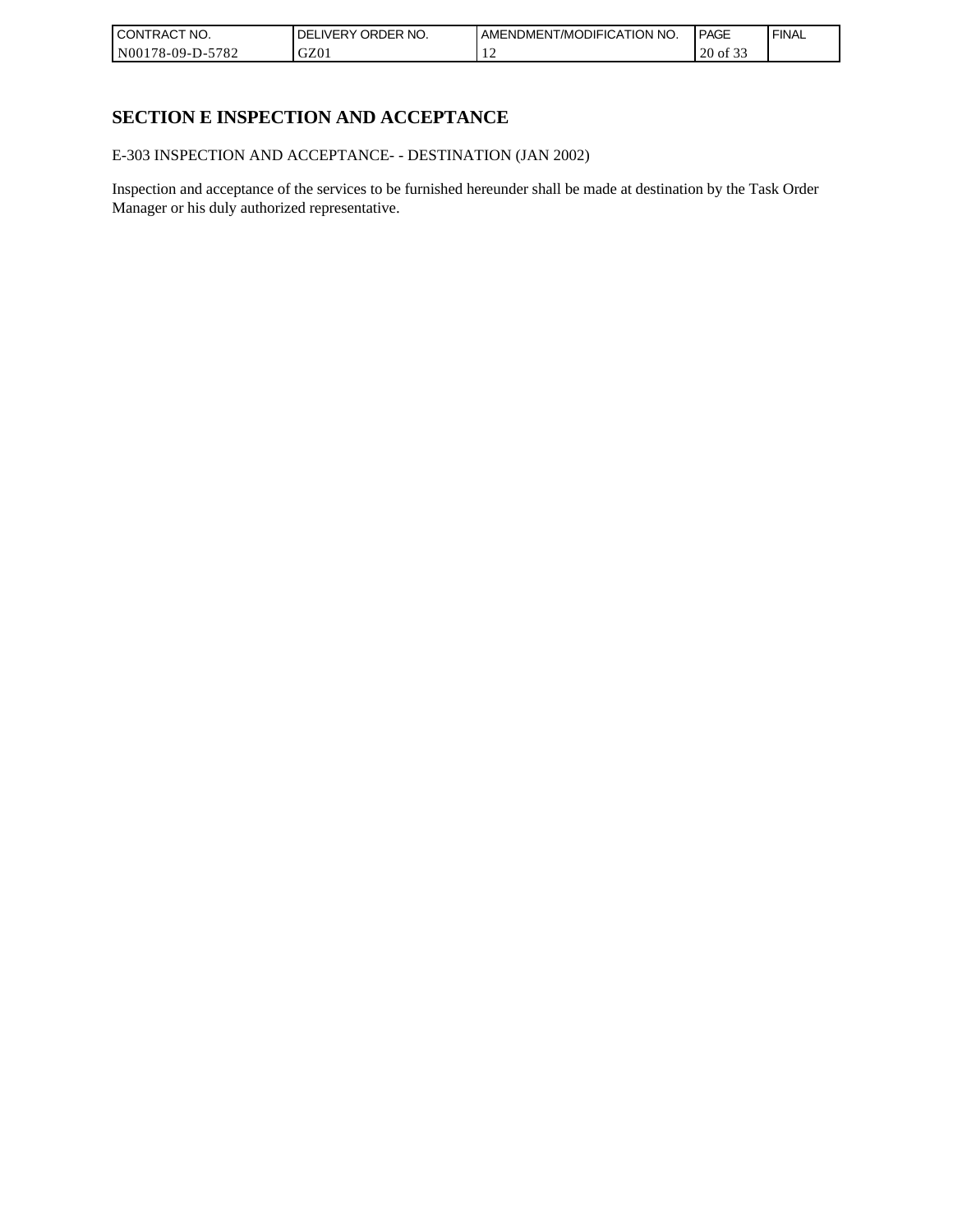| I CONTRACT NO.   | ORDER NO.<br><b>DELIVERY</b> | AMENDMENT/MODIFICATION NO. | <b>PAGE</b>               | ' FINAL |
|------------------|------------------------------|----------------------------|---------------------------|---------|
| N00178-09-D-5782 | GZ0 <sub>1</sub>             |                            | $\sim$ $\sim$<br>20 of 33 |         |

# **SECTION E INSPECTION AND ACCEPTANCE**

E-303 INSPECTION AND ACCEPTANCE- - DESTINATION (JAN 2002)

Inspection and acceptance of the services to be furnished hereunder shall be made at destination by the Task Order Manager or his duly authorized representative.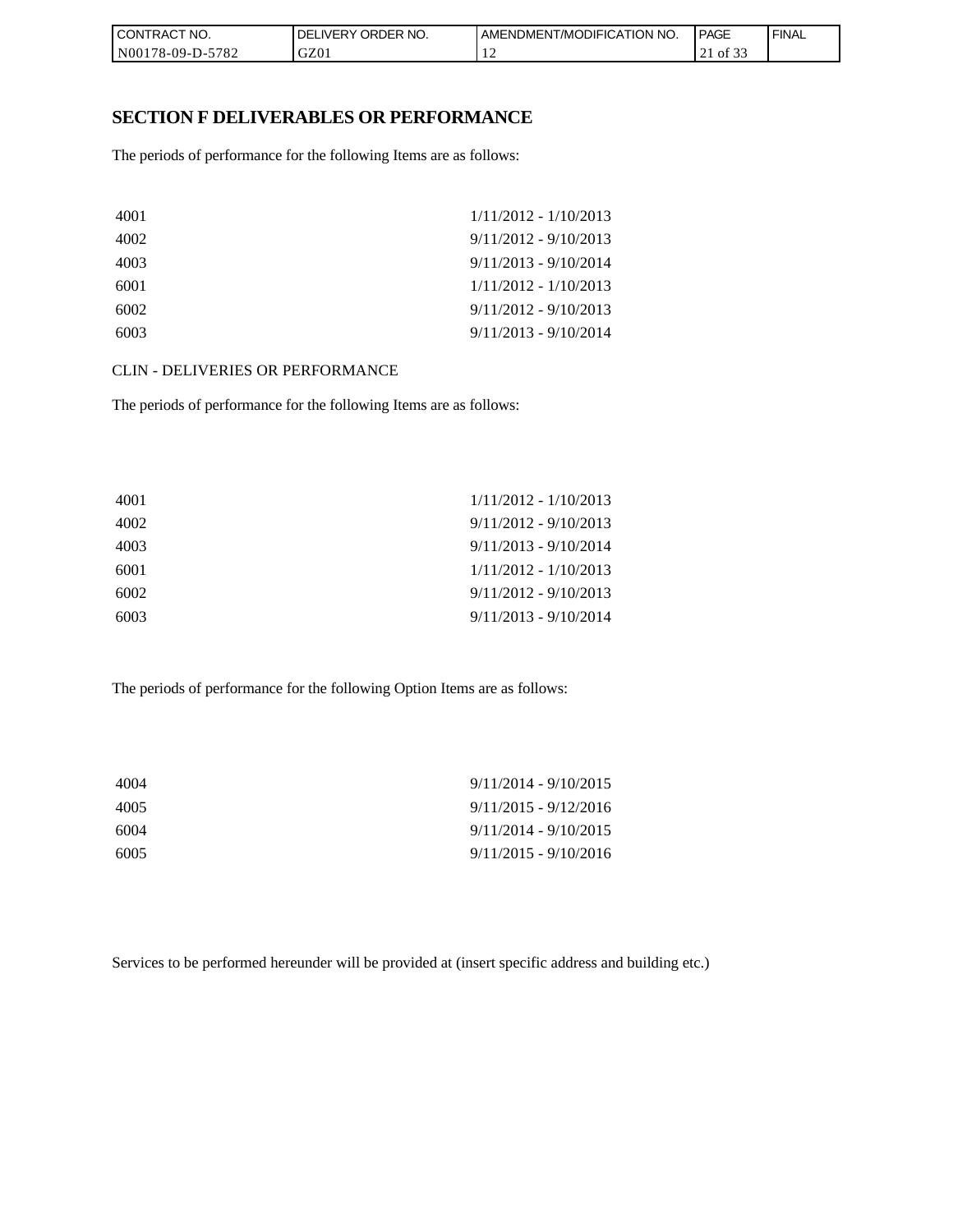| I CON'<br><b>'TRACT NO.</b> | NO.<br>ORDER<br>DELIVERY | AMENDMENT/MODIFICATION NO. | <b>I PAGE</b>                             | ' FINAL |
|-----------------------------|--------------------------|----------------------------|-------------------------------------------|---------|
| N00178-09-D-5<br>$-5782$    | GZ01                     |                            | $\sim$ $\sim$ $\sim$<br>of 33<br><u>_</u> |         |

### **SECTION F DELIVERABLES OR PERFORMANCE**

The periods of performance for the following Items are as follows:

| 4001 | $1/11/2012 - 1/10/2013$ |
|------|-------------------------|
| 4002 | $9/11/2012 - 9/10/2013$ |
| 4003 | $9/11/2013 - 9/10/2014$ |
| 6001 | $1/11/2012 - 1/10/2013$ |
| 6002 | $9/11/2012 - 9/10/2013$ |
| 6003 | $9/11/2013 - 9/10/2014$ |

CLIN - DELIVERIES OR PERFORMANCE

The periods of performance for the following Items are as follows:

| 4001 | $1/11/2012 - 1/10/2013$ |
|------|-------------------------|
| 4002 | $9/11/2012 - 9/10/2013$ |
| 4003 | $9/11/2013 - 9/10/2014$ |
| 6001 | $1/11/2012 - 1/10/2013$ |
| 6002 | $9/11/2012 - 9/10/2013$ |
| 6003 | $9/11/2013 - 9/10/2014$ |

The periods of performance for the following Option Items are as follows:

| 4004 | $9/11/2014 - 9/10/2015$ |
|------|-------------------------|
| 4005 | $9/11/2015 - 9/12/2016$ |
| 6004 | $9/11/2014 - 9/10/2015$ |
| 6005 | $9/11/2015 - 9/10/2016$ |

Services to be performed hereunder will be provided at (insert specific address and building etc.)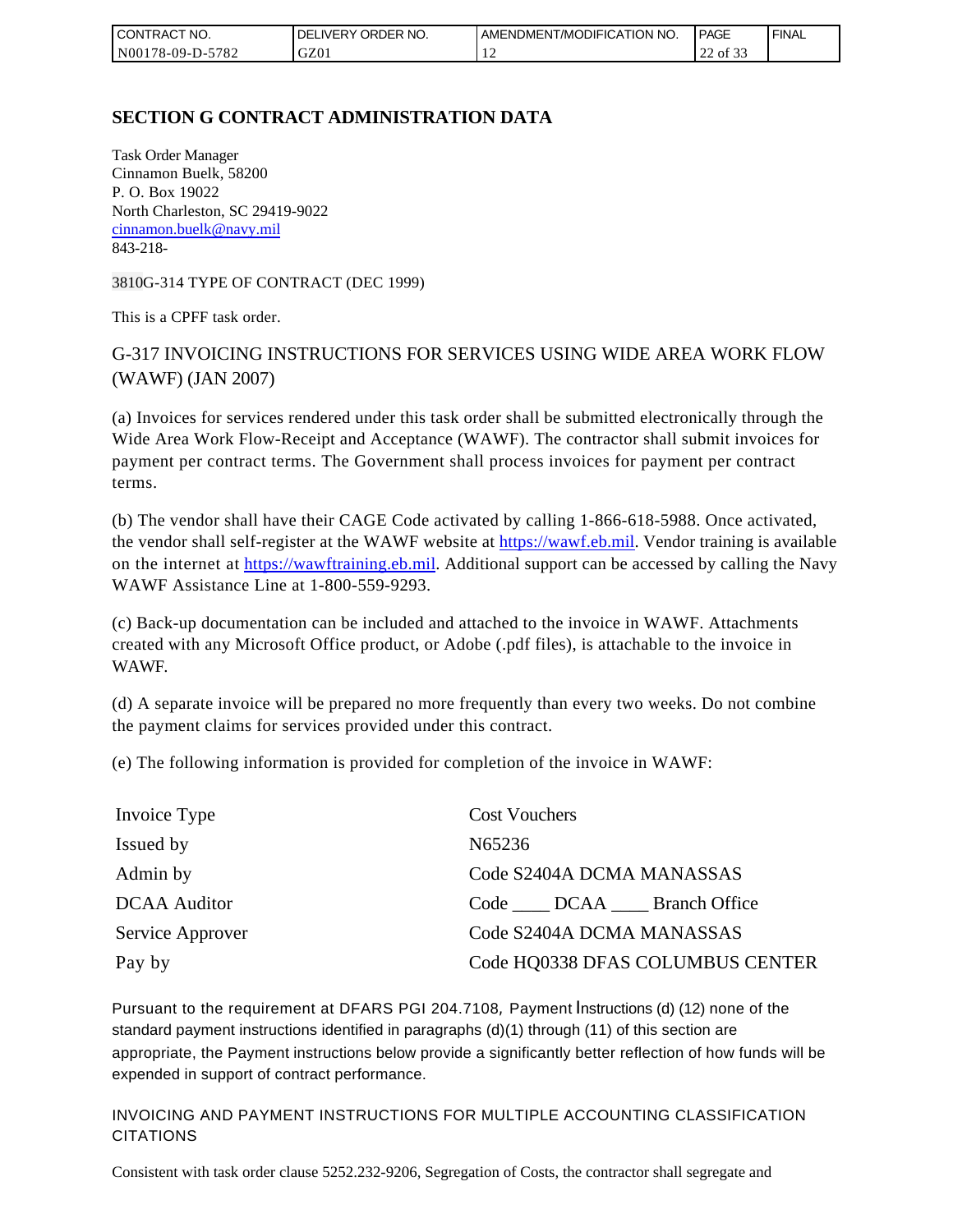| I CONTRACT NO.         | ORDER NO.<br><b>DELIVERY</b> | AMENDMENT/MODIFICATION NO. | <b>PAGE</b>                         | ' FINAL |
|------------------------|------------------------------|----------------------------|-------------------------------------|---------|
| N00178-09-D-5<br>-5782 | GZ01                         |                            | $\sim$ $\sim$<br>$\sim$<br>22 of 33 |         |

# **SECTION G CONTRACT ADMINISTRATION DATA**

Task Order Manager Cinnamon Buelk, 58200 P. O. Box 19022 North Charleston, SC 29419-9022 [cinnamon.buelk@navy.mil](mailto:cinnamon.buelk@navy.mil) 843-218-

3810G-314 TYPE OF CONTRACT (DEC 1999)

This is a CPFF task order.

# G-317 INVOICING INSTRUCTIONS FOR SERVICES USING WIDE AREA WORK FLOW (WAWF) (JAN 2007)

(a) Invoices for services rendered under this task order shall be submitted electronically through the Wide Area Work Flow-Receipt and Acceptance (WAWF). The contractor shall submit invoices for payment per contract terms. The Government shall process invoices for payment per contract terms.

(b) The vendor shall have their CAGE Code activated by calling 1-866-618-5988. Once activated, the vendor shall self-register at the WAWF website at [https://wawf.eb.mil.](https://wawf.eb.mil/) Vendor training is available on the internet at [https://wawftraining.eb.mil.](https://wawftraining.eb.mil/) Additional support can be accessed by calling the Navy WAWF Assistance Line at 1-800-559-9293.

(c) Back-up documentation can be included and attached to the invoice in WAWF. Attachments created with any Microsoft Office product, or Adobe (.pdf files), is attachable to the invoice in WAWF.

(d) A separate invoice will be prepared no more frequently than every two weeks. Do not combine the payment claims for services provided under this contract.

(e) The following information is provided for completion of the invoice in WAWF:

| Invoice Type        | <b>Cost Vouchers</b>             |
|---------------------|----------------------------------|
| Issued by           | N65236                           |
| Admin by            | Code S2404A DCMA MANASSAS        |
| <b>DCAA</b> Auditor | Code DCAA Branch Office          |
| Service Approver    | Code S2404A DCMA MANASSAS        |
| Pay by              | Code HQ0338 DFAS COLUMBUS CENTER |

Pursuant to the requirement at DFARS PGI 204.7108, Payment Instructions (d) (12) none of the standard payment instructions identified in paragraphs (d)(1) through (11) of this section are appropriate, the Payment instructions below provide a significantly better reflection of how funds will be expended in support of contract performance.

INVOICING AND PAYMENT INSTRUCTIONS FOR MULTIPLE ACCOUNTING CLASSIFICATION CITATIONS

Consistent with task order clause 5252.232-9206, Segregation of Costs, the contractor shall segregate and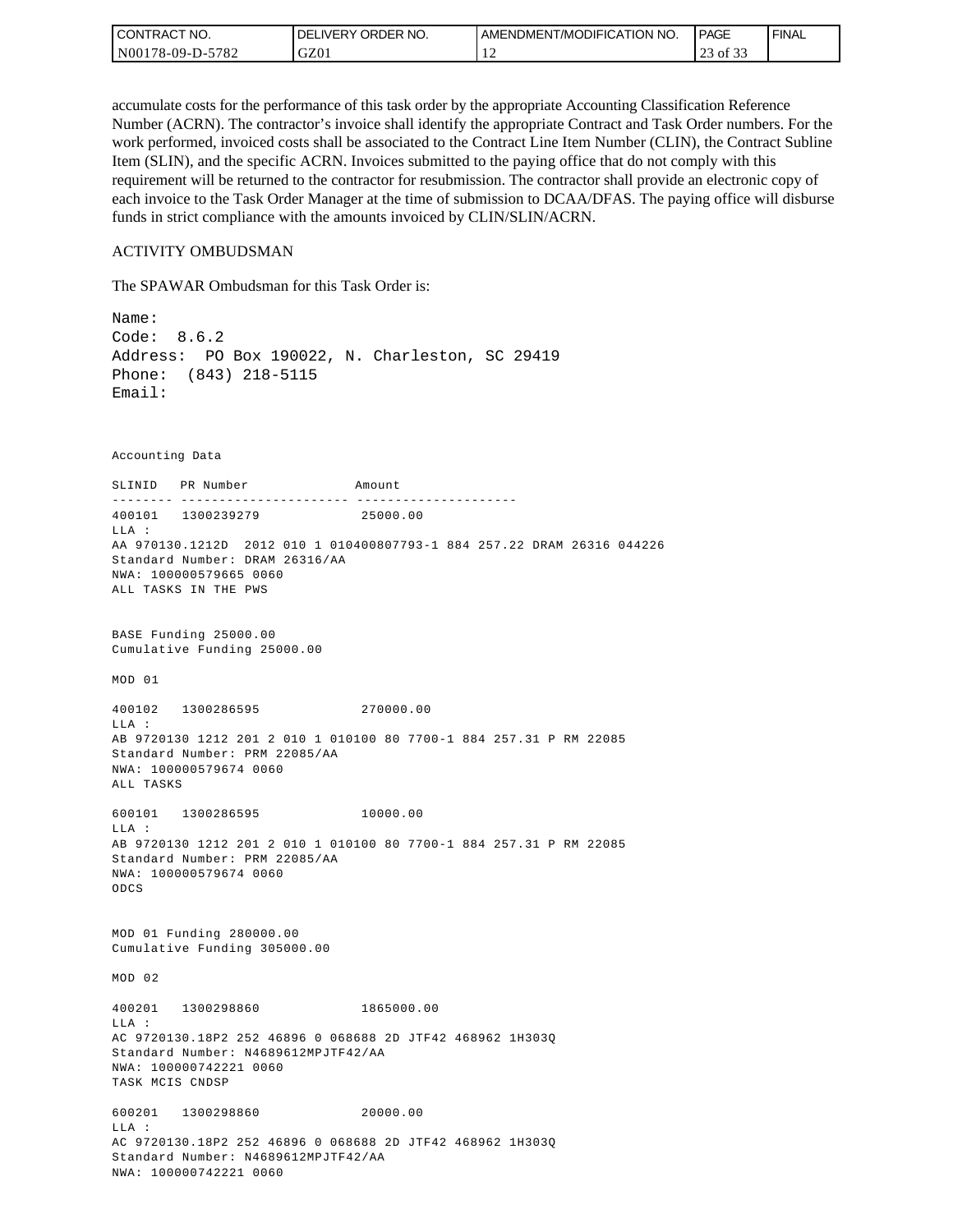| l CON <sup>-</sup><br>TRACT NO. | ORDER NO.<br>_IVERY<br>DELI | AMENDMENT/MODIFICATION NO. | <b>PAGE</b>                                   | ' FINAL |
|---------------------------------|-----------------------------|----------------------------|-----------------------------------------------|---------|
| 5782<br>N00178-09-D-5           | GZ01                        | . .                        | $\sim$ $\sim$ $\sim$<br>$\sim$<br>of 33<br>رے |         |

accumulate costs for the performance of this task order by the appropriate Accounting Classification Reference Number (ACRN). The contractor's invoice shall identify the appropriate Contract and Task Order numbers. For the work performed, invoiced costs shall be associated to the Contract Line Item Number (CLIN), the Contract Subline Item (SLIN), and the specific ACRN. Invoices submitted to the paying office that do not comply with this requirement will be returned to the contractor for resubmission. The contractor shall provide an electronic copy of each invoice to the Task Order Manager at the time of submission to DCAA/DFAS. The paying office will disburse funds in strict compliance with the amounts invoiced by CLIN/SLIN/ACRN.

#### ACTIVITY OMBUDSMAN

The SPAWAR Ombudsman for this Task Order is:

Name: Code: 8.6.2 Address: PO Box 190022, N. Charleston, SC 29419 Phone: (843) 218-5115 Email: Accounting Data SLINID PR Number Amount -------- ---------------------- ---------------------400101 1300239279 25000.00 LLA : AA 970130.1212D 2012 010 1 010400807793-1 884 257.22 DRAM 26316 044226 Standard Number: DRAM 26316/AA NWA: 100000579665 0060 ALL TASKS IN THE PWS BASE Funding 25000.00 Cumulative Funding 25000.00 MOD 01 400102 1300286595 270000.00  $T.T.A$  : AB 9720130 1212 201 2 010 1 010100 80 7700-1 884 257.31 P RM 22085 Standard Number: PRM 22085/AA NWA: 100000579674 0060 ALL TASKS 600101 1300286595 10000.00 LLA : AB 9720130 1212 201 2 010 1 010100 80 7700-1 884 257.31 P RM 22085 Standard Number: PRM 22085/AA NWA: 100000579674 0060 ODCS MOD 01 Funding 280000.00 Cumulative Funding 305000.00 MOD 02 400201 1300298860 1865000.00 LLA : AC 9720130.18P2 252 46896 0 068688 2D JTF42 468962 1H303Q Standard Number: N4689612MPJTF42/AA NWA: 100000742221 0060 TASK MCIS CNDSP 600201 1300298860 20000.00 LLA : AC 9720130.18P2 252 46896 0 068688 2D JTF42 468962 1H303Q Standard Number: N4689612MPJTF42/AA NWA: 100000742221 0060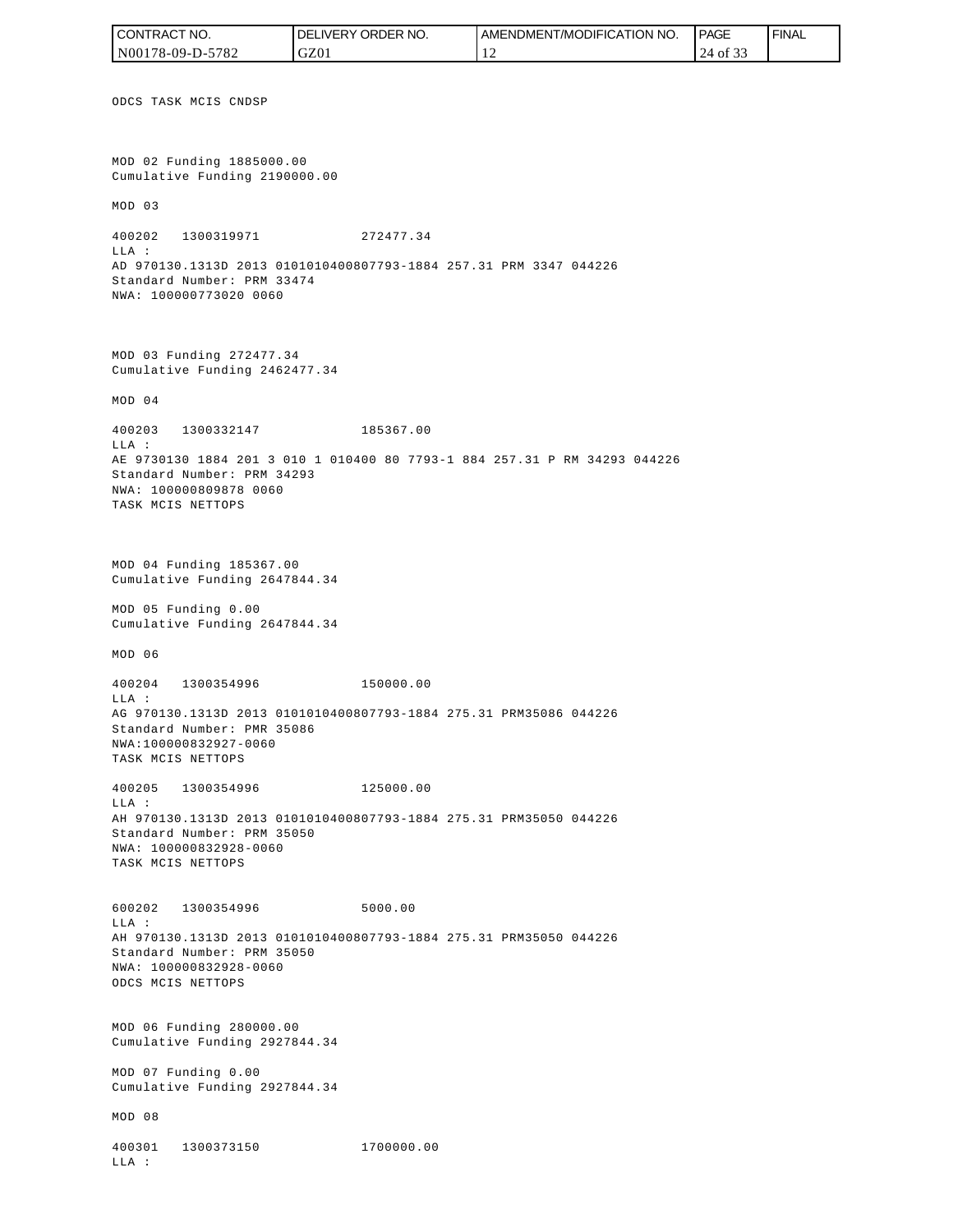ODCS TASK MCIS CNDSP MOD 02 Funding 1885000.00 Cumulative Funding 2190000.00 MOD 03 400202 1300319971 272477.34 LLA : AD 970130.1313D 2013 0101010400807793-1884 257.31 PRM 3347 044226 Standard Number: PRM 33474 NWA: 100000773020 0060 MOD 03 Funding 272477.34 Cumulative Funding 2462477.34 MOD 04 400203 1300332147 185367.00  $T.T.A$  : AE 9730130 1884 201 3 010 1 010400 80 7793-1 884 257.31 P RM 34293 044226 Standard Number: PRM 34293 NWA: 100000809878 0060 TASK MCIS NETTOPS MOD 04 Funding 185367.00 Cumulative Funding 2647844.34 MOD 05 Funding 0.00 Cumulative Funding 2647844.34 MOD 06 400204 1300354996 150000.00 LLA : AG 970130.1313D 2013 0101010400807793-1884 275.31 PRM35086 044226 Standard Number: PMR 35086 NWA:100000832927-0060 TASK MCIS NETTOPS 400205 1300354996 125000.00 LLA : AH 970130.1313D 2013 0101010400807793-1884 275.31 PRM35050 044226 Standard Number: PRM 35050 NWA: 100000832928-0060 TASK MCIS NETTOPS 600202 1300354996 5000.00 LLA : AH 970130.1313D 2013 0101010400807793-1884 275.31 PRM35050 044226 Standard Number: PRM 35050 NWA: 100000832928-0060 ODCS MCIS NETTOPS MOD 06 Funding 280000.00 Cumulative Funding 2927844.34 MOD 07 Funding 0.00 Cumulative Funding 2927844.34 MOD 08 400301 1300373150 1700000.00 LLA : CONTRACT NO. N00178-09-D-5782 DELIVERY ORDER NO. GZ01 AMENDMENT/MODIFICATION NO. 12 **PAGE**  24 of 33 FINAL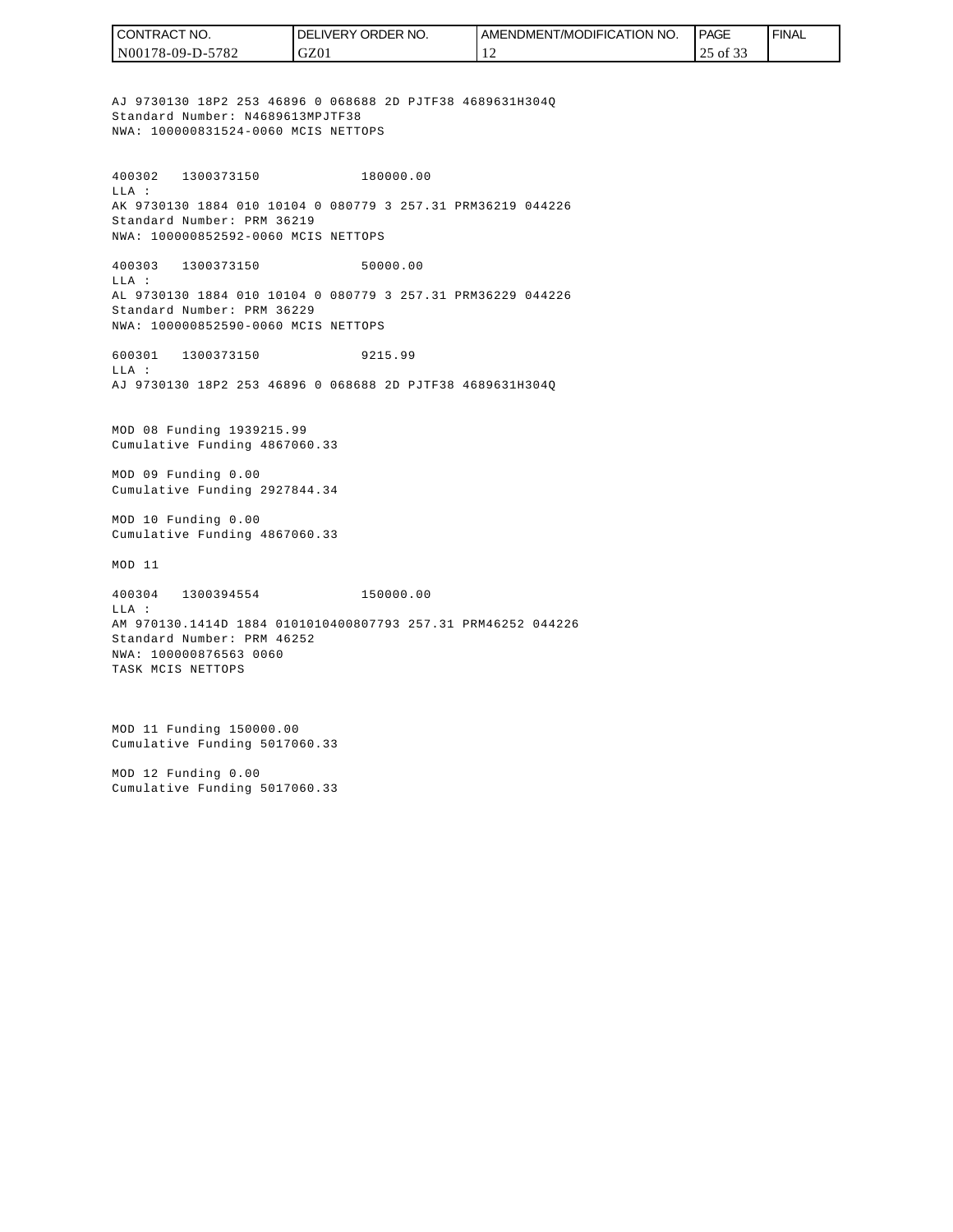| I CONTRACT NO.   | <b>I DELIVERY ORDER NO.</b> | <b>LAMENDMENT/MODIFICATION NO.</b> | <b>PAGE</b> | ' FINAL |
|------------------|-----------------------------|------------------------------------|-------------|---------|
| N00178-09-D-5782 | GZ01                        |                                    | $25$ of $5$ |         |

AJ 9730130 18P2 253 46896 0 068688 2D PJTF38 4689631H304Q Standard Number: N4689613MPJTF38 NWA: 100000831524-0060 MCIS NETTOPS

400302 1300373150 180000.00 LLA : AK 9730130 1884 010 10104 0 080779 3 257.31 PRM36219 044226 Standard Number: PRM 36219 NWA: 100000852592-0060 MCIS NETTOPS

400303 1300373150 50000.00 LLA : AL 9730130 1884 010 10104 0 080779 3 257.31 PRM36229 044226 Standard Number: PRM 36229 NWA: 100000852590-0060 MCIS NETTOPS

600301 1300373150 9215.99 LLA : AJ 9730130 18P2 253 46896 0 068688 2D PJTF38 4689631H304Q

MOD 08 Funding 1939215.99 Cumulative Funding 4867060.33

MOD 09 Funding 0.00 Cumulative Funding 2927844.34

MOD 10 Funding 0.00 Cumulative Funding 4867060.33

MOD 11

400304 1300394554 150000.00 LLA : AM 970130.1414D 1884 0101010400807793 257.31 PRM46252 044226 Standard Number: PRM 46252 NWA: 100000876563 0060 TASK MCIS NETTOPS

MOD 11 Funding 150000.00 Cumulative Funding 5017060.33

MOD 12 Funding 0.00 Cumulative Funding 5017060.33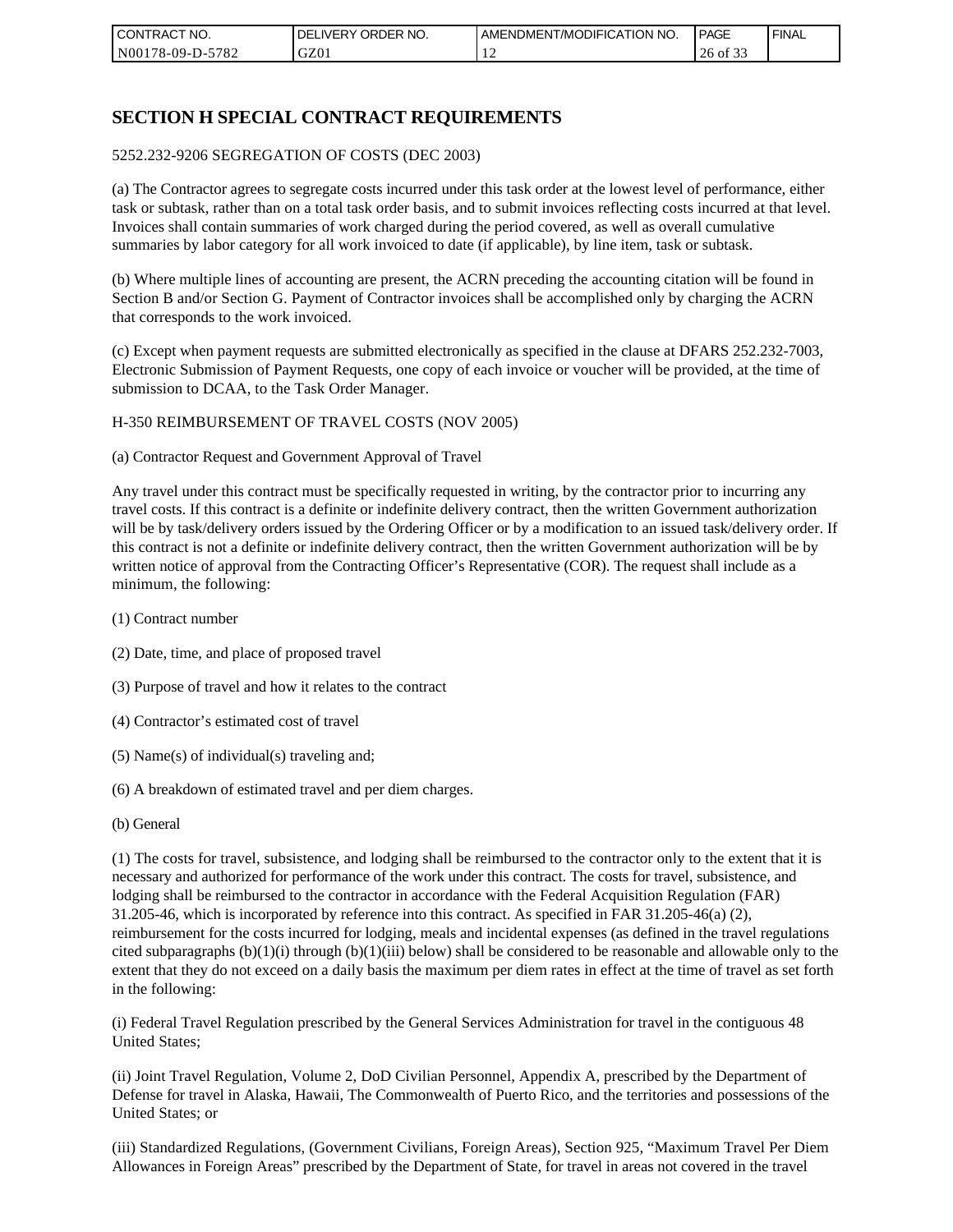| I CON'<br>'TRACT NO. | NO.<br>ORDER<br>DELIVERY | AMENDMENT/MODIFICATION NO. | I PAGE                              | ' FINAL |
|----------------------|--------------------------|----------------------------|-------------------------------------|---------|
| N00178-09-D-5782     | GZ01                     |                            | $\sim$ $\sim$ $\sim$<br>26<br>of 33 |         |

# **SECTION H SPECIAL CONTRACT REQUIREMENTS**

#### 5252.232-9206 SEGREGATION OF COSTS (DEC 2003)

(a) The Contractor agrees to segregate costs incurred under this task order at the lowest level of performance, either task or subtask, rather than on a total task order basis, and to submit invoices reflecting costs incurred at that level. Invoices shall contain summaries of work charged during the period covered, as well as overall cumulative summaries by labor category for all work invoiced to date (if applicable), by line item, task or subtask.

(b) Where multiple lines of accounting are present, the ACRN preceding the accounting citation will be found in Section B and/or Section G. Payment of Contractor invoices shall be accomplished only by charging the ACRN that corresponds to the work invoiced.

(c) Except when payment requests are submitted electronically as specified in the clause at DFARS 252.232-7003, Electronic Submission of Payment Requests, one copy of each invoice or voucher will be provided, at the time of submission to DCAA, to the Task Order Manager.

#### H-350 REIMBURSEMENT OF TRAVEL COSTS (NOV 2005)

(a) Contractor Request and Government Approval of Travel

Any travel under this contract must be specifically requested in writing, by the contractor prior to incurring any travel costs. If this contract is a definite or indefinite delivery contract, then the written Government authorization will be by task/delivery orders issued by the Ordering Officer or by a modification to an issued task/delivery order. If this contract is not a definite or indefinite delivery contract, then the written Government authorization will be by written notice of approval from the Contracting Officer's Representative (COR). The request shall include as a minimum, the following:

- (1) Contract number
- (2) Date, time, and place of proposed travel
- (3) Purpose of travel and how it relates to the contract
- (4) Contractor's estimated cost of travel
- (5) Name(s) of individual(s) traveling and;
- (6) A breakdown of estimated travel and per diem charges.
- (b) General

(1) The costs for travel, subsistence, and lodging shall be reimbursed to the contractor only to the extent that it is necessary and authorized for performance of the work under this contract. The costs for travel, subsistence, and lodging shall be reimbursed to the contractor in accordance with the Federal Acquisition Regulation (FAR) 31.205-46, which is incorporated by reference into this contract. As specified in FAR 31.205-46(a) (2), reimbursement for the costs incurred for lodging, meals and incidental expenses (as defined in the travel regulations cited subparagraphs  $(b)(1)(i)$  through  $(b)(1)(iii)$  below) shall be considered to be reasonable and allowable only to the extent that they do not exceed on a daily basis the maximum per diem rates in effect at the time of travel as set forth in the following:

(i) Federal Travel Regulation prescribed by the General Services Administration for travel in the contiguous 48 United States;

(ii) Joint Travel Regulation, Volume 2, DoD Civilian Personnel, Appendix A, prescribed by the Department of Defense for travel in Alaska, Hawaii, The Commonwealth of Puerto Rico, and the territories and possessions of the United States; or

(iii) Standardized Regulations, (Government Civilians, Foreign Areas), Section 925, "Maximum Travel Per Diem Allowances in Foreign Areas" prescribed by the Department of State, for travel in areas not covered in the travel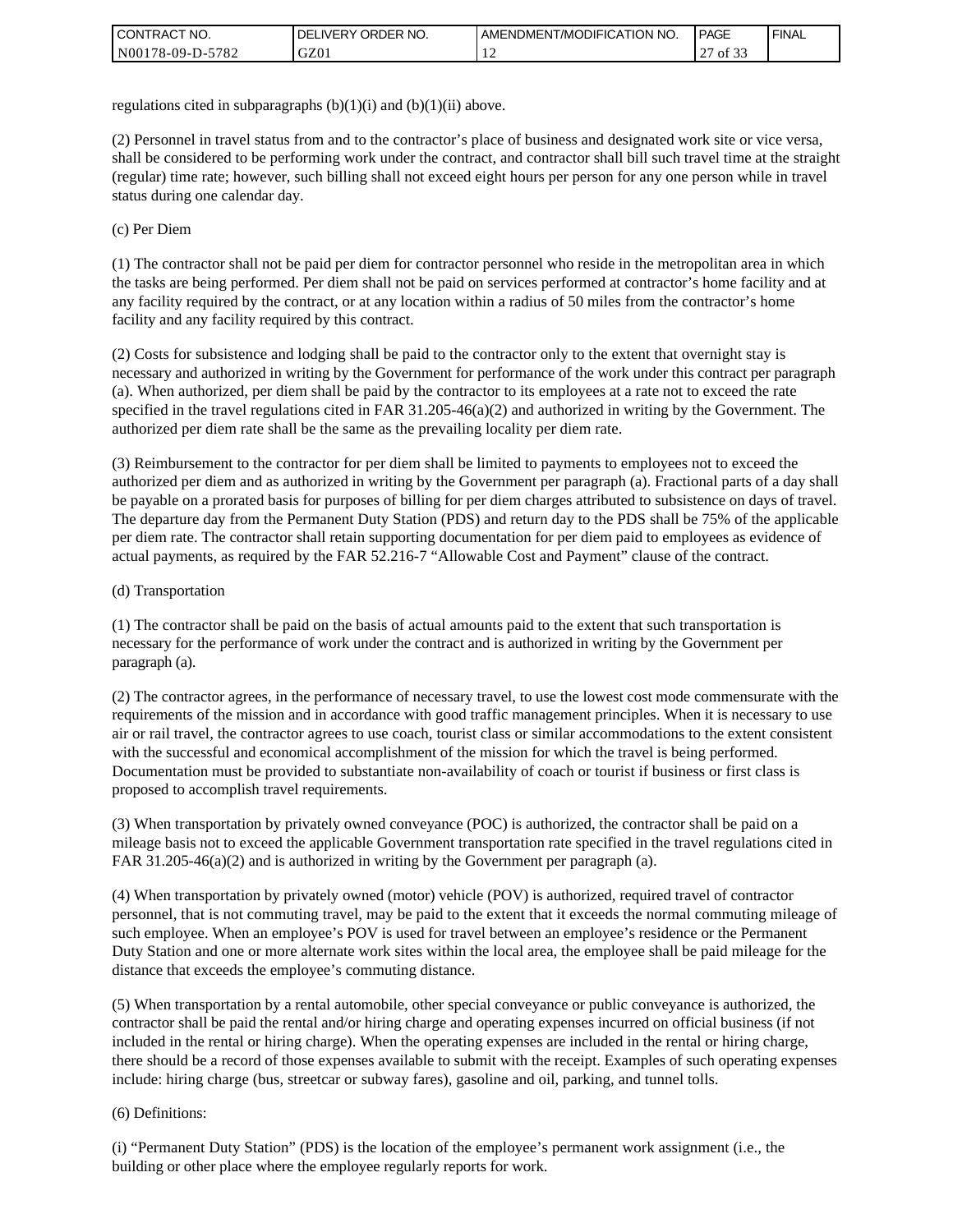| I CONT'<br>TRACT NO.     | ORDER NO.<br><b>DELIVERY</b> | <b>AMENDMENT/MODIFICATION NO.</b> | <b>PAGE</b> | <b>FINAL</b> |
|--------------------------|------------------------------|-----------------------------------|-------------|--------------|
| N00178-09-D-5<br>$-5782$ | GZ01                         |                                   | ^¬<br>0132  |              |

regulations cited in subparagraphs  $(b)(1)(i)$  and  $(b)(1)(ii)$  above.

(2) Personnel in travel status from and to the contractor's place of business and designated work site or vice versa, shall be considered to be performing work under the contract, and contractor shall bill such travel time at the straight (regular) time rate; however, such billing shall not exceed eight hours per person for any one person while in travel status during one calendar day.

(c) Per Diem

(1) The contractor shall not be paid per diem for contractor personnel who reside in the metropolitan area in which the tasks are being performed. Per diem shall not be paid on services performed at contractor's home facility and at any facility required by the contract, or at any location within a radius of 50 miles from the contractor's home facility and any facility required by this contract.

(2) Costs for subsistence and lodging shall be paid to the contractor only to the extent that overnight stay is necessary and authorized in writing by the Government for performance of the work under this contract per paragraph (a). When authorized, per diem shall be paid by the contractor to its employees at a rate not to exceed the rate specified in the travel regulations cited in FAR 31.205-46(a)(2) and authorized in writing by the Government. The authorized per diem rate shall be the same as the prevailing locality per diem rate.

(3) Reimbursement to the contractor for per diem shall be limited to payments to employees not to exceed the authorized per diem and as authorized in writing by the Government per paragraph (a). Fractional parts of a day shall be payable on a prorated basis for purposes of billing for per diem charges attributed to subsistence on days of travel. The departure day from the Permanent Duty Station (PDS) and return day to the PDS shall be 75% of the applicable per diem rate. The contractor shall retain supporting documentation for per diem paid to employees as evidence of actual payments, as required by the FAR 52.216-7 "Allowable Cost and Payment" clause of the contract.

#### (d) Transportation

(1) The contractor shall be paid on the basis of actual amounts paid to the extent that such transportation is necessary for the performance of work under the contract and is authorized in writing by the Government per paragraph (a).

(2) The contractor agrees, in the performance of necessary travel, to use the lowest cost mode commensurate with the requirements of the mission and in accordance with good traffic management principles. When it is necessary to use air or rail travel, the contractor agrees to use coach, tourist class or similar accommodations to the extent consistent with the successful and economical accomplishment of the mission for which the travel is being performed. Documentation must be provided to substantiate non-availability of coach or tourist if business or first class is proposed to accomplish travel requirements.

(3) When transportation by privately owned conveyance (POC) is authorized, the contractor shall be paid on a mileage basis not to exceed the applicable Government transportation rate specified in the travel regulations cited in FAR 31.205-46(a)(2) and is authorized in writing by the Government per paragraph (a).

(4) When transportation by privately owned (motor) vehicle (POV) is authorized, required travel of contractor personnel, that is not commuting travel, may be paid to the extent that it exceeds the normal commuting mileage of such employee. When an employee's POV is used for travel between an employee's residence or the Permanent Duty Station and one or more alternate work sites within the local area, the employee shall be paid mileage for the distance that exceeds the employee's commuting distance.

(5) When transportation by a rental automobile, other special conveyance or public conveyance is authorized, the contractor shall be paid the rental and/or hiring charge and operating expenses incurred on official business (if not included in the rental or hiring charge). When the operating expenses are included in the rental or hiring charge, there should be a record of those expenses available to submit with the receipt. Examples of such operating expenses include: hiring charge (bus, streetcar or subway fares), gasoline and oil, parking, and tunnel tolls.

#### (6) Definitions:

(i) "Permanent Duty Station" (PDS) is the location of the employee's permanent work assignment (i.e., the building or other place where the employee regularly reports for work.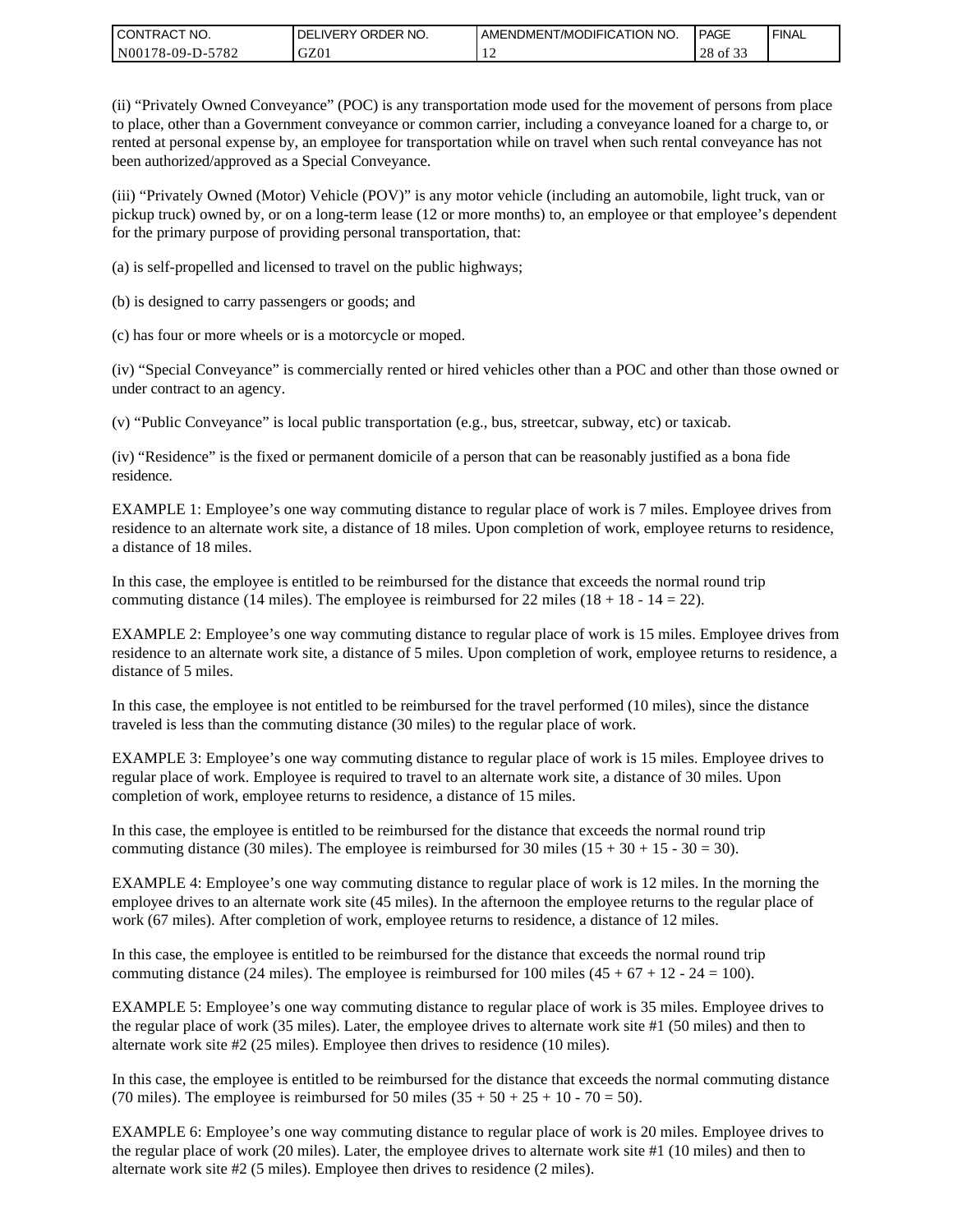| I CONTRACT NO.   | DELIVERY ORDER NO. | <b>LAMENDMENT/MODIFICATION NO.</b> | PAGE                                | ' FINAL |
|------------------|--------------------|------------------------------------|-------------------------------------|---------|
| N00178-09-D-5782 | GZ01               |                                    | $\sim$ $\sim$ $\sim$<br>28<br>of 33 |         |

(ii) "Privately Owned Conveyance" (POC) is any transportation mode used for the movement of persons from place to place, other than a Government conveyance or common carrier, including a conveyance loaned for a charge to, or rented at personal expense by, an employee for transportation while on travel when such rental conveyance has not been authorized/approved as a Special Conveyance.

(iii) "Privately Owned (Motor) Vehicle (POV)" is any motor vehicle (including an automobile, light truck, van or pickup truck) owned by, or on a long-term lease (12 or more months) to, an employee or that employee's dependent for the primary purpose of providing personal transportation, that:

(a) is self-propelled and licensed to travel on the public highways;

(b) is designed to carry passengers or goods; and

(c) has four or more wheels or is a motorcycle or moped.

(iv) "Special Conveyance" is commercially rented or hired vehicles other than a POC and other than those owned or under contract to an agency.

(v) "Public Conveyance" is local public transportation (e.g., bus, streetcar, subway, etc) or taxicab.

(iv) "Residence" is the fixed or permanent domicile of a person that can be reasonably justified as a bona fide residence.

EXAMPLE 1: Employee's one way commuting distance to regular place of work is 7 miles. Employee drives from residence to an alternate work site, a distance of 18 miles. Upon completion of work, employee returns to residence, a distance of 18 miles.

In this case, the employee is entitled to be reimbursed for the distance that exceeds the normal round trip commuting distance (14 miles). The employee is reimbursed for 22 miles (18 + 18 - 14 = 22).

EXAMPLE 2: Employee's one way commuting distance to regular place of work is 15 miles. Employee drives from residence to an alternate work site, a distance of 5 miles. Upon completion of work, employee returns to residence, a distance of 5 miles.

In this case, the employee is not entitled to be reimbursed for the travel performed (10 miles), since the distance traveled is less than the commuting distance (30 miles) to the regular place of work.

EXAMPLE 3: Employee's one way commuting distance to regular place of work is 15 miles. Employee drives to regular place of work. Employee is required to travel to an alternate work site, a distance of 30 miles. Upon completion of work, employee returns to residence, a distance of 15 miles.

In this case, the employee is entitled to be reimbursed for the distance that exceeds the normal round trip commuting distance (30 miles). The employee is reimbursed for 30 miles  $(15 + 30 + 15 - 30 = 30)$ .

EXAMPLE 4: Employee's one way commuting distance to regular place of work is 12 miles. In the morning the employee drives to an alternate work site (45 miles). In the afternoon the employee returns to the regular place of work (67 miles). After completion of work, employee returns to residence, a distance of 12 miles.

In this case, the employee is entitled to be reimbursed for the distance that exceeds the normal round trip commuting distance (24 miles). The employee is reimbursed for 100 miles  $(45 + 67 + 12 - 24 = 100)$ .

EXAMPLE 5: Employee's one way commuting distance to regular place of work is 35 miles. Employee drives to the regular place of work (35 miles). Later, the employee drives to alternate work site #1 (50 miles) and then to alternate work site #2 (25 miles). Employee then drives to residence (10 miles).

In this case, the employee is entitled to be reimbursed for the distance that exceeds the normal commuting distance (70 miles). The employee is reimbursed for 50 miles  $(35 + 50 + 25 + 10 - 70 = 50)$ .

EXAMPLE 6: Employee's one way commuting distance to regular place of work is 20 miles. Employee drives to the regular place of work (20 miles). Later, the employee drives to alternate work site #1 (10 miles) and then to alternate work site #2 (5 miles). Employee then drives to residence (2 miles).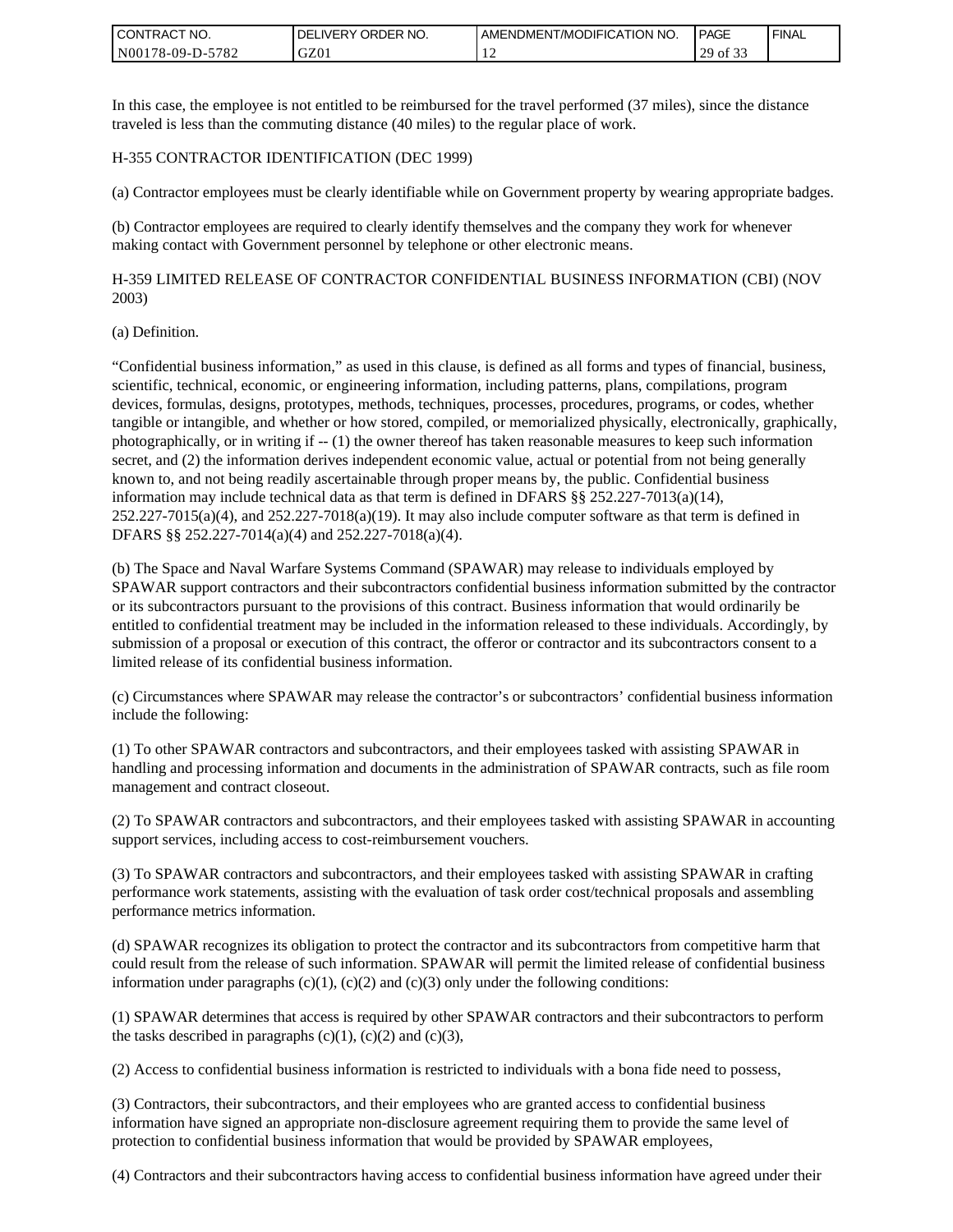| <b>CONTRACT NO.</b> | ' ORDER NO.<br><b>DELIVERY</b> | I AMENDMENT/MODIFICATION NO. | PAGE        | ' FINAL |
|---------------------|--------------------------------|------------------------------|-------------|---------|
| N00178-09-D-5782    | GZ0 <sub>1</sub>               |                              | 29<br>of 33 |         |

In this case, the employee is not entitled to be reimbursed for the travel performed (37 miles), since the distance traveled is less than the commuting distance (40 miles) to the regular place of work.

#### H-355 CONTRACTOR IDENTIFICATION (DEC 1999)

(a) Contractor employees must be clearly identifiable while on Government property by wearing appropriate badges.

(b) Contractor employees are required to clearly identify themselves and the company they work for whenever making contact with Government personnel by telephone or other electronic means.

H-359 LIMITED RELEASE OF CONTRACTOR CONFIDENTIAL BUSINESS INFORMATION (CBI) (NOV 2003)

#### (a) Definition.

"Confidential business information," as used in this clause, is defined as all forms and types of financial, business, scientific, technical, economic, or engineering information, including patterns, plans, compilations, program devices, formulas, designs, prototypes, methods, techniques, processes, procedures, programs, or codes, whether tangible or intangible, and whether or how stored, compiled, or memorialized physically, electronically, graphically, photographically, or in writing if -- (1) the owner thereof has taken reasonable measures to keep such information secret, and (2) the information derives independent economic value, actual or potential from not being generally known to, and not being readily ascertainable through proper means by, the public. Confidential business information may include technical data as that term is defined in DFARS §§ 252.227-7013(a)(14),  $252.227-7015(a)(4)$ , and  $252.227-7018(a)(19)$ . It may also include computer software as that term is defined in DFARS §§ 252.227-7014(a)(4) and 252.227-7018(a)(4).

(b) The Space and Naval Warfare Systems Command (SPAWAR) may release to individuals employed by SPAWAR support contractors and their subcontractors confidential business information submitted by the contractor or its subcontractors pursuant to the provisions of this contract. Business information that would ordinarily be entitled to confidential treatment may be included in the information released to these individuals. Accordingly, by submission of a proposal or execution of this contract, the offeror or contractor and its subcontractors consent to a limited release of its confidential business information.

(c) Circumstances where SPAWAR may release the contractor's or subcontractors' confidential business information include the following:

(1) To other SPAWAR contractors and subcontractors, and their employees tasked with assisting SPAWAR in handling and processing information and documents in the administration of SPAWAR contracts, such as file room management and contract closeout.

(2) To SPAWAR contractors and subcontractors, and their employees tasked with assisting SPAWAR in accounting support services, including access to cost-reimbursement vouchers.

(3) To SPAWAR contractors and subcontractors, and their employees tasked with assisting SPAWAR in crafting performance work statements, assisting with the evaluation of task order cost/technical proposals and assembling performance metrics information.

(d) SPAWAR recognizes its obligation to protect the contractor and its subcontractors from competitive harm that could result from the release of such information. SPAWAR will permit the limited release of confidential business information under paragraphs  $(c)(1)$ ,  $(c)(2)$  and  $(c)(3)$  only under the following conditions:

(1) SPAWAR determines that access is required by other SPAWAR contractors and their subcontractors to perform the tasks described in paragraphs  $(c)(1)$ ,  $(c)(2)$  and  $(c)(3)$ ,

(2) Access to confidential business information is restricted to individuals with a bona fide need to possess,

(3) Contractors, their subcontractors, and their employees who are granted access to confidential business information have signed an appropriate non-disclosure agreement requiring them to provide the same level of protection to confidential business information that would be provided by SPAWAR employees,

(4) Contractors and their subcontractors having access to confidential business information have agreed under their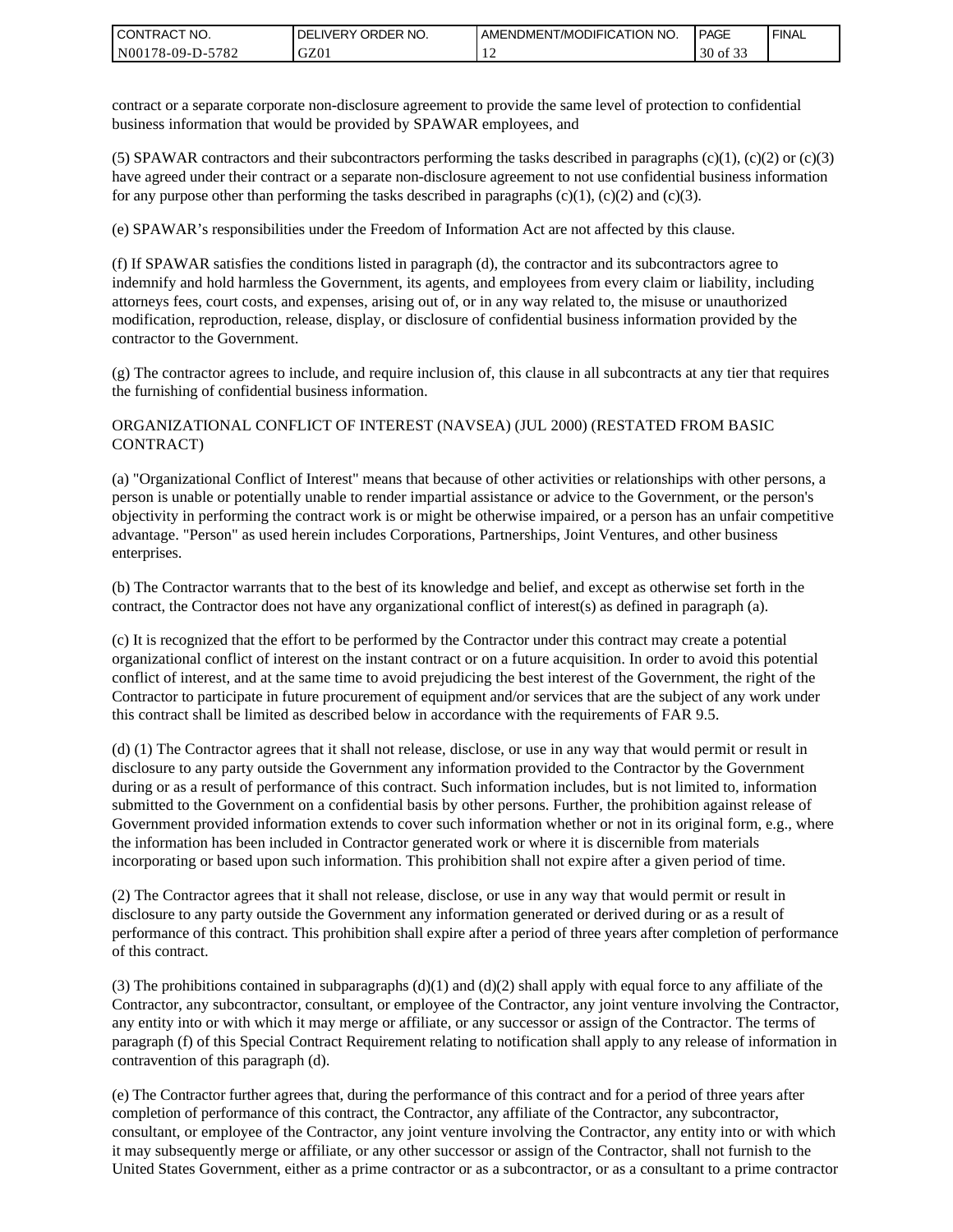| <b>CONTRACT NO.</b> | ' ORDER NO.<br><b>DELIVERY</b> | AMENDMENT/MODIFICATION NO. | <b>PAGE</b>            | ' FINAL |
|---------------------|--------------------------------|----------------------------|------------------------|---------|
| N00178-09-D-5782    | GZ01                           |                            | 0.22<br>30<br>οt<br>ີ່ |         |

contract or a separate corporate non-disclosure agreement to provide the same level of protection to confidential business information that would be provided by SPAWAR employees, and

(5) SPAWAR contractors and their subcontractors performing the tasks described in paragraphs  $(c)(1)$ ,  $(c)(2)$  or  $(c)(3)$ have agreed under their contract or a separate non-disclosure agreement to not use confidential business information for any purpose other than performing the tasks described in paragraphs  $(c)(1)$ ,  $(c)(2)$  and  $(c)(3)$ .

(e) SPAWAR's responsibilities under the Freedom of Information Act are not affected by this clause.

(f) If SPAWAR satisfies the conditions listed in paragraph (d), the contractor and its subcontractors agree to indemnify and hold harmless the Government, its agents, and employees from every claim or liability, including attorneys fees, court costs, and expenses, arising out of, or in any way related to, the misuse or unauthorized modification, reproduction, release, display, or disclosure of confidential business information provided by the contractor to the Government.

(g) The contractor agrees to include, and require inclusion of, this clause in all subcontracts at any tier that requires the furnishing of confidential business information.

#### ORGANIZATIONAL CONFLICT OF INTEREST (NAVSEA) (JUL 2000) (RESTATED FROM BASIC CONTRACT)

(a) "Organizational Conflict of Interest" means that because of other activities or relationships with other persons, a person is unable or potentially unable to render impartial assistance or advice to the Government, or the person's objectivity in performing the contract work is or might be otherwise impaired, or a person has an unfair competitive advantage. "Person" as used herein includes Corporations, Partnerships, Joint Ventures, and other business enterprises.

(b) The Contractor warrants that to the best of its knowledge and belief, and except as otherwise set forth in the contract, the Contractor does not have any organizational conflict of interest(s) as defined in paragraph (a).

(c) It is recognized that the effort to be performed by the Contractor under this contract may create a potential organizational conflict of interest on the instant contract or on a future acquisition. In order to avoid this potential conflict of interest, and at the same time to avoid prejudicing the best interest of the Government, the right of the Contractor to participate in future procurement of equipment and/or services that are the subject of any work under this contract shall be limited as described below in accordance with the requirements of FAR 9.5.

(d) (1) The Contractor agrees that it shall not release, disclose, or use in any way that would permit or result in disclosure to any party outside the Government any information provided to the Contractor by the Government during or as a result of performance of this contract. Such information includes, but is not limited to, information submitted to the Government on a confidential basis by other persons. Further, the prohibition against release of Government provided information extends to cover such information whether or not in its original form, e.g., where the information has been included in Contractor generated work or where it is discernible from materials incorporating or based upon such information. This prohibition shall not expire after a given period of time.

(2) The Contractor agrees that it shall not release, disclose, or use in any way that would permit or result in disclosure to any party outside the Government any information generated or derived during or as a result of performance of this contract. This prohibition shall expire after a period of three years after completion of performance of this contract.

(3) The prohibitions contained in subparagraphs  $(d)(1)$  and  $(d)(2)$  shall apply with equal force to any affiliate of the Contractor, any subcontractor, consultant, or employee of the Contractor, any joint venture involving the Contractor, any entity into or with which it may merge or affiliate, or any successor or assign of the Contractor. The terms of paragraph (f) of this Special Contract Requirement relating to notification shall apply to any release of information in contravention of this paragraph (d).

(e) The Contractor further agrees that, during the performance of this contract and for a period of three years after completion of performance of this contract, the Contractor, any affiliate of the Contractor, any subcontractor, consultant, or employee of the Contractor, any joint venture involving the Contractor, any entity into or with which it may subsequently merge or affiliate, or any other successor or assign of the Contractor, shall not furnish to the United States Government, either as a prime contractor or as a subcontractor, or as a consultant to a prime contractor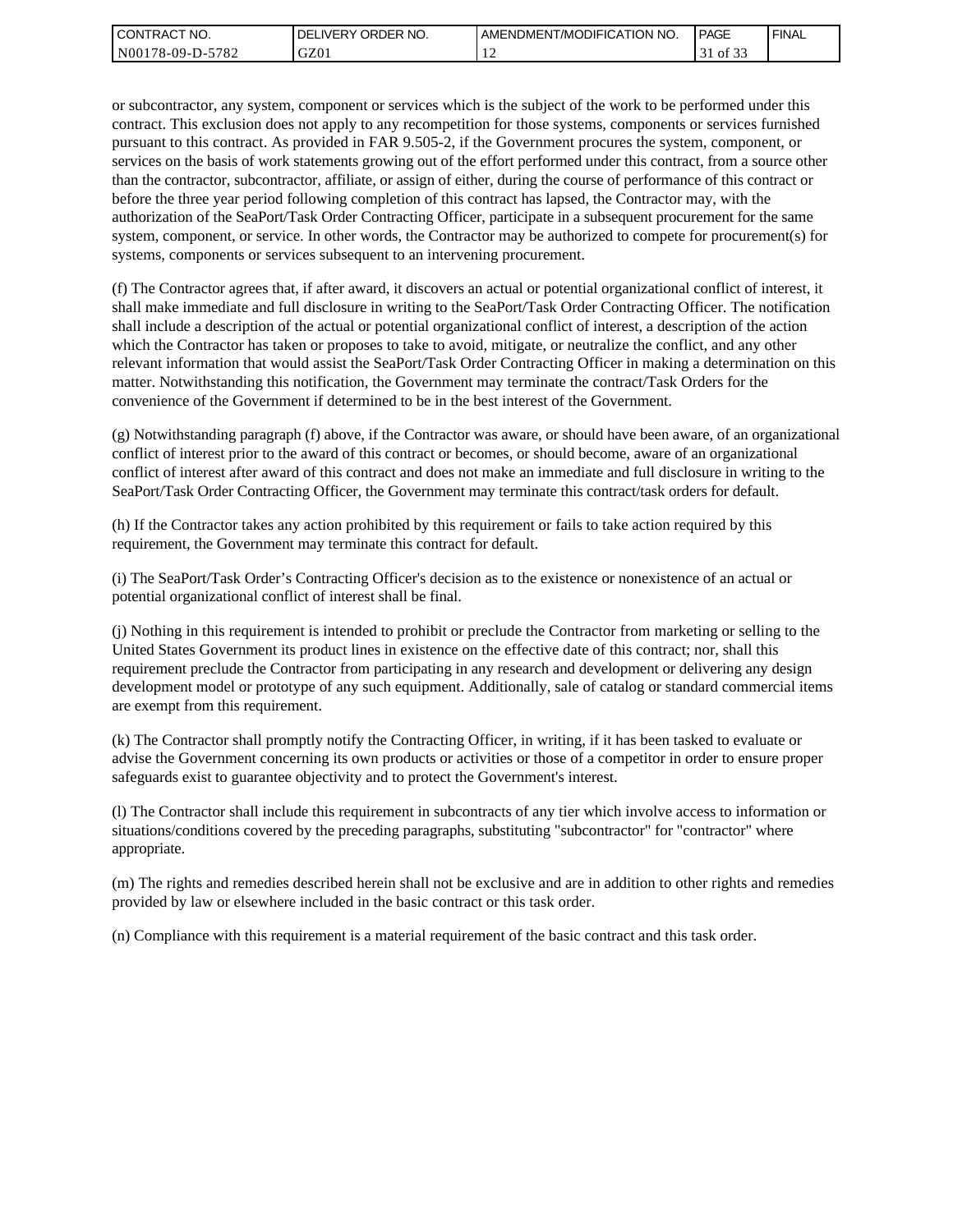| l CON <sup>-</sup><br>'TRACT NO. | ORDER<br>NO.<br>.IVERY<br>DELI | AMENDMENT/MODIFICATION NO. | <b>PAGE</b>                     | ' FINAL |
|----------------------------------|--------------------------------|----------------------------|---------------------------------|---------|
| N00178-09-D-5<br>5782            | GZ01                           | . .                        | $\sim$ $\sim$<br>ΟĪ<br><u>.</u> |         |

or subcontractor, any system, component or services which is the subject of the work to be performed under this contract. This exclusion does not apply to any recompetition for those systems, components or services furnished pursuant to this contract. As provided in FAR 9.505-2, if the Government procures the system, component, or services on the basis of work statements growing out of the effort performed under this contract, from a source other than the contractor, subcontractor, affiliate, or assign of either, during the course of performance of this contract or before the three year period following completion of this contract has lapsed, the Contractor may, with the authorization of the SeaPort/Task Order Contracting Officer, participate in a subsequent procurement for the same system, component, or service. In other words, the Contractor may be authorized to compete for procurement(s) for systems, components or services subsequent to an intervening procurement.

(f) The Contractor agrees that, if after award, it discovers an actual or potential organizational conflict of interest, it shall make immediate and full disclosure in writing to the SeaPort/Task Order Contracting Officer. The notification shall include a description of the actual or potential organizational conflict of interest, a description of the action which the Contractor has taken or proposes to take to avoid, mitigate, or neutralize the conflict, and any other relevant information that would assist the SeaPort/Task Order Contracting Officer in making a determination on this matter. Notwithstanding this notification, the Government may terminate the contract/Task Orders for the convenience of the Government if determined to be in the best interest of the Government.

(g) Notwithstanding paragraph (f) above, if the Contractor was aware, or should have been aware, of an organizational conflict of interest prior to the award of this contract or becomes, or should become, aware of an organizational conflict of interest after award of this contract and does not make an immediate and full disclosure in writing to the SeaPort/Task Order Contracting Officer, the Government may terminate this contract/task orders for default.

(h) If the Contractor takes any action prohibited by this requirement or fails to take action required by this requirement, the Government may terminate this contract for default.

(i) The SeaPort/Task Order's Contracting Officer's decision as to the existence or nonexistence of an actual or potential organizational conflict of interest shall be final.

(j) Nothing in this requirement is intended to prohibit or preclude the Contractor from marketing or selling to the United States Government its product lines in existence on the effective date of this contract; nor, shall this requirement preclude the Contractor from participating in any research and development or delivering any design development model or prototype of any such equipment. Additionally, sale of catalog or standard commercial items are exempt from this requirement.

(k) The Contractor shall promptly notify the Contracting Officer, in writing, if it has been tasked to evaluate or advise the Government concerning its own products or activities or those of a competitor in order to ensure proper safeguards exist to guarantee objectivity and to protect the Government's interest.

(l) The Contractor shall include this requirement in subcontracts of any tier which involve access to information or situations/conditions covered by the preceding paragraphs, substituting "subcontractor" for "contractor" where appropriate.

(m) The rights and remedies described herein shall not be exclusive and are in addition to other rights and remedies provided by law or elsewhere included in the basic contract or this task order.

(n) Compliance with this requirement is a material requirement of the basic contract and this task order.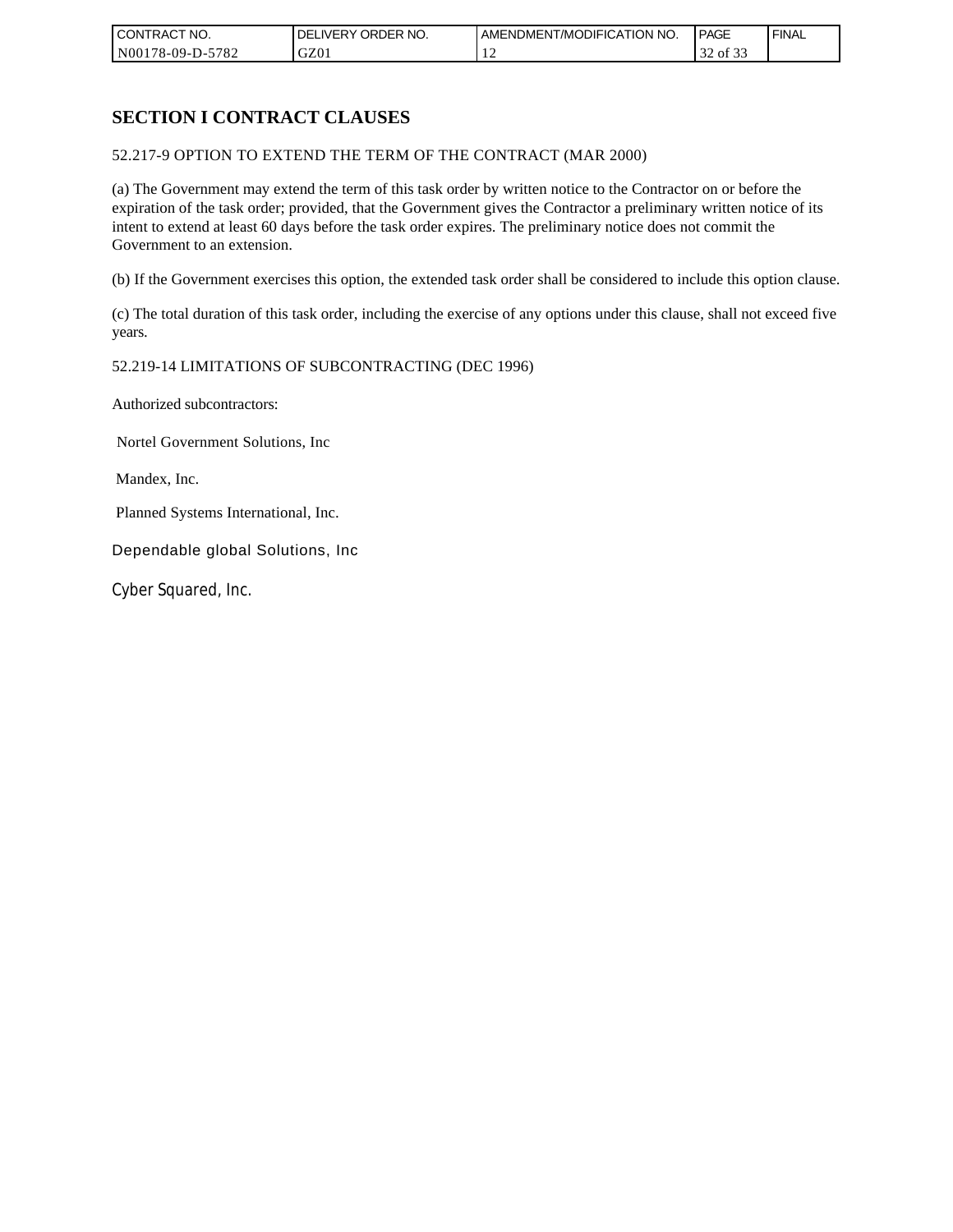| CONTRACT NO.     | NO.<br>ORDER <sup>'</sup><br><b>DELIVERY</b> | AMENDMENT/MODIFICATION NO. | PAGE                     | <b>FINAL</b> |
|------------------|----------------------------------------------|----------------------------|--------------------------|--------------|
| N00178-09-D-5782 | GZ01                                         |                            | $\bigcap$<br>of 33<br>32 |              |

# **SECTION I CONTRACT CLAUSES**

52.217-9 OPTION TO EXTEND THE TERM OF THE CONTRACT (MAR 2000)

(a) The Government may extend the term of this task order by written notice to the Contractor on or before the expiration of the task order; provided, that the Government gives the Contractor a preliminary written notice of its intent to extend at least 60 days before the task order expires. The preliminary notice does not commit the Government to an extension.

(b) If the Government exercises this option, the extended task order shall be considered to include this option clause.

(c) The total duration of this task order, including the exercise of any options under this clause, shall not exceed five years.

#### 52.219-14 LIMITATIONS OF SUBCONTRACTING (DEC 1996)

Authorized subcontractors:

Nortel Government Solutions, Inc

Mandex, Inc.

Planned Systems International, Inc.

Dependable global Solutions, Inc

Cyber Squared, Inc.